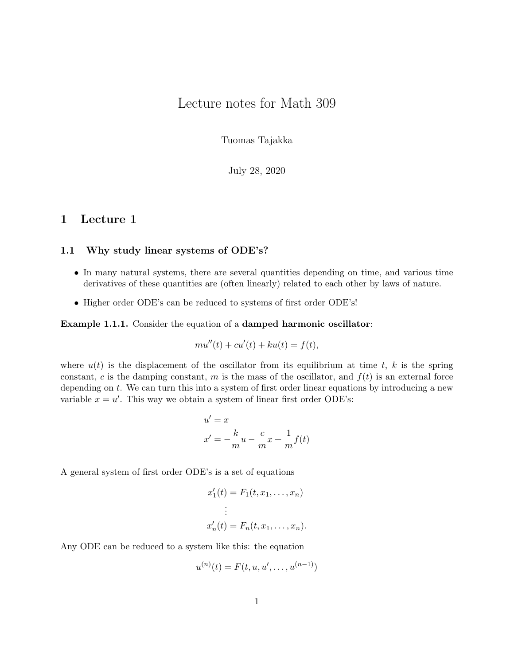# Lecture notes for Math 309

Tuomas Tajakka

July 28, 2020

# 1 Lecture 1

### 1.1 Why study linear systems of ODE's?

- In many natural systems, there are several quantities depending on time, and various time derivatives of these quantities are (often linearly) related to each other by laws of nature.
- Higher order ODE's can be reduced to systems of first order ODE's!

### Example 1.1.1. Consider the equation of a damped harmonic oscillator:

$$
mu''(t) + cu'(t) + ku(t) = f(t),
$$

where  $u(t)$  is the displacement of the oscillator from its equilibrium at time t, k is the spring constant, c is the damping constant, m is the mass of the oscillator, and  $f(t)$  is an external force depending on t. We can turn this into a system of first order linear equations by introducing a new variable  $x = u'$ . This way we obtain a system of linear first order ODE's:

$$
u' = x
$$
  

$$
x' = -\frac{k}{m}u - \frac{c}{m}x + \frac{1}{m}f(t)
$$

A general system of first order ODE's is a set of equations

$$
x'_1(t) = F_1(t, x_1, \dots, x_n)
$$

$$
\vdots
$$

$$
x'_n(t) = F_n(t, x_1, \dots, x_n).
$$

Any ODE can be reduced to a system like this: the equation

$$
u^{(n)}(t) = F(t, u, u', \dots, u^{(n-1)})
$$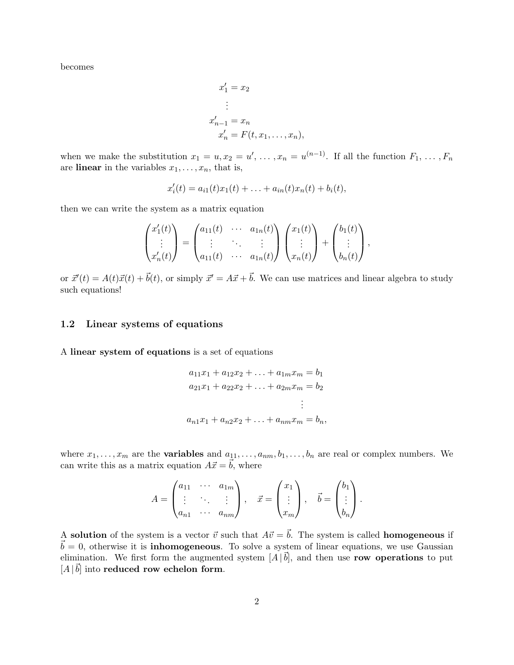becomes

$$
x'_1 = x_2
$$
  
\n
$$
\vdots
$$
  
\n
$$
x'_{n-1} = x_n
$$
  
\n
$$
x'_n = F(t, x_1, \dots, x_n),
$$

when we make the substitution  $x_1 = u, x_2 = u', \ldots, x_n = u^{(n-1)}$ . If all the function  $F_1, \ldots, F_n$ are linear in the variables  $x_1, \ldots, x_n$ , that is,

$$
x'_{i}(t) = a_{i1}(t)x_{1}(t) + \ldots + a_{in}(t)x_{n}(t) + b_{i}(t),
$$

then we can write the system as a matrix equation

$$
\begin{pmatrix} x_1'(t) \\ \vdots \\ x_n'(t) \end{pmatrix} = \begin{pmatrix} a_{11}(t) & \cdots & a_{1n}(t) \\ \vdots & \ddots & \vdots \\ a_{11}(t) & \cdots & a_{1n}(t) \end{pmatrix} \begin{pmatrix} x_1(t) \\ \vdots \\ x_n(t) \end{pmatrix} + \begin{pmatrix} b_1(t) \\ \vdots \\ b_n(t) \end{pmatrix},
$$

or  $\vec{x}'(t) = A(t)\vec{x}(t) + \vec{b}(t)$ , or simply  $\vec{x}' = A\vec{x} + \vec{b}$ . We can use matrices and linear algebra to study such equations!

### 1.2 Linear systems of equations

A linear system of equations is a set of equations

$$
a_{11}x_1 + a_{12}x_2 + \dots + a_{1m}x_m = b_1
$$
  
\n
$$
a_{21}x_1 + a_{22}x_2 + \dots + a_{2m}x_m = b_2
$$
  
\n
$$
\vdots
$$
  
\n
$$
a_{n1}x_1 + a_{n2}x_2 + \dots + a_{nm}x_m = b_n,
$$

where  $x_1, \ldots, x_m$  are the **variables** and  $a_{11}, \ldots, a_{nm}, b_1, \ldots, b_n$  are real or complex numbers. We can write this as a matrix equation  $A\vec{x} = \vec{b}$ , where

$$
A = \begin{pmatrix} a_{11} & \cdots & a_{1m} \\ \vdots & \ddots & \vdots \\ a_{n1} & \cdots & a_{nm} \end{pmatrix}, \quad \vec{x} = \begin{pmatrix} x_1 \\ \vdots \\ x_m \end{pmatrix}, \quad \vec{b} = \begin{pmatrix} b_1 \\ \vdots \\ b_n \end{pmatrix}.
$$

A solution of the system is a vector  $\vec{v}$  such that  $A\vec{v} = \vec{b}$ . The system is called homogeneous if  $\vec{b} = 0$ , otherwise it is **inhomogeneous**. To solve a system of linear equations, we use Gaussian elimination. We first form the augmented system  $[A|\vec{b}]$ , and then use row operations to put  $[A \,|\, \vec{b}]$  into reduced row echelon form.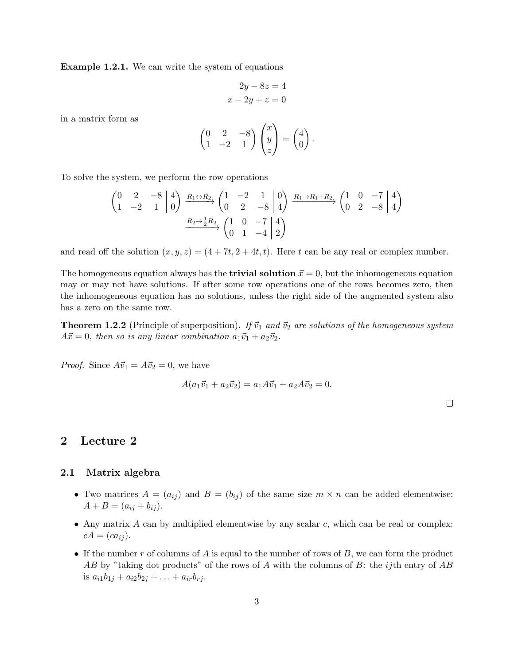Example 1.2.1. We can write the system of equations

$$
2y - 8z = 4
$$

$$
x - 2y + z = 0
$$

in a matrix form as

$$
\begin{pmatrix} 0 & 2 & -8 \ 1 & -2 & 1 \end{pmatrix} \begin{pmatrix} x \\ y \\ z \end{pmatrix} = \begin{pmatrix} 4 \\ 0 \end{pmatrix}.
$$

To solve the system, we perform the row operations

$$
\begin{pmatrix} 0 & 2 & -8 & 4 \ 1 & -2 & 1 & 0 \end{pmatrix} \xrightarrow{R_1 \leftrightarrow R_2} \begin{pmatrix} 1 & -2 & 1 & 0 \ 0 & 2 & -8 & 4 \end{pmatrix} \xrightarrow{R_1 \to R_1 + R_2} \begin{pmatrix} 1 & 0 & -7 & 4 \ 0 & 2 & -8 & 4 \end{pmatrix}
$$

$$
\xrightarrow{R_2 \to \frac{1}{2}R_2} \begin{pmatrix} 1 & 0 & -7 & 4 \ 0 & 1 & -4 & 2 \end{pmatrix}
$$

and read off the solution  $(x, y, z) = (4 + 7t, 2 + 4t, t)$ . Here t can be any real or complex number.

The homogeneous equation always has the **trivial solution**  $\vec{x} = 0$ , but the inhomogeneous equation may or may not have solutions. If after some row operations one of the rows becomes zero, then the inhomogeneous equation has no solutions, unless the right side of the augmented system also has a zero on the same row.

**Theorem 1.2.2** (Principle of superposition). If  $\vec{v}_1$  and  $\vec{v}_2$  are solutions of the homogeneous system  $A\vec{x} = 0$ , then so is any linear combination  $a_1\vec{v}_1 + a_2\vec{v}_2$ .

*Proof.* Since  $A\vec{v}_1 = A\vec{v}_2 = 0$ , we have

$$
A(a_1\vec{v}_1 + a_2\vec{v}_2) = a_1A\vec{v}_1 + a_2A\vec{v}_2 = 0.
$$

 $\Box$ 

# 2 Lecture 2

#### 2.1 Matrix algebra

- Two matrices  $A = (a_{ij})$  and  $B = (b_{ij})$  of the same size  $m \times n$  can be added elementwise:  $A + B = (a_{ij} + b_{ij}).$
- Any matrix  $A$  can by multiplied elementwise by any scalar  $c$ , which can be real or complex:  $cA = (ca_{ij}).$
- If the number r of columns of A is equal to the number of rows of  $B$ , we can form the product AB by "taking dot products" of the rows of A with the columns of B: the *ij*th entry of AB is  $a_{i1}b_{1j} + a_{i2}b_{2j} + \ldots + a_{ir}b_{rj}$ .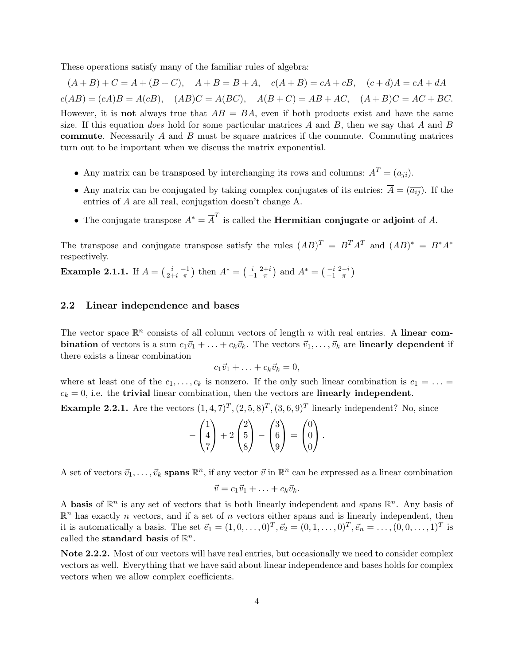These operations satisfy many of the familiar rules of algebra:

 $(A + B) + C = A + (B + C), \quad A + B = B + A, \quad c(A + B) = cA + cB, \quad (c + d)A = cA + dA$  $c(AB) = (cA)B = A(cB), \quad (AB)C = A(BC), \quad A(B+C) = AB + AC, \quad (A+B)C = AC + BC.$ However, it is **not** always true that  $AB = BA$ , even if both products exist and have the same size. If this equation *does* hold for some particular matrices  $A$  and  $B$ , then we say that  $A$  and  $B$ **commute**. Necessarily  $A$  and  $B$  must be square matrices if the commute. Commuting matrices turn out to be important when we discuss the matrix exponential.

- Any matrix can be transposed by interchanging its rows and columns:  $A<sup>T</sup> = (a_{ji}).$
- Any matrix can be conjugated by taking complex conjugates of its entries:  $\overline{A} = (\overline{a_{ij}})$ . If the entries of A are all real, conjugation doesn't change A.
- The conjugate transpose  $A^* = \overline{A}^T$  is called the **Hermitian conjugate** or **adjoint** of A.

The transpose and conjugate transpose satisfy the rules  $(AB)^T = B^T A^T$  and  $(AB)^* = B^* A^*$ respectively.

**Example 2.1.1.** If  $A = \begin{pmatrix} i & -1 \\ 2+i & \pi \end{pmatrix}$  then  $A^* = \begin{pmatrix} i & 2+i \\ -1 & \pi \end{pmatrix}$  and  $A^* = \begin{pmatrix} -i & 2-i \\ -1 & \pi \end{pmatrix}$ 

### 2.2 Linear independence and bases

The vector space  $\mathbb{R}^n$  consists of all column vectors of length n with real entries. A linear com**bination** of vectors is a sum  $c_1\vec{v}_1 + ... + c_k\vec{v}_k$ . The vectors  $\vec{v}_1, ..., \vec{v}_k$  are **linearly dependent** if there exists a linear combination

$$
c_1\vec{v}_1+\ldots+c_k\vec{v}_k=0,
$$

where at least one of the  $c_1, \ldots, c_k$  is nonzero. If the only such linear combination is  $c_1 = \ldots =$  $c_k = 0$ , i.e. the trivial linear combination, then the vectors are linearly independent.

**Example 2.2.1.** Are the vectors  $(1,4,7)^T$ ,  $(2,5,8)^T$ ,  $(3,6,9)^T$  linearly independent? No, since

$$
-\begin{pmatrix}1\\4\\7\end{pmatrix}+2\begin{pmatrix}2\\5\\8\end{pmatrix}-\begin{pmatrix}3\\6\\9\end{pmatrix}=\begin{pmatrix}0\\0\\0\end{pmatrix}.
$$

A set of vectors  $\vec{v}_1, \ldots, \vec{v}_k$  spans  $\mathbb{R}^n$ , if any vector  $\vec{v}$  in  $\mathbb{R}^n$  can be expressed as a linear combination

$$
\vec{v} = c_1 \vec{v}_1 + \ldots + c_k \vec{v}_k.
$$

A basis of  $\mathbb{R}^n$  is any set of vectors that is both linearly independent and spans  $\mathbb{R}^n$ . Any basis of  $\mathbb{R}^n$  has exactly n vectors, and if a set of n vectors either spans and is linearly independent, then it is automatically a basis. The set  $\vec{e}_1 = (1, 0, \dots, 0)^T, \vec{e}_2 = (0, 1, \dots, 0)^T, \vec{e}_n = \dots, (0, 0, \dots, 1)^T$  is called the standard basis of  $\mathbb{R}^n$ .

Note 2.2.2. Most of our vectors will have real entries, but occasionally we need to consider complex vectors as well. Everything that we have said about linear independence and bases holds for complex vectors when we allow complex coefficients.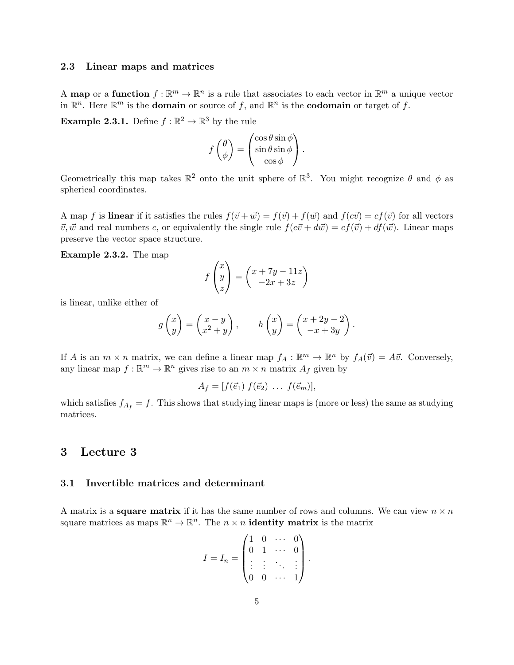### 2.3 Linear maps and matrices

A map or a function  $f: \mathbb{R}^m \to \mathbb{R}^n$  is a rule that associates to each vector in  $\mathbb{R}^m$  a unique vector in  $\mathbb{R}^n$ . Here  $\mathbb{R}^m$  is the **domain** or source of f, and  $\mathbb{R}^n$  is the **codomain** or target of f.

**Example 2.3.1.** Define  $f : \mathbb{R}^2 \to \mathbb{R}^3$  by the rule

$$
f\begin{pmatrix} \theta \\ \phi \end{pmatrix} = \begin{pmatrix} \cos \theta \sin \phi \\ \sin \theta \sin \phi \\ \cos \phi \end{pmatrix}.
$$

Geometrically this map takes  $\mathbb{R}^2$  onto the unit sphere of  $\mathbb{R}^3$ . You might recognize  $\theta$  and  $\phi$  as spherical coordinates.

A map f is linear if it satisfies the rules  $f(\vec{v} + \vec{w}) = f(\vec{v}) + f(\vec{w})$  and  $f(c\vec{v}) = cf(\vec{v})$  for all vectors  $\vec{v}, \vec{w}$  and real numbers c, or equivalently the single rule  $f(c\vec{v} + d\vec{w}) = cf(\vec{v}) + df(\vec{w})$ . Linear maps preserve the vector space structure.

Example 2.3.2. The map

$$
f\begin{pmatrix} x \\ y \\ z \end{pmatrix} = \begin{pmatrix} x + 7y - 11z \\ -2x + 3z \end{pmatrix}
$$

is linear, unlike either of

$$
g\begin{pmatrix} x \\ y \end{pmatrix} = \begin{pmatrix} x - y \\ x^2 + y \end{pmatrix}, \qquad h\begin{pmatrix} x \\ y \end{pmatrix} = \begin{pmatrix} x + 2y - 2 \\ -x + 3y \end{pmatrix}.
$$

If A is an  $m \times n$  matrix, we can define a linear map  $f_A : \mathbb{R}^m \to \mathbb{R}^n$  by  $f_A(\vec{v}) = A\vec{v}$ . Conversely, any linear map  $f : \mathbb{R}^m \to \mathbb{R}^n$  gives rise to an  $m \times n$  matrix  $A_f$  given by

$$
A_f = [f(\vec{e}_1) f(\vec{e}_2) \dots f(\vec{e}_m)],
$$

which satisfies  $f_{A_f} = f$ . This shows that studying linear maps is (more or less) the same as studying matrices.

## 3 Lecture 3

### 3.1 Invertible matrices and determinant

A matrix is a **square matrix** if it has the same number of rows and columns. We can view  $n \times n$ square matrices as maps  $\mathbb{R}^n \to \mathbb{R}^n$ . The  $n \times n$  **identity matrix** is the matrix

$$
I = I_n = \begin{pmatrix} 1 & 0 & \cdots & 0 \\ 0 & 1 & \cdots & 0 \\ \vdots & \vdots & \ddots & \vdots \\ 0 & 0 & \cdots & 1 \end{pmatrix}.
$$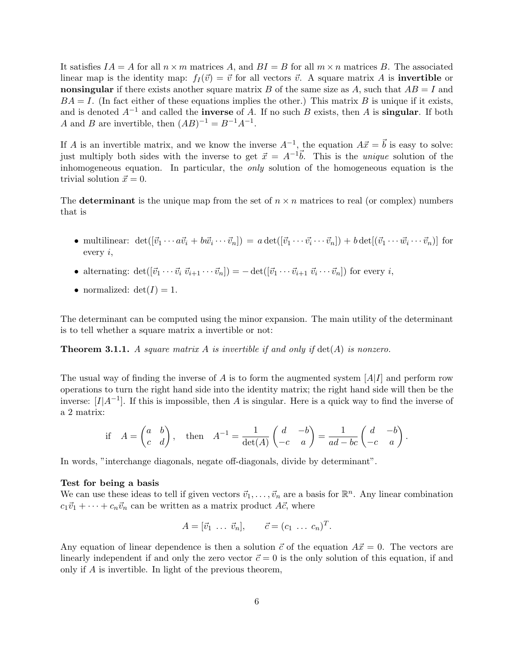It satisfies  $IA = A$  for all  $n \times m$  matrices A, and  $BI = B$  for all  $m \times n$  matrices B. The associated linear map is the identity map:  $f_I(\vec{v}) = \vec{v}$  for all vectors  $\vec{v}$ . A square matrix A is **invertible** or nonsingular if there exists another square matrix B of the same size as A, such that  $AB = I$  and  $BA = I$ . (In fact either of these equations implies the other.) This matrix B is unique if it exists, and is denoted  $A^{-1}$  and called the **inverse** of A. If no such B exists, then A is **singular**. If both A and B are invertible, then  $(AB)^{-1} = B^{-1}A^{-1}$ .

If A is an invertible matrix, and we know the inverse  $A^{-1}$ , the equation  $A\vec{x} = \vec{b}$  is easy to solve: just multiply both sides with the inverse to get  $\vec{x} = A^{-1}\vec{b}$ . This is the *unique* solution of the inhomogeneous equation. In particular, the *only* solution of the homogeneous equation is the trivial solution  $\vec{x} = 0$ .

The **determinant** is the unique map from the set of  $n \times n$  matrices to real (or complex) numbers that is

- multilinear:  $\det([\vec{v}_1 \cdots a \vec{v}_i + b \vec{w}_i \cdots \vec{v}_n]) = a \det([\vec{v}_1 \cdots \vec{v}_i \cdots \vec{v}_n]) + b \det[(\vec{v}_1 \cdots \vec{w}_i \cdots \vec{v}_n)]$  for every  $i$ ,
- alternating:  $\det([\vec{v}_1 \cdots \vec{v}_i \ \vec{v}_{i+1} \cdots \vec{v}_n]) = -\det([\vec{v}_1 \cdots \vec{v}_{i+1} \ \vec{v}_i \cdots \vec{v}_n])$  for every *i*,
- normalized:  $det(I) = 1$ .

The determinant can be computed using the minor expansion. The main utility of the determinant is to tell whether a square matrix a invertible or not:

**Theorem 3.1.1.** A square matrix A is invertible if and only if  $det(A)$  is nonzero.

The usual way of finding the inverse of A is to form the augmented system  $[A|I]$  and perform row operations to turn the right hand side into the identity matrix; the right hand side will then be the inverse:  $[I|A^{-1}]$ . If this is impossible, then A is singular. Here is a quick way to find the inverse of a 2 matrix:

if 
$$
A = \begin{pmatrix} a & b \\ c & d \end{pmatrix}
$$
, then  $A^{-1} = \frac{1}{\det(A)} \begin{pmatrix} d & -b \\ -c & a \end{pmatrix} = \frac{1}{ad - bc} \begin{pmatrix} d & -b \\ -c & a \end{pmatrix}$ .

In words, "interchange diagonals, negate off-diagonals, divide by determinant".

#### Test for being a basis

We can use these ideas to tell if given vectors  $\vec{v}_1, \ldots, \vec{v}_n$  are a basis for  $\mathbb{R}^n$ . Any linear combination  $c_1\vec{v}_1 + \cdots + c_n\vec{v}_n$  can be written as a matrix product  $A\vec{c}$ , where

$$
A = [\vec{v}_1 \ \ldots \ \vec{v}_n], \qquad \vec{c} = (c_1 \ \ldots \ c_n)^T.
$$

Any equation of linear dependence is then a solution  $\vec{c}$  of the equation  $A\vec{x} = 0$ . The vectors are linearly independent if and only the zero vector  $\vec{c} = 0$  is the only solution of this equation, if and only if A is invertible. In light of the previous theorem,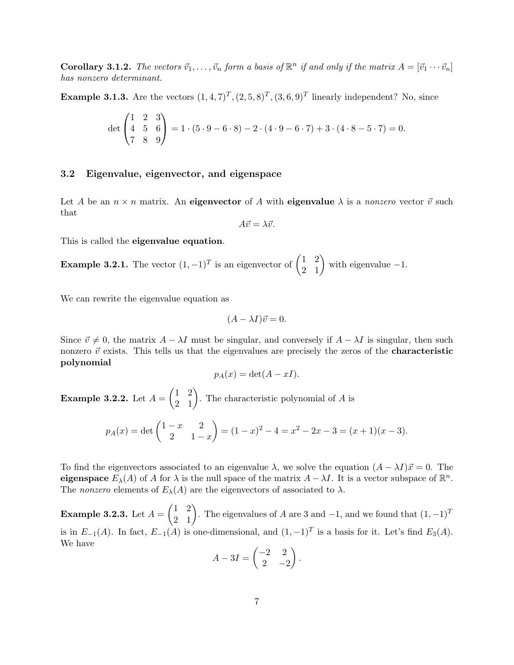**Corollary 3.1.2.** The vectors  $\vec{v}_1, \ldots, \vec{v}_n$  form a basis of  $\mathbb{R}^n$  if and only if the matrix  $A = [\vec{v}_1 \cdots \vec{v}_n]$ has nonzero determinant.

**Example 3.1.3.** Are the vectors  $(1,4,7)^T$ ,  $(2,5,8)^T$ ,  $(3,6,9)^T$  linearly independent? No, since

$$
\det\begin{pmatrix} 1 & 2 & 3 \\ 4 & 5 & 6 \\ 7 & 8 & 9 \end{pmatrix} = 1 \cdot (5 \cdot 9 - 6 \cdot 8) - 2 \cdot (4 \cdot 9 - 6 \cdot 7) + 3 \cdot (4 \cdot 8 - 5 \cdot 7) = 0.
$$

### 3.2 Eigenvalue, eigenvector, and eigenspace

Let A be an  $n \times n$  matrix. An **eigenvector** of A with **eigenvalue**  $\lambda$  is a *nonzero* vector  $\vec{v}$  such that

$$
A\vec{v} = \lambda \vec{v}.
$$

This is called the eigenvalue equation.

**Example 3.2.1.** The vector  $(1, -1)^T$  is an eigenvector of  $\begin{pmatrix} 1 & 2 \\ 2 & 1 \end{pmatrix}$  with eigenvalue -1.

We can rewrite the eigenvalue equation as

$$
(A - \lambda I)\vec{v} = 0.
$$

Since  $\vec{v} \neq 0$ , the matrix  $A - \lambda I$  must be singular, and conversely if  $A - \lambda I$  is singular, then such nonzero  $\vec{v}$  exists. This tells us that the eigenvalues are precisely the zeros of the **characteristic** polynomial

$$
p_A(x) = \det(A - xI).
$$

**Example 3.2.2.** Let  $A = \begin{pmatrix} 1 & 2 \\ 2 & 1 \end{pmatrix}$ . The characteristic polynomial of A is

$$
p_A(x) = \det \begin{pmatrix} 1-x & 2 \\ 2 & 1-x \end{pmatrix} = (1-x)^2 - 4 = x^2 - 2x - 3 = (x+1)(x-3).
$$

To find the eigenvectors associated to an eigenvalue  $\lambda$ , we solve the equation  $(A - \lambda I)\vec{x} = 0$ . The eigenspace  $E_{\lambda}(A)$  of A for  $\lambda$  is the null space of the matrix  $A - \lambda I$ . It is a vector subspace of  $\mathbb{R}^n$ . The nonzero elements of  $E_{\lambda}(A)$  are the eigenvectors of associated to  $\lambda$ .

**Example 3.2.3.** Let  $A = \begin{pmatrix} 1 & 2 \\ 2 & 1 \end{pmatrix}$ . The eigenvalues of A are 3 and -1, and we found that  $(1, -1)^T$ is in  $E_{-1}(A)$ . In fact,  $E_{-1}(A)$  is one-dimensional, and  $(1, -1)^T$  is a basis for it. Let's find  $E_3(A)$ . We have

$$
A - 3I = \begin{pmatrix} -2 & 2 \\ 2 & -2 \end{pmatrix}.
$$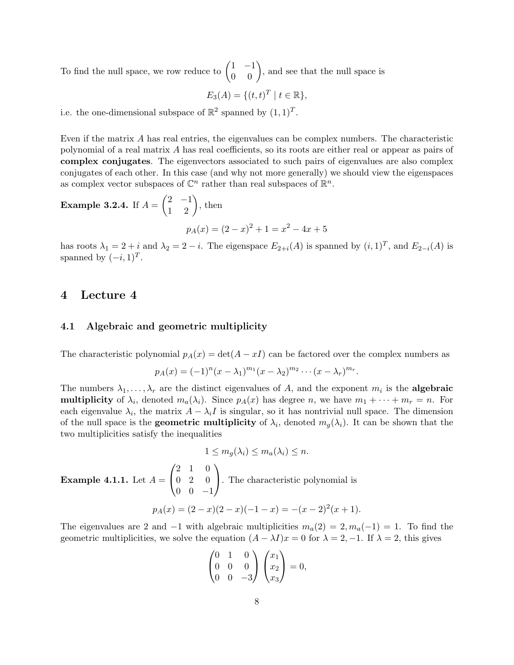To find the null space, we row reduce to  $\begin{pmatrix} 1 & -1 \\ 0 & 0 \end{pmatrix}$ , and see that the null space is

$$
E_3(A) = \{(t, t)^T \mid t \in \mathbb{R}\},
$$

i.e. the one-dimensional subspace of  $\mathbb{R}^2$  spanned by  $(1,1)^T$ .

Even if the matrix A has real entries, the eigenvalues can be complex numbers. The characteristic polynomial of a real matrix A has real coefficients, so its roots are either real or appear as pairs of complex conjugates. The eigenvectors associated to such pairs of eigenvalues are also complex conjugates of each other. In this case (and why not more generally) we should view the eigenspaces as complex vector subspaces of  $\mathbb{C}^n$  rather than real subspaces of  $\mathbb{R}^n$ .

Example 3.2.4. If 
$$
A = \begin{pmatrix} 2 & -1 \\ 1 & 2 \end{pmatrix}
$$
, then  
\n
$$
p_A(x) = (2 - x)^2 + 1 = x^2 - 4x + 5
$$

has roots  $\lambda_1 = 2 + i$  and  $\lambda_2 = 2 - i$ . The eigenspace  $E_{2+i}(A)$  is spanned by  $(i,1)^T$ , and  $E_{2-i}(A)$  is spanned by  $(-i, 1)^T$ .

# 4 Lecture 4

### 4.1 Algebraic and geometric multiplicity

The characteristic polynomial  $p_A(x) = \det(A - xI)$  can be factored over the complex numbers as

$$
p_A(x) = (-1)^n (x - \lambda_1)^{m_1} (x - \lambda_2)^{m_2} \cdots (x - \lambda_r)^{m_r}.
$$

The numbers  $\lambda_1, \ldots, \lambda_r$  are the distinct eigenvalues of A, and the exponent  $m_i$  is the **algebraic** multiplicity of  $\lambda_i$ , denoted  $m_a(\lambda_i)$ . Since  $p_A(x)$  has degree n, we have  $m_1 + \cdots + m_r = n$ . For each eigenvalue  $\lambda_i$ , the matrix  $A - \lambda_i I$  is singular, so it has nontrivial null space. The dimension of the null space is the **geometric multiplicity** of  $\lambda_i$ , denoted  $m_g(\lambda_i)$ . It can be shown that the two multiplicities satisfy the inequalities

$$
1 \le m_g(\lambda_i) \le m_a(\lambda_i) \le n.
$$

Example 4.1.1. Let  $A =$  $\sqrt{ }$  $\mathcal{L}$ 2 1 0  $0 \quad 2 \quad 0$  $0 \t 0 \t -1$  $\setminus$ . The characteristic polynomial is  $p_A(x) = (2-x)(2-x)(-1-x) = -(x-2)^2(x+1).$ 

The eigenvalues are 2 and  $-1$  with algebraic multiplicities  $m_a(2) = 2, m_a(-1) = 1$ . To find the geometric multiplicities, we solve the equation  $(A - \lambda I)x = 0$  for  $\lambda = 2, -1$ . If  $\lambda = 2$ , this gives

$$
\begin{pmatrix} 0 & 1 & 0 \\ 0 & 0 & 0 \\ 0 & 0 & -3 \end{pmatrix} \begin{pmatrix} x_1 \\ x_2 \\ x_3 \end{pmatrix} = 0,
$$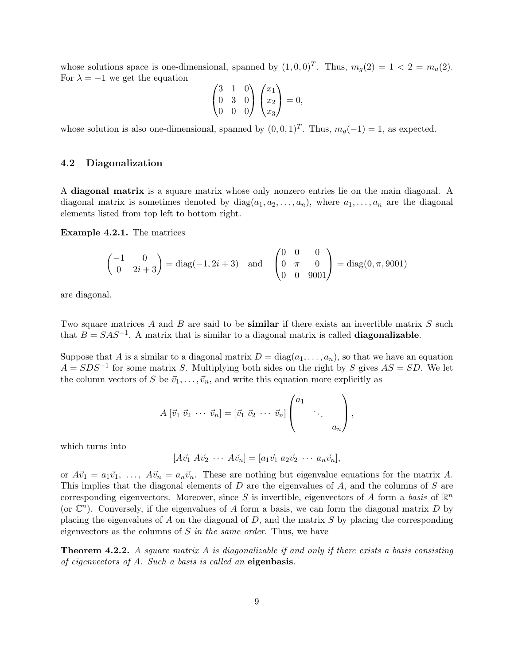whose solutions space is one-dimensional, spanned by  $(1,0,0)^T$ . Thus,  $m_g(2) = 1 < 2 = m_a(2)$ . For  $\lambda = -1$  we get the equation

$$
\begin{pmatrix} 3 & 1 & 0 \ 0 & 3 & 0 \ 0 & 0 & 0 \end{pmatrix} \begin{pmatrix} x_1 \ x_2 \ x_3 \end{pmatrix} = 0,
$$

whose solution is also one-dimensional, spanned by  $(0,0,1)^T$ . Thus,  $m_g(-1) = 1$ , as expected.

### 4.2 Diagonalization

A diagonal matrix is a square matrix whose only nonzero entries lie on the main diagonal. A diagonal matrix is sometimes denoted by  $diag(a_1, a_2, \ldots, a_n)$ , where  $a_1, \ldots, a_n$  are the diagonal elements listed from top left to bottom right.

Example 4.2.1. The matrices

$$
\begin{pmatrix} -1 & 0 \ 0 & 2i + 3 \end{pmatrix} = diag(-1, 2i + 3) and \begin{pmatrix} 0 & 0 & 0 \ 0 & \pi & 0 \ 0 & 0 & 9001 \end{pmatrix} = diag(0, \pi, 9001)
$$

are diagonal.

Two square matrices A and B are said to be **similar** if there exists an invertible matrix S such that  $B = SAS^{-1}$ . A matrix that is similar to a diagonal matrix is called **diagonalizable**.

Suppose that A is a similar to a diagonal matrix  $D = diag(a_1, \ldots, a_n)$ , so that we have an equation  $A = SDS^{-1}$  for some matrix S. Multiplying both sides on the right by S gives  $AS = SD$ . We let the column vectors of S be  $\vec{v}_1, \ldots, \vec{v}_n$ , and write this equation more explicitly as

$$
A \begin{bmatrix} \vec{v}_1 & \vec{v}_2 & \cdots & \vec{v}_n \end{bmatrix} = \begin{bmatrix} \vec{v}_1 & \vec{v}_2 & \cdots & \vec{v}_n \end{bmatrix} \begin{pmatrix} a_1 & & \\ & \ddots & \\ & & a_n \end{pmatrix},
$$

which turns into

 $[A\vec{v}_1 \; A\vec{v}_2 \; \cdots \; A\vec{v}_n] = [a_1\vec{v}_1 \; a_2\vec{v}_2 \; \cdots \; a_n\vec{v}_n],$ 

or  $A\vec{v}_1 = a_1\vec{v}_1, \ldots, A\vec{v}_n = a_n\vec{v}_n$ . These are nothing but eigenvalue equations for the matrix A. This implies that the diagonal elements of  $D$  are the eigenvalues of  $A$ , and the columns of  $S$  are corresponding eigenvectors. Moreover, since S is invertible, eigenvectors of A form a basis of  $\mathbb{R}^n$ (or  $\mathbb{C}^n$ ). Conversely, if the eigenvalues of A form a basis, we can form the diagonal matrix D by placing the eigenvalues of A on the diagonal of  $D$ , and the matrix  $S$  by placing the corresponding eigenvectors as the columns of  $S$  in the same order. Thus, we have

**Theorem 4.2.2.** A square matrix A is diagonalizable if and only if there exists a basis consisting of eigenvectors of A. Such a basis is called an eigenbasis.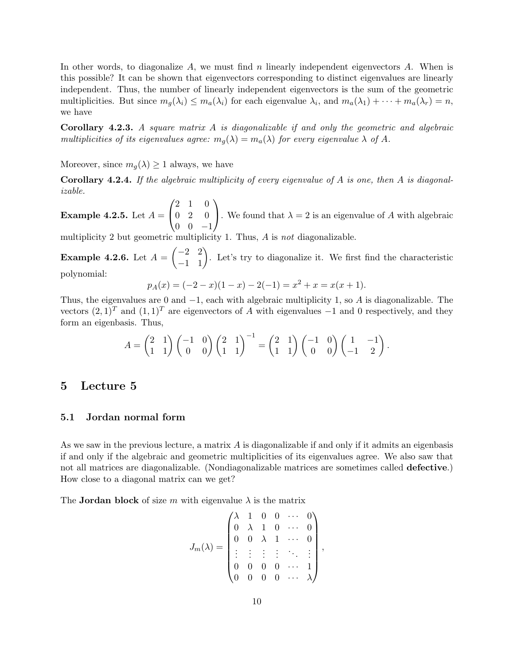In other words, to diagonalize  $A$ , we must find  $n$  linearly independent eigenvectors  $A$ . When is this possible? It can be shown that eigenvectors corresponding to distinct eigenvalues are linearly independent. Thus, the number of linearly independent eigenvectors is the sum of the geometric multiplicities. But since  $m_g(\lambda_i) \leq m_a(\lambda_i)$  for each eigenvalue  $\lambda_i$ , and  $m_a(\lambda_1) + \cdots + m_a(\lambda_r) = n$ , we have

Corollary 4.2.3. A square matrix A is diagonalizable if and only the geometric and algebraic multiplicities of its eigenvalues agree:  $m_q(\lambda) = m_q(\lambda)$  for every eigenvalue  $\lambda$  of A.

Moreover, since  $m_q(\lambda) \geq 1$  always, we have

**Corollary 4.2.4.** If the algebraic multiplicity of every eigenvalue of A is one, then A is diagonalizable.

Example 4.2.5. Let  $A =$  $\sqrt{ }$  $\mathcal{L}$ 2 1 0  $0 \quad 2 \quad 0$  $0 \t 0 \t -1$  $\setminus$ . We found that  $\lambda = 2$  is an eigenvalue of A with algebraic

multiplicity 2 but geometric multiplicity 1. Thus, A is not diagonalizable.

**Example 4.2.6.** Let  $A = \begin{pmatrix} -2 & 2 \\ -1 & 1 \end{pmatrix}$ . Let's try to diagonalize it. We first find the characteristic polynomial:

$$
p_A(x) = (-2 - x)(1 - x) - 2(-1) = x^2 + x = x(x + 1).
$$

Thus, the eigenvalues are 0 and  $-1$ , each with algebraic multiplicity 1, so A is diagonalizable. The vectors  $(2, 1)^T$  and  $(1, 1)^T$  are eigenvectors of A with eigenvalues  $-1$  and 0 respectively, and they form an eigenbasis. Thus,

$$
A = \begin{pmatrix} 2 & 1 \\ 1 & 1 \end{pmatrix} \begin{pmatrix} -1 & 0 \\ 0 & 0 \end{pmatrix} \begin{pmatrix} 2 & 1 \\ 1 & 1 \end{pmatrix}^{-1} = \begin{pmatrix} 2 & 1 \\ 1 & 1 \end{pmatrix} \begin{pmatrix} -1 & 0 \\ 0 & 0 \end{pmatrix} \begin{pmatrix} 1 & -1 \\ -1 & 2 \end{pmatrix}.
$$

# 5 Lecture 5

### 5.1 Jordan normal form

As we saw in the previous lecture, a matrix A is diagonalizable if and only if it admits an eigenbasis if and only if the algebraic and geometric multiplicities of its eigenvalues agree. We also saw that not all matrices are diagonalizable. (Nondiagonalizable matrices are sometimes called defective.) How close to a diagonal matrix can we get?

The **Jordan block** of size m with eigenvalue  $\lambda$  is the matrix

$$
J_m(\lambda) = \begin{pmatrix} \lambda & 1 & 0 & 0 & \cdots & 0 \\ 0 & \lambda & 1 & 0 & \cdots & 0 \\ 0 & 0 & \lambda & 1 & \cdots & 0 \\ \vdots & \vdots & \vdots & \vdots & \ddots & \vdots \\ 0 & 0 & 0 & 0 & \cdots & 1 \\ 0 & 0 & 0 & 0 & \cdots & \lambda \end{pmatrix},
$$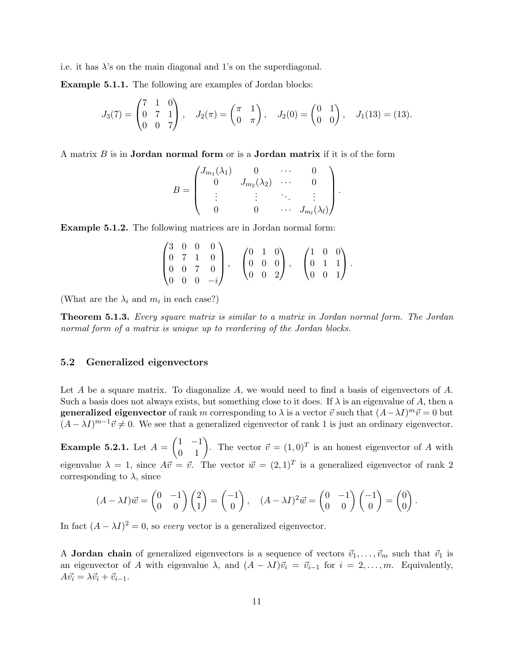i.e. it has  $\lambda$ 's on the main diagonal and 1's on the superdiagonal.

Example 5.1.1. The following are examples of Jordan blocks:

$$
J_3(7) = \begin{pmatrix} 7 & 1 & 0 \\ 0 & 7 & 1 \\ 0 & 0 & 7 \end{pmatrix}, \quad J_2(\pi) = \begin{pmatrix} \pi & 1 \\ 0 & \pi \end{pmatrix}, \quad J_2(0) = \begin{pmatrix} 0 & 1 \\ 0 & 0 \end{pmatrix}, \quad J_1(13) = (13).
$$

A matrix  $B$  is in **Jordan normal form** or is a **Jordan matrix** if it is of the form

$$
B = \begin{pmatrix} J_{m_1}(\lambda_1) & 0 & \cdots & 0 \\ 0 & J_{m_2}(\lambda_2) & \cdots & 0 \\ \vdots & \vdots & \ddots & \vdots \\ 0 & 0 & \cdots & J_{m_l}(\lambda_l) \end{pmatrix}.
$$

Example 5.1.2. The following matrices are in Jordan normal form:

|  |                                                                                                 |  |  |  | $\begin{pmatrix} 0 & 1 & 0 \\ 0 & 0 & 0 \\ 0 & 0 & 2 \end{pmatrix}$ , |  | $\begin{pmatrix} 1 & 0 & 0 \\ 0 & 1 & 1 \\ 0 & 0 & 1 \end{pmatrix}$ . |  |
|--|-------------------------------------------------------------------------------------------------|--|--|--|-----------------------------------------------------------------------|--|-----------------------------------------------------------------------|--|
|  | $\begin{pmatrix} 3 & 0 & 0 & 0 \ 0 & 7 & 1 & 0 \ 0 & 0 & 7 & 0 \ 0 & 0 & 0 & -i \end{pmatrix}.$ |  |  |  |                                                                       |  |                                                                       |  |
|  |                                                                                                 |  |  |  |                                                                       |  |                                                                       |  |

(What are the  $\lambda_i$  and  $m_i$  in each case?)

Theorem 5.1.3. Every square matrix is similar to a matrix in Jordan normal form. The Jordan normal form of a matrix is unique up to reordering of the Jordan blocks.

### 5.2 Generalized eigenvectors

Let A be a square matrix. To diagonalize  $A$ , we would need to find a basis of eigenvectors of  $A$ . Such a basis does not always exists, but something close to it does. If  $\lambda$  is an eigenvalue of A, then a **generalized eigenvector** of rank m corresponding to  $\lambda$  is a vector  $\vec{v}$  such that  $(A - \lambda I)^m \vec{v} = 0$  but  $(A - \lambda I)^{m-1}\vec{v} \neq 0$ . We see that a generalized eigenvector of rank 1 is just an ordinary eigenvector.

**Example 5.2.1.** Let  $A = \begin{pmatrix} 1 & -1 \\ 0 & 1 \end{pmatrix}$ . The vector  $\vec{v} = (1,0)^T$  is an honest eigenvector of A with eigenvalue  $\lambda = 1$ , since  $A\vec{v} = \vec{v}$ . The vector  $\vec{w} = (2, 1)^T$  is a generalized eigenvector of rank 2 corresponding to  $\lambda$ , since

$$
(A - \lambda I)\vec{w} = \begin{pmatrix} 0 & -1 \\ 0 & 0 \end{pmatrix} \begin{pmatrix} 2 \\ 1 \end{pmatrix} = \begin{pmatrix} -1 \\ 0 \end{pmatrix}, \quad (A - \lambda I)^2 \vec{w} = \begin{pmatrix} 0 & -1 \\ 0 & 0 \end{pmatrix} \begin{pmatrix} -1 \\ 0 \end{pmatrix} = \begin{pmatrix} 0 \\ 0 \end{pmatrix}
$$

.

In fact  $(A - \lambda I)^2 = 0$ , so *every* vector is a generalized eigenvector.

A **Jordan chain** of generalized eigenvectors is a sequence of vectors  $\vec{v}_1, \ldots, \vec{v}_m$  such that  $\vec{v}_1$  is an eigenvector of A with eigenvalue  $\lambda$ , and  $(A - \lambda I)\vec{v}_i = \vec{v}_{i-1}$  for  $i = 2, \ldots, m$ . Equivalently,  $A\vec{v_i} = \lambda \vec{v_i} + \vec{v_{i-1}}.$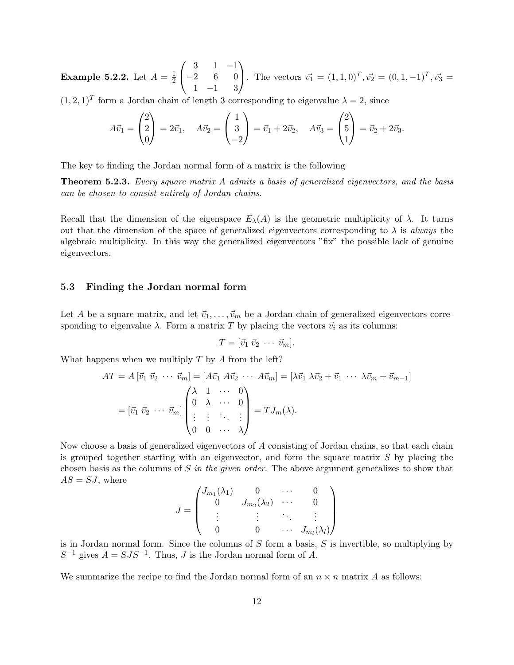**Example 5.2.2.** Let  $A = \frac{1}{2}$  $\overline{2}$  $\sqrt{ }$  $\mathcal{L}$ 3 1 −1  $-2$  6 0 1 −1 3  $\setminus$ . The vectors  $\vec{v_1} = (1, 1, 0)^T, \vec{v_2} = (0, 1, -1)^T, \vec{v_3} =$ 

 $(1, 2, 1)^T$  form a Jordan chain of length 3 corresponding to eigenvalue  $\lambda = 2$ , since

$$
A\vec{v}_1 = \begin{pmatrix} 2 \\ 2 \\ 0 \end{pmatrix} = 2\vec{v}_1, \quad A\vec{v}_2 = \begin{pmatrix} 1 \\ 3 \\ -2 \end{pmatrix} = \vec{v}_1 + 2\vec{v}_2, \quad A\vec{v}_3 = \begin{pmatrix} 2 \\ 5 \\ 1 \end{pmatrix} = \vec{v}_2 + 2\vec{v}_3.
$$

The key to finding the Jordan normal form of a matrix is the following

**Theorem 5.2.3.** Every square matrix A admits a basis of generalized eigenvectors, and the basis can be chosen to consist entirely of Jordan chains.

Recall that the dimension of the eigenspace  $E_{\lambda}(A)$  is the geometric multiplicity of  $\lambda$ . It turns out that the dimension of the space of generalized eigenvectors corresponding to  $\lambda$  is always the algebraic multiplicity. In this way the generalized eigenvectors "fix" the possible lack of genuine eigenvectors.

### 5.3 Finding the Jordan normal form

Let A be a square matrix, and let  $\vec{v}_1, \ldots, \vec{v}_m$  be a Jordan chain of generalized eigenvectors corresponding to eigenvalue  $\lambda$ . Form a matrix T by placing the vectors  $\vec{v}_i$  as its columns:

$$
T=[\vec{v}_1 \ \vec{v}_2 \ \cdots \ \vec{v}_m].
$$

What happens when we multiply  $T$  by  $A$  from the left?

$$
AT = A \begin{bmatrix} \vec{v}_1 & \vec{v}_2 & \cdots & \vec{v}_m \end{bmatrix} = \begin{bmatrix} A\vec{v}_1 & A\vec{v}_2 & \cdots & A\vec{v}_m \end{bmatrix} = \begin{bmatrix} \lambda\vec{v}_1 & \lambda\vec{v}_2 + \vec{v}_1 & \cdots & \lambda\vec{v}_m + \vec{v}_{m-1} \end{bmatrix}
$$

$$
= \begin{bmatrix} \vec{v}_1 & \vec{v}_2 & \cdots & \vec{v}_m \end{bmatrix} \begin{pmatrix} \lambda & 1 & \cdots & 0 \\ 0 & \lambda & \cdots & 0 \\ \vdots & \vdots & \ddots & \vdots \\ 0 & 0 & \cdots & \lambda \end{pmatrix} = TJ_m(\lambda).
$$

Now choose a basis of generalized eigenvectors of A consisting of Jordan chains, so that each chain is grouped together starting with an eigenvector, and form the square matrix  $S$  by placing the chosen basis as the columns of S in the given order. The above argument generalizes to show that  $AS = SJ$ , where

$$
J = \begin{pmatrix} J_{m_1}(\lambda_1) & 0 & \cdots & 0 \\ 0 & J_{m_2}(\lambda_2) & \cdots & 0 \\ \vdots & \vdots & \ddots & \vdots \\ 0 & 0 & \cdots & J_{m_l}(\lambda_l) \end{pmatrix}
$$

is in Jordan normal form. Since the columns of  $S$  form a basis,  $S$  is invertible, so multiplying by  $S^{-1}$  gives  $A = SJS^{-1}$ . Thus, J is the Jordan normal form of A.

We summarize the recipe to find the Jordan normal form of an  $n \times n$  matrix A as follows: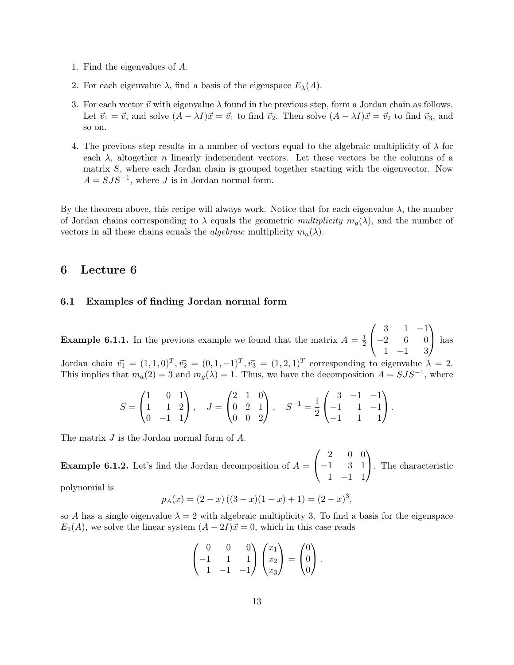- 1. Find the eigenvalues of A.
- 2. For each eigenvalue  $\lambda$ , find a basis of the eigenspace  $E_{\lambda}(A)$ .
- 3. For each vector  $\vec{v}$  with eigenvalue  $\lambda$  found in the previous step, form a Jordan chain as follows. Let  $\vec{v}_1 = \vec{v}$ , and solve  $(A - \lambda I)\vec{x} = \vec{v}_1$  to find  $\vec{v}_2$ . Then solve  $(A - \lambda I)\vec{x} = \vec{v}_2$  to find  $\vec{v}_3$ , and so on.
- 4. The previous step results in a number of vectors equal to the algebraic multiplicity of  $\lambda$  for each  $\lambda$ , altogether n linearly independent vectors. Let these vectors be the columns of a matrix S, where each Jordan chain is grouped together starting with the eigenvector. Now  $A = SJS^{-1}$ , where J is in Jordan normal form.

By the theorem above, this recipe will always work. Notice that for each eigenvalue  $\lambda$ , the number of Jordan chains corresponding to  $\lambda$  equals the geometric multiplicity  $m_q(\lambda)$ , and the number of vectors in all these chains equals the *algebraic* multiplicity  $m_a(\lambda)$ .

# 6 Lecture 6

### 6.1 Examples of finding Jordan normal form

**Example 6.1.1.** In the previous example we found that the matrix  $A = \frac{1}{2}$ 2  $\sqrt{ }$  $\mathcal{L}$ 3 1 −1  $-2$  6 0 1 −1 3  $\setminus$ has

Jordan chain  $\vec{v_1} = (1, 1, 0)^T, \vec{v_2} = (0, 1, -1)^T, \vec{v_3} = (1, 2, 1)^T$  corresponding to eigenvalue  $\lambda = 2$ . This implies that  $m_a(2) = 3$  and  $m_g(\lambda) = 1$ . Thus, we have the decomposition  $A = SJS^{-1}$ , where

$$
S = \begin{pmatrix} 1 & 0 & 1 \\ 1 & 1 & 2 \\ 0 & -1 & 1 \end{pmatrix}, \quad J = \begin{pmatrix} 2 & 1 & 0 \\ 0 & 2 & 1 \\ 0 & 0 & 2 \end{pmatrix}, \quad S^{-1} = \frac{1}{2} \begin{pmatrix} 3 & -1 & -1 \\ -1 & 1 & -1 \\ -1 & 1 & 1 \end{pmatrix}.
$$

The matrix J is the Jordan normal form of A.

**Example 6.1.2.** Let's find the Jordan decomposition of  $A =$  $\sqrt{ }$  $\mathcal{L}$ 2 0 0 −1 3 1 1 −1 1  $\setminus$ . The characteristic

polynomial is

$$
p_A(x) = (2 - x) ((3 - x)(1 - x) + 1) = (2 - x)^3,
$$

so A has a single eigenvalue  $\lambda = 2$  with algebraic multiplicity 3. To find a basis for the eigenspace  $E_2(A)$ , we solve the linear system  $(A - 2I)\vec{x} = 0$ , which in this case reads

$$
\begin{pmatrix} 0 & 0 & 0 \ -1 & 1 & 1 \ 1 & -1 & -1 \end{pmatrix} \begin{pmatrix} x_1 \ x_2 \ x_3 \end{pmatrix} = \begin{pmatrix} 0 \ 0 \ 0 \end{pmatrix}.
$$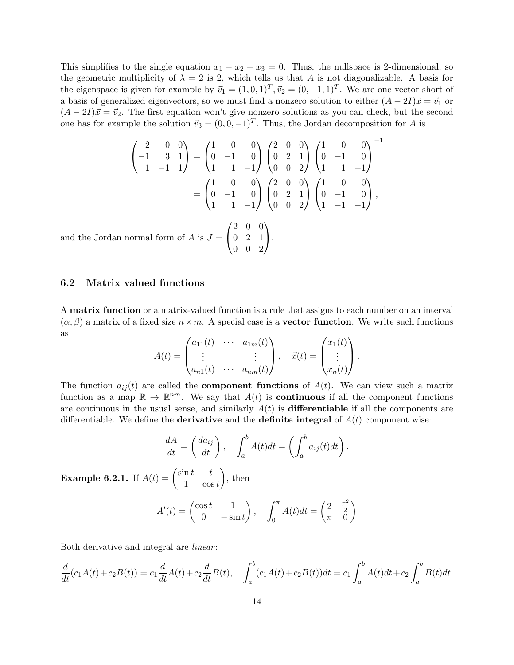This simplifies to the single equation  $x_1 - x_2 - x_3 = 0$ . Thus, the nullspace is 2-dimensional, so the geometric multiplicity of  $\lambda = 2$  is 2, which tells us that A is not diagonalizable. A basis for the eigenspace is given for example by  $\vec{v}_1 = (1, 0, 1)^T$ ,  $\vec{v}_2 = (0, -1, 1)^T$ . We are one vector short of a basis of generalized eigenvectors, so we must find a nonzero solution to either  $(A - 2I)\vec{x} = \vec{v}_1$  or  $(A - 2I)\vec{x} = \vec{v}_2$ . The first equation won't give nonzero solutions as you can check, but the second one has for example the solution  $\vec{v}_3 = (0, 0, -1)^T$ . Thus, the Jordan decomposition for A is

$$
\begin{pmatrix} 2 & 0 & 0 \ -1 & 3 & 1 \ 1 & -1 & 1 \end{pmatrix} = \begin{pmatrix} 1 & 0 & 0 \ 0 & -1 & 0 \ 1 & 1 & -1 \end{pmatrix} \begin{pmatrix} 2 & 0 & 0 \ 0 & 2 & 1 \ 0 & 0 & 2 \end{pmatrix} \begin{pmatrix} 1 & 0 & 0 \ 0 & -1 & 0 \ 1 & 1 & -1 \end{pmatrix}^{-1}
$$

$$
= \begin{pmatrix} 1 & 0 & 0 \ 0 & -1 & 0 \ 1 & 1 & -1 \end{pmatrix} \begin{pmatrix} 2 & 0 & 0 \ 0 & 2 & 1 \ 0 & 0 & 2 \end{pmatrix} \begin{pmatrix} 1 & 0 & 0 \ 0 & -1 & 0 \ 1 & -1 & -1 \end{pmatrix},
$$
and the Jordan normal form of  $A$  is  $J = \begin{pmatrix} 2 & 0 & 0 \ 0 & 2 & 1 \ 0 & 0 & 2 \end{pmatrix}$ .

0 0 2

6.2 Matrix valued functions

A matrix function or a matrix-valued function is a rule that assigns to each number on an interval  $(\alpha, \beta)$  a matrix of a fixed size  $n \times m$ . A special case is a **vector function**. We write such functions as

$$
A(t) = \begin{pmatrix} a_{11}(t) & \cdots & a_{1m}(t) \\ \vdots & & \vdots \\ a_{n1}(t) & \cdots & a_{nm}(t) \end{pmatrix}, \quad \vec{x}(t) = \begin{pmatrix} x_1(t) \\ \vdots \\ x_n(t) \end{pmatrix}.
$$

The function  $a_{ij}(t)$  are called the **component functions** of  $A(t)$ . We can view such a matrix function as a map  $\mathbb{R} \to \mathbb{R}^{nm}$ . We say that  $A(t)$  is **continuous** if all the component functions are continuous in the usual sense, and similarly  $A(t)$  is **differentiable** if all the components are differentiable. We define the **derivative** and the **definite integral** of  $A(t)$  component wise:

$$
\frac{dA}{dt} = \left(\frac{da_{ij}}{dt}\right), \quad \int_a^b A(t)dt = \left(\int_a^b a_{ij}(t)dt\right).
$$

**Example 6.2.1.** If  $A(t) = \begin{pmatrix} \sin t & t \\ 1 & \cos t \end{pmatrix}$ 1  $\cos t$  $\Big)$ , then

$$
A'(t) = \begin{pmatrix} \cos t & 1\\ 0 & -\sin t \end{pmatrix}, \quad \int_0^\pi A(t)dt = \begin{pmatrix} 2 & \frac{\pi^2}{2} \\ \pi & 0 \end{pmatrix}
$$

Both derivative and integral are *linear*:

$$
\frac{d}{dt}(c_1A(t) + c_2B(t)) = c_1\frac{d}{dt}A(t) + c_2\frac{d}{dt}B(t), \quad \int_a^b (c_1A(t) + c_2B(t))dt = c_1\int_a^b A(t)dt + c_2\int_a^b B(t)dt.
$$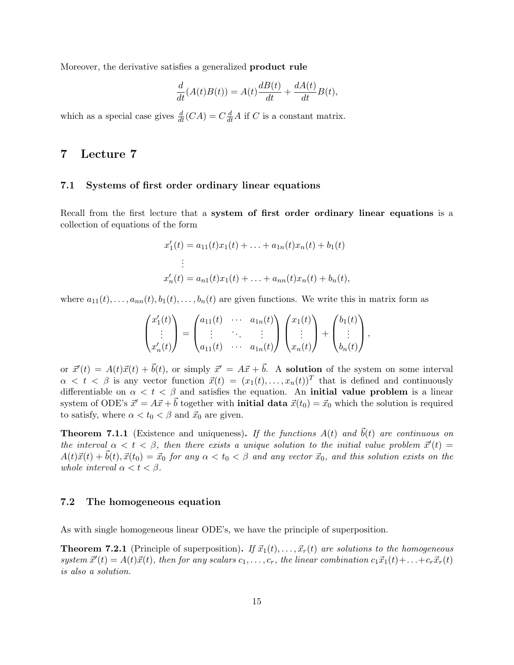Moreover, the derivative satisfies a generalized product rule

$$
\frac{d}{dt}(A(t)B(t)) = A(t)\frac{dB(t)}{dt} + \frac{dA(t)}{dt}B(t),
$$

which as a special case gives  $\frac{d}{dt}(CA) = C\frac{d}{dt}A$  if C is a constant matrix.

# 7 Lecture 7

### 7.1 Systems of first order ordinary linear equations

Recall from the first lecture that a system of first order ordinary linear equations is a collection of equations of the form

$$
x'_1(t) = a_{11}(t)x_1(t) + \ldots + a_{1n}(t)x_n(t) + b_1(t)
$$
  
\n
$$
\vdots
$$
  
\n
$$
x'_n(t) = a_{n1}(t)x_1(t) + \ldots + a_{nn}(t)x_n(t) + b_n(t),
$$

where  $a_{11}(t), \ldots, a_{nn}(t), b_1(t), \ldots, b_n(t)$  are given functions. We write this in matrix form as

$$
\begin{pmatrix} x_1'(t) \\ \vdots \\ x_n'(t) \end{pmatrix} = \begin{pmatrix} a_{11}(t) & \cdots & a_{1n}(t) \\ \vdots & \ddots & \vdots \\ a_{11}(t) & \cdots & a_{1n}(t) \end{pmatrix} \begin{pmatrix} x_1(t) \\ \vdots \\ x_n(t) \end{pmatrix} + \begin{pmatrix} b_1(t) \\ \vdots \\ b_n(t) \end{pmatrix},
$$

or  $\vec{x}'(t) = A(t)\vec{x}(t) + \vec{b}(t)$ , or simply  $\vec{x}' = A\vec{x} + \vec{b}$ . A solution of the system on some interval  $\alpha < t < \beta$  is any vector function  $\vec{x}(t) = (x_1(t), \ldots, x_n(t))^T$  that is defined and continuously differentiable on  $\alpha < t < \beta$  and satisfies the equation. An **initial value problem** is a linear system of ODE's  $\vec{x}' = A\vec{x} + \vec{b}$  together with **initial data**  $\vec{x}(t_0) = \vec{x}_0$  which the solution is required to satisfy, where  $\alpha < t_0 < \beta$  and  $\vec{x}_0$  are given.

**Theorem 7.1.1** (Existence and uniqueness). If the functions  $A(t)$  and  $\vec{b}(t)$  are continuous on the interval  $\alpha < t < \beta$ , then there exists a unique solution to the initial value problem  $\vec{x}'(t) =$  $A(t)\vec{x}(t) + \vec{b}(t), \vec{x}(t_0) = \vec{x}_0$  for any  $\alpha < t_0 < \beta$  and any vector  $\vec{x}_0$ , and this solution exists on the whole interval  $\alpha < t < \beta$ .

#### 7.2 The homogeneous equation

As with single homogeneous linear ODE's, we have the principle of superposition.

**Theorem 7.2.1** (Principle of superposition). If  $\vec{x}_1(t), \ldots, \vec{x}_r(t)$  are solutions to the homogeneous system  $\vec{x}'(t) = A(t)\vec{x}(t)$ , then for any scalars  $c_1, \ldots, c_r$ , the linear combination  $c_1\vec{x}_1(t) + \ldots + c_r\vec{x}_r(t)$ is also a solution.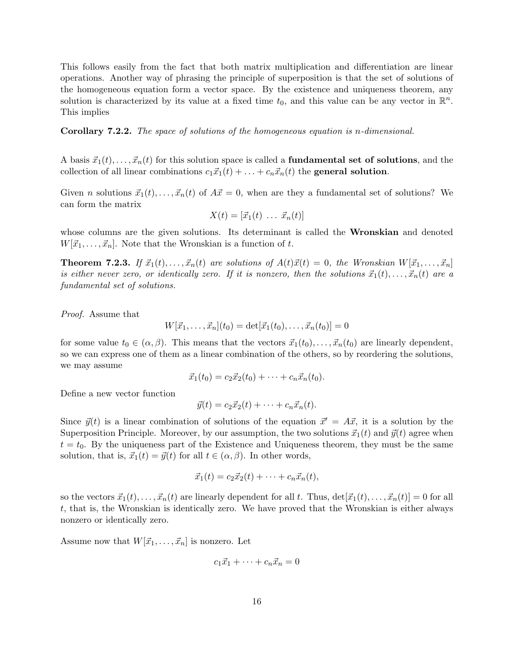This follows easily from the fact that both matrix multiplication and differentiation are linear operations. Another way of phrasing the principle of superposition is that the set of solutions of the homogeneous equation form a vector space. By the existence and uniqueness theorem, any solution is characterized by its value at a fixed time  $t_0$ , and this value can be any vector in  $\mathbb{R}^n$ . This implies

Corollary 7.2.2. The space of solutions of the homogeneous equation is n-dimensional.

A basis  $\vec{x}_1(t), \ldots, \vec{x}_n(t)$  for this solution space is called a **fundamental set of solutions**, and the collection of all linear combinations  $c_1\vec{x}_1(t) + \ldots + c_n\vec{x}_n(t)$  the general solution.

Given *n* solutions  $\vec{x}_1(t), \dots, \vec{x}_n(t)$  of  $A\vec{x} = 0$ , when are they a fundamental set of solutions? We can form the matrix

$$
X(t) = [\vec{x}_1(t) \dots \vec{x}_n(t)]
$$

whose columns are the given solutions. Its determinant is called the **Wronskian** and denoted  $W[\vec{x}_1, \ldots, \vec{x}_n]$ . Note that the Wronskian is a function of t.

**Theorem 7.2.3.** If  $\vec{x}_1(t), \ldots, \vec{x}_n(t)$  are solutions of  $A(t)\vec{x}(t) = 0$ , the Wronskian  $W[\vec{x}_1, \ldots, \vec{x}_n]$ is either never zero, or identically zero. If it is nonzero, then the solutions  $\vec{x}_1(t), \ldots, \vec{x}_n(t)$  are a fundamental set of solutions.

Proof. Assume that

$$
W[\vec{x}_1,\ldots,\vec{x}_n](t_0) = \det[\vec{x}_1(t_0),\ldots,\vec{x}_n(t_0)] = 0
$$

for some value  $t_0 \in (\alpha, \beta)$ . This means that the vectors  $\vec{x}_1(t_0), \dots, \vec{x}_n(t_0)$  are linearly dependent, so we can express one of them as a linear combination of the others, so by reordering the solutions, we may assume

$$
\vec{x}_1(t_0) = c_2 \vec{x}_2(t_0) + \cdots + c_n \vec{x}_n(t_0).
$$

Define a new vector function

$$
\vec{y}(t) = c_2 \vec{x}_2(t) + \cdots + c_n \vec{x}_n(t).
$$

Since  $\vec{y}(t)$  is a linear combination of solutions of the equation  $\vec{x}' = A\vec{x}$ , it is a solution by the Superposition Principle. Moreover, by our assumption, the two solutions  $\vec{x}_1(t)$  and  $\vec{y}(t)$  agree when  $t = t<sub>0</sub>$ . By the uniqueness part of the Existence and Uniqueness theorem, they must be the same solution, that is,  $\vec{x}_1(t) = \vec{y}(t)$  for all  $t \in (\alpha, \beta)$ . In other words,

$$
\vec{x}_1(t) = c_2 \vec{x}_2(t) + \cdots + c_n \vec{x}_n(t),
$$

so the vectors  $\vec{x}_1(t), \ldots, \vec{x}_n(t)$  are linearly dependent for all t. Thus,  $\det[\vec{x}_1(t), \ldots, \vec{x}_n(t)] = 0$  for all t, that is, the Wronskian is identically zero. We have proved that the Wronskian is either always nonzero or identically zero.

Assume now that  $W[\vec{x}_1, \ldots, \vec{x}_n]$  is nonzero. Let

$$
c_1\vec{x}_1 + \dots + c_n\vec{x}_n = 0
$$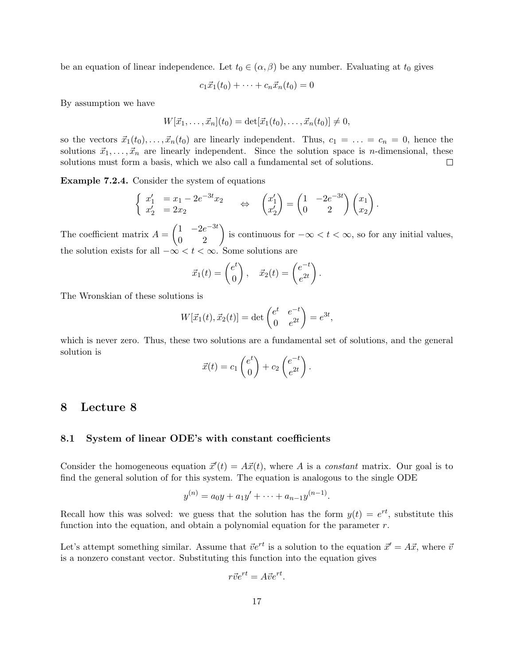be an equation of linear independence. Let  $t_0 \in (\alpha, \beta)$  be any number. Evaluating at  $t_0$  gives

$$
c_1\vec{x}_1(t_0) + \cdots + c_n\vec{x}_n(t_0) = 0
$$

By assumption we have

$$
W[\vec{x}_1,\ldots,\vec{x}_n](t_0) = \det[\vec{x}_1(t_0),\ldots,\vec{x}_n(t_0)] \neq 0,
$$

so the vectors  $\vec{x}_1(t_0), \ldots, \vec{x}_n(t_0)$  are linearly independent. Thus,  $c_1 = \ldots = c_n = 0$ , hence the solutions  $\vec{x}_1, \ldots, \vec{x}_n$  are linearly independent. Since the solution space is *n*-dimensional, these solutions must form a basis, which we also call a fundamental set of solutions.  $\Box$ 

Example 7.2.4. Consider the system of equations

$$
\begin{cases}\nx'_1 = x_1 - 2e^{-3t}x_2 \\
x'_2 = 2x_2\n\end{cases}\n\Leftrightarrow\n\begin{pmatrix}\nx'_1 \\
x'_2\n\end{pmatrix} = \begin{pmatrix}\n1 & -2e^{-3t} \\
0 & 2\n\end{pmatrix}\begin{pmatrix}\nx_1 \\
x_2\n\end{pmatrix}.
$$

The coefficient matrix  $A = \begin{pmatrix} 1 & -2e^{-3t} \\ 0 & 2 \end{pmatrix}$  is continuous for  $-\infty < t < \infty$ , so for any initial values, the solution exists for all  $-\infty < t < \infty$ . Some solutions are

$$
\vec{x}_1(t) = \begin{pmatrix} e^t \\ 0 \end{pmatrix}, \quad \vec{x}_2(t) = \begin{pmatrix} e^{-t} \\ e^{2t} \end{pmatrix}.
$$

The Wronskian of these solutions is

$$
W[\vec{x}_1(t), \vec{x}_2(t)] = \det \begin{pmatrix} e^t & e^{-t} \\ 0 & e^{2t} \end{pmatrix} = e^{3t},
$$

which is never zero. Thus, these two solutions are a fundamental set of solutions, and the general solution is

$$
\vec{x}(t) = c_1 \begin{pmatrix} e^t \\ 0 \end{pmatrix} + c_2 \begin{pmatrix} e^{-t} \\ e^{2t} \end{pmatrix}.
$$

# 8 Lecture 8

#### 8.1 System of linear ODE's with constant coefficients

Consider the homogeneous equation  $\vec{x}'(t) = A\vec{x}(t)$ , where A is a constant matrix. Our goal is to find the general solution of for this system. The equation is analogous to the single ODE

$$
y^{(n)} = a_0y + a_1y' + \dots + a_{n-1}y^{(n-1)}.
$$

Recall how this was solved: we guess that the solution has the form  $y(t) = e^{rt}$ , substitute this function into the equation, and obtain a polynomial equation for the parameter  $r$ .

Let's attempt something similar. Assume that  $\vec{v}e^{rt}$  is a solution to the equation  $\vec{x}' = A\vec{x}$ , where  $\vec{v}$ is a nonzero constant vector. Substituting this function into the equation gives

$$
r\vec{v}e^{rt} = A\vec{v}e^{rt}.
$$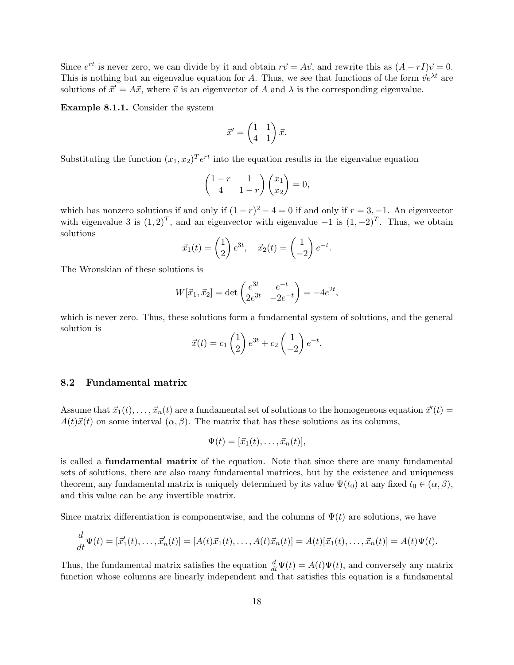Since  $e^{rt}$  is never zero, we can divide by it and obtain  $r\vec{v} = A\vec{v}$ , and rewrite this as  $(A - rI)\vec{v} = 0$ . This is nothing but an eigenvalue equation for A. Thus, we see that functions of the form  $\vec{v}e^{\lambda t}$  are solutions of  $\vec{x}' = A\vec{x}$ , where  $\vec{v}$  is an eigenvector of A and  $\lambda$  is the corresponding eigenvalue.

Example 8.1.1. Consider the system

$$
\vec{x}' = \begin{pmatrix} 1 & 1 \\ 4 & 1 \end{pmatrix} \vec{x}.
$$

Substituting the function  $(x_1, x_2)^T e^{rt}$  into the equation results in the eigenvalue equation

$$
\begin{pmatrix} 1-r & 1 \ 4 & 1-r \end{pmatrix} \begin{pmatrix} x_1 \ x_2 \end{pmatrix} = 0,
$$

which has nonzero solutions if and only if  $(1 - r)^2 - 4 = 0$  if and only if  $r = 3, -1$ . An eigenvector with eigenvalue 3 is  $(1, 2)^T$ , and an eigenvector with eigenvalue  $-1$  is  $(1, -2)^T$ . Thus, we obtain solutions

$$
\vec{x}_1(t) = \begin{pmatrix} 1 \\ 2 \end{pmatrix} e^{3t}, \quad \vec{x}_2(t) = \begin{pmatrix} 1 \\ -2 \end{pmatrix} e^{-t}.
$$

The Wronskian of these solutions is

$$
W[\vec{x}_1, \vec{x}_2] = \det \begin{pmatrix} e^{3t} & e^{-t} \\ 2e^{3t} & -2e^{-t} \end{pmatrix} = -4e^{2t},
$$

which is never zero. Thus, these solutions form a fundamental system of solutions, and the general solution is

$$
\vec{x}(t) = c_1 \begin{pmatrix} 1 \\ 2 \end{pmatrix} e^{3t} + c_2 \begin{pmatrix} 1 \\ -2 \end{pmatrix} e^{-t}.
$$

# 8.2 Fundamental matrix

Assume that  $\vec{x}_1(t), \ldots, \vec{x}_n(t)$  are a fundamental set of solutions to the homogeneous equation  $\vec{x}'(t)$  $A(t)\vec{x}(t)$  on some interval  $(\alpha, \beta)$ . The matrix that has these solutions as its columns,

$$
\Psi(t) = [\vec{x}_1(t), \dots, \vec{x}_n(t)],
$$

is called a fundamental matrix of the equation. Note that since there are many fundamental sets of solutions, there are also many fundamental matrices, but by the existence and uniqueness theorem, any fundamental matrix is uniquely determined by its value  $\Psi(t_0)$  at any fixed  $t_0 \in (\alpha, \beta)$ , and this value can be any invertible matrix.

Since matrix differentiation is componentwise, and the columns of  $\Psi(t)$  are solutions, we have

$$
\frac{d}{dt}\Psi(t) = [\vec{x}'_1(t), \dots, \vec{x}'_n(t)] = [A(t)\vec{x}_1(t), \dots, A(t)\vec{x}_n(t)] = A(t)[\vec{x}_1(t), \dots, \vec{x}_n(t)] = A(t)\Psi(t).
$$

Thus, the fundamental matrix satisfies the equation  $\frac{d}{dt}\Psi(t) = A(t)\Psi(t)$ , and conversely any matrix function whose columns are linearly independent and that satisfies this equation is a fundamental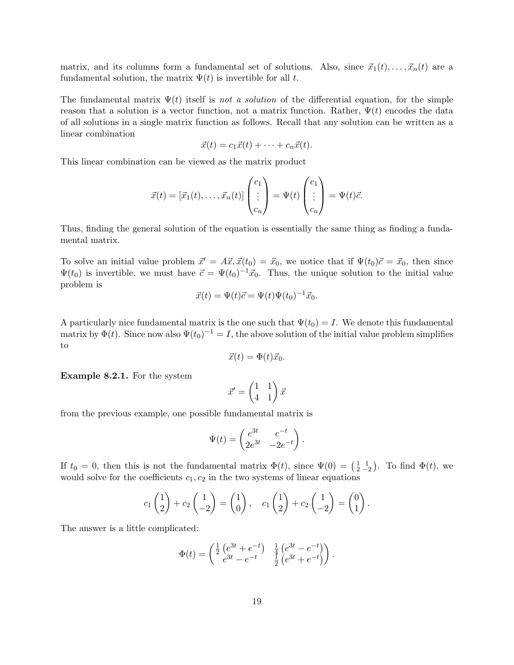matrix, and its columns form a fundamental set of solutions. Also, since  $\vec{x}_1(t), \ldots, \vec{x}_n(t)$  are a fundamental solution, the matrix  $\Psi(t)$  is invertible for all t.

The fundamental matrix  $\Psi(t)$  itself is not a solution of the differential equation, for the simple reason that a solution is a vector function, not a matrix function. Rather,  $\Psi(t)$  encodes the data of all solutions in a single matrix function as follows. Recall that any solution can be written as a linear combination

$$
\vec{x}(t) = c_1 \vec{x}(t) + \cdots + c_n \vec{x}(t).
$$

This linear combination can be viewed as the matrix product

$$
\vec{x}(t) = [\vec{x}_1(t), \dots, \vec{x}_n(t)] \begin{pmatrix} c_1 \\ \vdots \\ c_n \end{pmatrix} = \Psi(t) \begin{pmatrix} c_1 \\ \vdots \\ c_n \end{pmatrix} = \Psi(t)\vec{c}.
$$

Thus, finding the general solution of the equation is essentially the same thing as finding a fundamental matrix.

To solve an initial value problem  $\vec{x}' = A\vec{x}, \vec{x}(t_0) = \vec{x}_0$ , we notice that if  $\Psi(t_0)\vec{c} = \vec{x}_0$ , then since  $\Psi(t_0)$  is invertible, we must have  $\vec{c} = \Psi(t_0)^{-1}\vec{x}_0$ . Thus, the unique solution to the initial value problem is

$$
\vec{x}(t) = \Psi(t)\vec{c} = \Psi(t)\Psi(t_0)^{-1}\vec{x}_0.
$$

A particularly nice fundamental matrix is the one such that  $\Psi(t_0) = I$ . We denote this fundamental matrix by  $\Phi(t)$ . Since now also  $\Psi(t_0)^{-1} = I$ , the above solution of the initial value problem simplifies to

$$
\vec{x}(t) = \Phi(t)\vec{x}_0.
$$

Example 8.2.1. For the system

$$
\vec{x}' = \begin{pmatrix} 1 & 1 \\ 4 & 1 \end{pmatrix} \vec{x}
$$

from the previous example, one possible fundamental matrix is

$$
\Psi(t)=\begin{pmatrix} e^{3t}& e^{-t}\\ 2e^{3t}&-2e^{-t}\end{pmatrix}.
$$

If  $t_0 = 0$ , then this is not the fundamental matrix  $\Phi(t)$ , since  $\Psi(0) = \begin{pmatrix} 1 & 1 \\ 2 & -2 \end{pmatrix}$ . To find  $\Phi(t)$ , we would solve for the coefficients  $c_1, c_2$  in the two systems of linear equations

$$
c_1\begin{pmatrix}1\\2\end{pmatrix}+c_2\begin{pmatrix}1\\-2\end{pmatrix}=\begin{pmatrix}1\\0\end{pmatrix}, \quad c_1\begin{pmatrix}1\\2\end{pmatrix}+c_2\begin{pmatrix}1\\-2\end{pmatrix}=\begin{pmatrix}0\\1\end{pmatrix}.
$$

The answer is a little complicated:

$$
\Phi(t) = \begin{pmatrix} \frac{1}{2} \left( e^{3t} + e^{-t} \right) & \frac{1}{4} \left( e^{3t} - e^{-t} \right) \\ e^{3t} - e^{-t} & \frac{1}{2} \left( e^{3t} + e^{-t} \right) \end{pmatrix}.
$$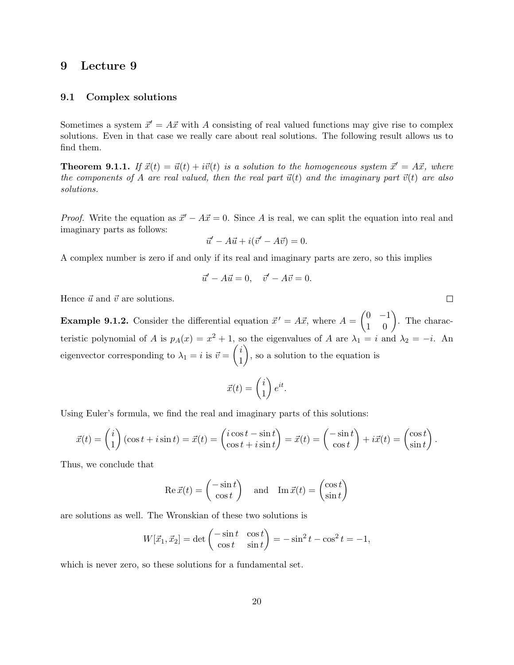# 9 Lecture 9

### 9.1 Complex solutions

Sometimes a system  $\vec{x}' = A\vec{x}$  with A consisting of real valued functions may give rise to complex solutions. Even in that case we really care about real solutions. The following result allows us to find them.

**Theorem 9.1.1.** If  $\vec{x}(t) = \vec{u}(t) + i\vec{v}(t)$  is a solution to the homogeneous system  $\vec{x}' = A\vec{x}$ , where the components of A are real valued, then the real part  $\vec{u}(t)$  and the imaginary part  $\vec{v}(t)$  are also solutions.

*Proof.* Write the equation as  $\vec{x}' - A\vec{x} = 0$ . Since A is real, we can split the equation into real and imaginary parts as follows:

$$
\vec{u}' - A\vec{u} + i(\vec{v}' - A\vec{v}) = 0.
$$

A complex number is zero if and only if its real and imaginary parts are zero, so this implies

$$
\vec{u}' - A\vec{u} = 0, \quad \vec{v}' - A\vec{v} = 0.
$$

Hence  $\vec{u}$  and  $\vec{v}$  are solutions.

**Example 9.1.2.** Consider the differential equation  $\vec{x}' = A\vec{x}$ , where  $A = \begin{pmatrix} 0 & -1 \\ 1 & 0 \end{pmatrix}$ . The characteristic polynomial of A is  $p_A(x) = x^2 + 1$ , so the eigenvalues of A are  $\lambda_1 = i$  and  $\lambda_2 = -i$ . An eigenvector corresponding to  $\lambda_1 = i$  is  $\vec{v} = \begin{pmatrix} i \\ 1 \end{pmatrix}$ 1 ), so a solution to the equation is

$$
\vec{x}(t) = \begin{pmatrix} i \\ 1 \end{pmatrix} e^{it}.
$$

Using Euler's formula, we find the real and imaginary parts of this solutions:

$$
\vec{x}(t) = \begin{pmatrix} i \\ 1 \end{pmatrix} (\cos t + i \sin t) = \vec{x}(t) = \begin{pmatrix} i \cos t - \sin t \\ \cos t + i \sin t \end{pmatrix} = \vec{x}(t) = \begin{pmatrix} -\sin t \\ \cos t \end{pmatrix} + i\vec{x}(t) = \begin{pmatrix} \cos t \\ \sin t \end{pmatrix}
$$

Thus, we conclude that

Re 
$$
\vec{x}(t) = \begin{pmatrix} -\sin t \\ \cos t \end{pmatrix}
$$
 and Im  $\vec{x}(t) = \begin{pmatrix} \cos t \\ \sin t \end{pmatrix}$ 

are solutions as well. The Wronskian of these two solutions is

$$
W[\vec{x}_1, \vec{x}_2] = \det \begin{pmatrix} -\sin t & \cos t \\ \cos t & \sin t \end{pmatrix} = -\sin^2 t - \cos^2 t = -1,
$$

which is never zero, so these solutions for a fundamental set.

 $\Box$ 

.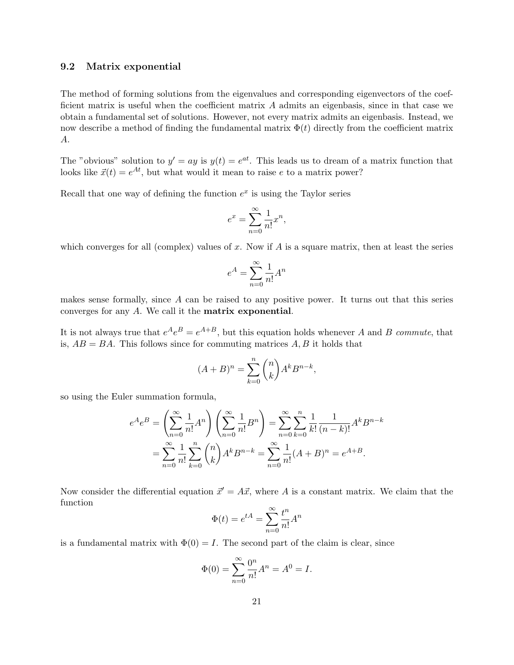### 9.2 Matrix exponential

The method of forming solutions from the eigenvalues and corresponding eigenvectors of the coefficient matrix is useful when the coefficient matrix A admits an eigenbasis, since in that case we obtain a fundamental set of solutions. However, not every matrix admits an eigenbasis. Instead, we now describe a method of finding the fundamental matrix  $\Phi(t)$  directly from the coefficient matrix A.

The "obvious" solution to  $y' = ay$  is  $y(t) = e^{at}$ . This leads us to dream of a matrix function that looks like  $\vec{x}(t) = e^{At}$ , but what would it mean to raise e to a matrix power?

Recall that one way of defining the function  $e^x$  is using the Taylor series

$$
e^x = \sum_{n=0}^{\infty} \frac{1}{n!} x^n,
$$

which converges for all (complex) values of x. Now if  $A$  is a square matrix, then at least the series

$$
e^A = \sum_{n=0}^\infty \frac{1}{n!} A^n
$$

makes sense formally, since A can be raised to any positive power. It turns out that this series converges for any A. We call it the matrix exponential.

It is not always true that  $e^{A}e^{B}=e^{A+B}$ , but this equation holds whenever A and B commute, that is,  $AB = BA$ . This follows since for commuting matrices  $A, B$  it holds that

$$
(A+B)^n = \sum_{k=0}^n \binom{n}{k} A^k B^{n-k},
$$

so using the Euler summation formula,

$$
e^{A}e^{B} = \left(\sum_{n=0}^{\infty} \frac{1}{n!} A^{n}\right) \left(\sum_{n=0}^{\infty} \frac{1}{n!} B^{n}\right) = \sum_{n=0}^{\infty} \sum_{k=0}^{n} \frac{1}{k!} \frac{1}{(n-k)!} A^{k} B^{n-k}
$$

$$
= \sum_{n=0}^{\infty} \frac{1}{n!} \sum_{k=0}^{n} {n \choose k} A^{k} B^{n-k} = \sum_{n=0}^{\infty} \frac{1}{n!} (A+B)^{n} = e^{A+B}.
$$

Now consider the differential equation  $\vec{x}' = A\vec{x}$ , where A is a constant matrix. We claim that the function

$$
\Phi(t) = e^{tA} = \sum_{n=0}^{\infty} \frac{t^n}{n!} A^n
$$

is a fundamental matrix with  $\Phi(0) = I$ . The second part of the claim is clear, since

$$
\Phi(0) = \sum_{n=0}^{\infty} \frac{0^n}{n!} A^n = A^0 = I.
$$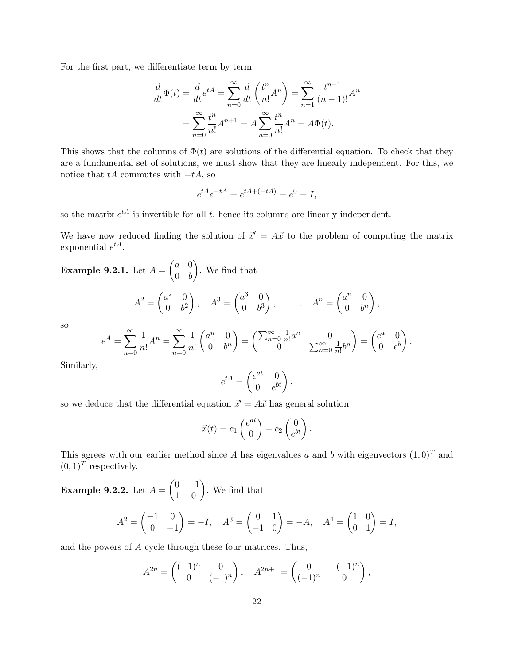For the first part, we differentiate term by term:

$$
\frac{d}{dt}\Phi(t) = \frac{d}{dt}e^{tA} = \sum_{n=0}^{\infty} \frac{d}{dt} \left(\frac{t^n}{n!}A^n\right) = \sum_{n=1}^{\infty} \frac{t^{n-1}}{(n-1)!}A^n
$$

$$
= \sum_{n=0}^{\infty} \frac{t^n}{n!}A^{n+1} = A \sum_{n=0}^{\infty} \frac{t^n}{n!}A^n = A\Phi(t).
$$

This shows that the columns of  $\Phi(t)$  are solutions of the differential equation. To check that they are a fundamental set of solutions, we must show that they are linearly independent. For this, we notice that  $tA$  commutes with  $-tA$ , so

$$
e^{tA}e^{-tA} = e^{tA + (-tA)} = e^0 = I,
$$

so the matrix  $e^{tA}$  is invertible for all t, hence its columns are linearly independent.

We have now reduced finding the solution of  $\vec{x}' = A\vec{x}$  to the problem of computing the matrix exponential  $e^{tA}$ .

**Example 9.2.1.** Let 
$$
A = \begin{pmatrix} a & 0 \ 0 & b \end{pmatrix}
$$
. We find that  
\n
$$
A^2 = \begin{pmatrix} a^2 & 0 \ 0 & b^2 \end{pmatrix}, \quad A^3 = \begin{pmatrix} a^3 & 0 \ 0 & b^3 \end{pmatrix}, \quad \dots, \quad A^n = \begin{pmatrix} a^n & 0 \ 0 & b^n \end{pmatrix},
$$
\nso\n
$$
\begin{pmatrix} \infty & 1 & \infty & 1 \end{pmatrix} \begin{pmatrix} n & 0 \end{pmatrix} \quad \leftarrow \begin{pmatrix} \infty & 1 & n \end{pmatrix} \quad \text{and} \quad A^n = \begin{pmatrix} a^n & 0 \ 0 & b^n \end{pmatrix}.
$$

s

$$
e^{A} = \sum_{n=0}^{\infty} \frac{1}{n!} A^{n} = \sum_{n=0}^{\infty} \frac{1}{n!} \begin{pmatrix} a^{n} & 0 \\ 0 & b^{n} \end{pmatrix} = \begin{pmatrix} \sum_{n=0}^{\infty} \frac{1}{n!} a^{n} & 0 \\ 0 & \sum_{n=0}^{\infty} \frac{1}{n!} b^{n} \end{pmatrix} = \begin{pmatrix} e^{a} & 0 \\ 0 & e^{b} \end{pmatrix}.
$$

Similarly,

$$
e^{tA} = \begin{pmatrix} e^{at} & 0 \\ 0 & e^{bt} \end{pmatrix},
$$

so we deduce that the differential equation  $\vec{x}' = A\vec{x}$  has general solution

$$
\vec{x}(t) = c_1 \begin{pmatrix} e^{at} \\ 0 \end{pmatrix} + c_2 \begin{pmatrix} 0 \\ e^{bt} \end{pmatrix}.
$$

This agrees with our earlier method since A has eigenvalues a and b with eigenvectors  $(1,0)^T$  and  $(0,1)^T$  respectively.

**Example 9.2.2.** Let  $A = \begin{pmatrix} 0 & -1 \\ 1 & 0 \end{pmatrix}$ . We find that  $A^2 = \begin{pmatrix} -1 & 0 \\ 0 & 0 \end{pmatrix}$  $0 -1$  $A^3 = \begin{pmatrix} 0 & 1 \\ -1 & 0 \end{pmatrix} = -A, \quad A^4 = \begin{pmatrix} 1 & 0 \\ 0 & 1 \end{pmatrix} = I,$ 

and the powers of A cycle through these four matrices. Thus,

$$
A^{2n} = \begin{pmatrix} (-1)^n & 0 \\ 0 & (-1)^n \end{pmatrix}, \quad A^{2n+1} = \begin{pmatrix} 0 & -(-1)^n \\ (-1)^n & 0 \end{pmatrix},
$$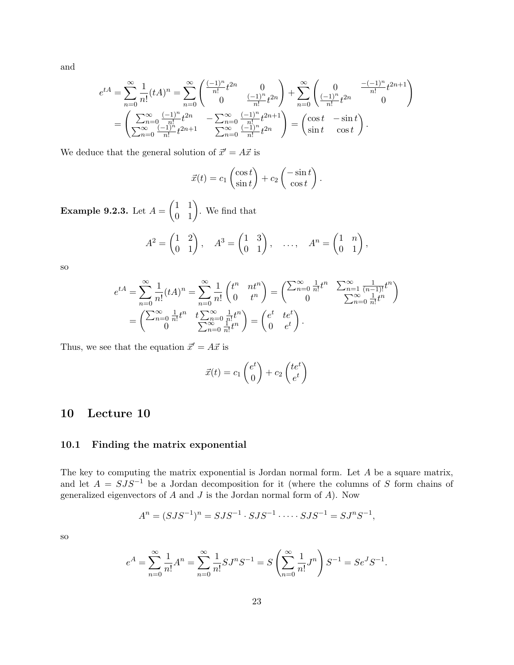and

$$
e^{tA} = \sum_{n=0}^{\infty} \frac{1}{n!} (tA)^n = \sum_{n=0}^{\infty} \begin{pmatrix} \frac{(-1)^n}{n!} t^{2n} & 0\\ 0 & \frac{(-1)^n}{n!} t^{2n} \end{pmatrix} + \sum_{n=0}^{\infty} \begin{pmatrix} 0 & \frac{(-1)^n}{n!} t^{2n+1} \\\frac{(-1)^n}{n!} t^{2n} & 0 \end{pmatrix}
$$

$$
= \begin{pmatrix} \sum_{n=0}^{\infty} \frac{(-1)^n}{n!} t^{2n} & -\sum_{n=0}^{\infty} \frac{(-1)^n}{n!} t^{2n+1} \\\sum_{n=0}^{\infty} \frac{(-1)^n}{n!} t^{2n} & \sum_{n=0}^{\infty} \frac{(-1)^n}{n!} t^{2n} \end{pmatrix} = \begin{pmatrix} \cos t & -\sin t \\ \sin t & \cos t \end{pmatrix}.
$$

We deduce that the general solution of  $\vec{x}' = A\vec{x}$  is

$$
\vec{x}(t) = c_1 \begin{pmatrix} \cos t \\ \sin t \end{pmatrix} + c_2 \begin{pmatrix} -\sin t \\ \cos t \end{pmatrix}.
$$

**Example 9.2.3.** Let  $A = \begin{pmatrix} 1 & 1 \\ 0 & 1 \end{pmatrix}$ . We find that

$$
A2 = \begin{pmatrix} 1 & 2 \\ 0 & 1 \end{pmatrix}, \quad A3 = \begin{pmatrix} 1 & 3 \\ 0 & 1 \end{pmatrix}, \quad \dots, \quad An = \begin{pmatrix} 1 & n \\ 0 & 1 \end{pmatrix},
$$

so

$$
e^{tA} = \sum_{n=0}^{\infty} \frac{1}{n!} (tA)^n = \sum_{n=0}^{\infty} \frac{1}{n!} \begin{pmatrix} t^n & nt^n \\ 0 & t^n \end{pmatrix} = \begin{pmatrix} \sum_{n=0}^{\infty} \frac{1}{n!} t^n & \sum_{n=1}^{\infty} \frac{1}{(n-1)!} t^n \\ 0 & \sum_{n=0}^{\infty} \frac{1}{n!} t^n \end{pmatrix}
$$

$$
= \begin{pmatrix} \sum_{n=0}^{\infty} \frac{1}{n!} t^n & t \sum_{n=0}^{\infty} \frac{1}{n!} t^n \\ 0 & \sum_{n=0}^{\infty} \frac{1}{n!} t^n \end{pmatrix} = \begin{pmatrix} e^t & te^t \\ 0 & e^t \end{pmatrix}.
$$

Thus, we see that the equation  $\vec{x}' = A\vec{x}$  is

$$
\vec{x}(t) = c_1 \begin{pmatrix} e^t \\ 0 \end{pmatrix} + c_2 \begin{pmatrix} te^t \\ e^t \end{pmatrix}
$$

# 10 Lecture 10

## 10.1 Finding the matrix exponential

The key to computing the matrix exponential is Jordan normal form. Let A be a square matrix, and let  $A = SJS^{-1}$  be a Jordan decomposition for it (where the columns of S form chains of generalized eigenvectors of  $A$  and  $J$  is the Jordan normal form of  $A$ ). Now

$$
A^{n} = (SJS^{-1})^{n} = SJS^{-1} \cdot SJS^{-1} \cdot \dots \cdot SJS^{-1} = SJ^{n}S^{-1},
$$

so

$$
e^{A} = \sum_{n=0}^{\infty} \frac{1}{n!} A^{n} = \sum_{n=0}^{\infty} \frac{1}{n!} S J^{n} S^{-1} = S \left( \sum_{n=0}^{\infty} \frac{1}{n!} J^{n} \right) S^{-1} = S e^{J} S^{-1}.
$$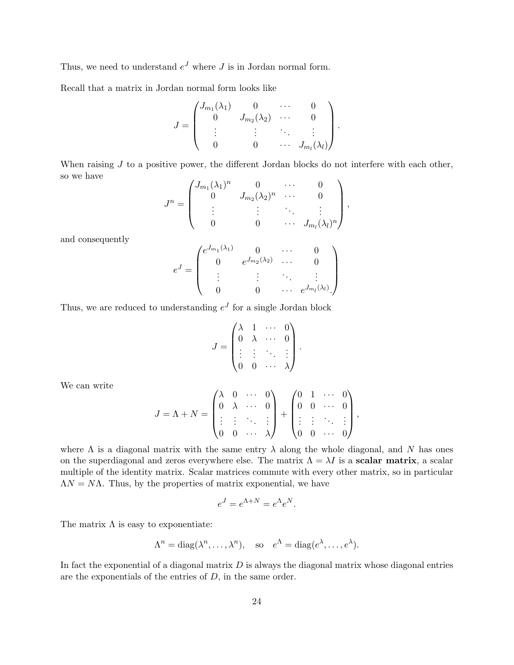Thus, we need to understand  $e^J$  where J is in Jordan normal form.

Recall that a matrix in Jordan normal form looks like

$$
J = \begin{pmatrix} J_{m_1}(\lambda_1) & 0 & \cdots & 0 \\ 0 & J_{m_2}(\lambda_2) & \cdots & 0 \\ \vdots & \vdots & \ddots & \vdots \\ 0 & 0 & \cdots & J_{m_l}(\lambda_l) \end{pmatrix}.
$$

When raising  $J$  to a positive power, the different Jordan blocks do not interfere with each other, so we have

$$
J^{n} = \begin{pmatrix} J_{m_1}(\lambda_1)^n & 0 & \cdots & 0 \\ 0 & J_{m_2}(\lambda_2)^n & \cdots & 0 \\ \vdots & \vdots & \ddots & \vdots \\ 0 & 0 & \cdots & J_{m_l}(\lambda_l)^n \end{pmatrix},
$$

and consequently

$$
e^{J} = \begin{pmatrix} e^{J_{m_1}(\lambda_1)} & 0 & \cdots & 0 \\ 0 & e^{J_{m_2}(\lambda_2)} & \cdots & 0 \\ \vdots & \vdots & \ddots & \vdots \\ 0 & 0 & \cdots & e^{J_{m_l}(\lambda_l)} \end{pmatrix}
$$

Thus, we are reduced to understanding  $e^J$  for a single Jordan block

$$
J = \begin{pmatrix} \lambda & 1 & \cdots & 0 \\ 0 & \lambda & \cdots & 0 \\ \vdots & \vdots & \ddots & \vdots \\ 0 & 0 & \cdots & \lambda \end{pmatrix}.
$$

We can write

$$
J = \Lambda + N = \begin{pmatrix} \lambda & 0 & \cdots & 0 \\ 0 & \lambda & \cdots & 0 \\ \vdots & \vdots & \ddots & \vdots \\ 0 & 0 & \cdots & \lambda \end{pmatrix} + \begin{pmatrix} 0 & 1 & \cdots & 0 \\ 0 & 0 & \cdots & 0 \\ \vdots & \vdots & \ddots & \vdots \\ 0 & 0 & \cdots & 0 \end{pmatrix},
$$

where  $\Lambda$  is a diagonal matrix with the same entry  $\lambda$  along the whole diagonal, and N has ones on the superdiagonal and zeros everywhere else. The matrix  $\Lambda = \lambda I$  is a scalar matrix, a scalar multiple of the identity matrix. Scalar matrices commute with every other matrix, so in particular  $\Lambda N = N\Lambda$ . Thus, by the properties of matrix exponential, we have

$$
e^J = e^{\Lambda + N} = e^{\Lambda} e^N.
$$

The matrix  $\Lambda$  is easy to exponentiate:

$$
\Lambda^n = \text{diag}(\lambda^n, \dots, \lambda^n), \quad \text{so} \quad e^{\Lambda} = \text{diag}(e^{\lambda}, \dots, e^{\lambda}).
$$

In fact the exponential of a diagonal matrix  $D$  is always the diagonal matrix whose diagonal entries are the exponentials of the entries of  $D$ , in the same order.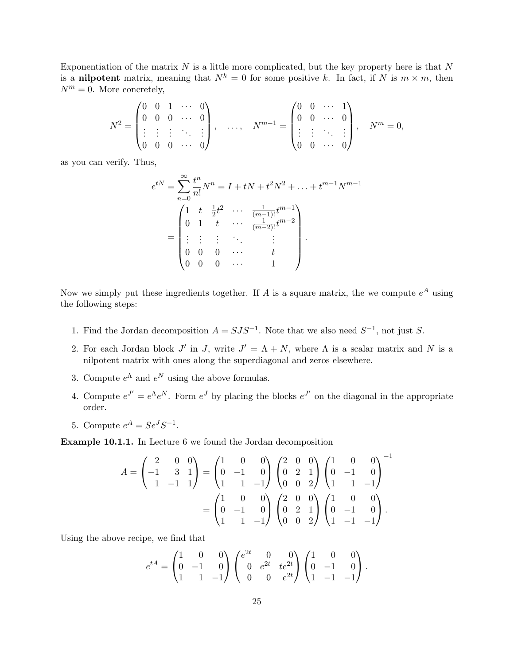Exponentiation of the matrix  $N$  is a little more complicated, but the key property here is that  $N$ is a nilpotent matrix, meaning that  $N^k = 0$  for some positive k. In fact, if N is  $m \times m$ , then  $N^m = 0$ . More concretely,

$$
N^2 = \begin{pmatrix} 0 & 0 & 1 & \cdots & 0 \\ 0 & 0 & 0 & \cdots & 0 \\ \vdots & \vdots & \vdots & \ddots & \vdots \\ 0 & 0 & 0 & \cdots & 0 \end{pmatrix}, \quad \ldots, \quad N^{m-1} = \begin{pmatrix} 0 & 0 & \cdots & 1 \\ 0 & 0 & \cdots & 0 \\ \vdots & \vdots & \ddots & \vdots \\ 0 & 0 & \cdots & 0 \end{pmatrix}, \quad N^m = 0,
$$

as you can verify. Thus,

$$
e^{tN} = \sum_{n=0}^{\infty} \frac{t^n}{n!} N^n = I + tN + t^2 N^2 + \dots + t^{m-1} N^{m-1}
$$

$$
= \begin{pmatrix} 1 & t & \frac{1}{2} t^2 & \cdots & \frac{1}{(m-1)!} t^{m-1} \\ 0 & 1 & t & \cdots & \frac{1}{(m-2)!} t^{m-2} \\ \vdots & \vdots & \vdots & \ddots & \vdots \\ 0 & 0 & 0 & \cdots & t \\ 0 & 0 & 0 & \cdots & 1 \end{pmatrix}.
$$

Now we simply put these ingredients together. If A is a square matrix, the we compute  $e^A$  using the following steps:

- 1. Find the Jordan decomposition  $A = SJS^{-1}$ . Note that we also need  $S^{-1}$ , not just S.
- 2. For each Jordan block J' in J, write  $J' = \Lambda + N$ , where  $\Lambda$  is a scalar matrix and N is a nilpotent matrix with ones along the superdiagonal and zeros elsewhere.
- 3. Compute  $e^{\Lambda}$  and  $e^N$  using the above formulas.
- 4. Compute  $e^{J'} = e^{\Lambda} e^{N}$ . Form  $e^{J}$  by placing the blocks  $e^{J'}$  on the diagonal in the appropriate order.
- 5. Compute  $e^A = Se^J S^{-1}$ .

Example 10.1.1. In Lecture 6 we found the Jordan decomposition

$$
A = \begin{pmatrix} 2 & 0 & 0 \\ -1 & 3 & 1 \\ 1 & -1 & 1 \end{pmatrix} = \begin{pmatrix} 1 & 0 & 0 \\ 0 & -1 & 0 \\ 1 & 1 & -1 \end{pmatrix} \begin{pmatrix} 2 & 0 & 0 \\ 0 & 2 & 1 \\ 0 & 0 & 2 \end{pmatrix} \begin{pmatrix} 1 & 0 & 0 \\ 0 & -1 & 0 \\ 1 & 1 & -1 \end{pmatrix}^{-1}
$$

$$
= \begin{pmatrix} 1 & 0 & 0 \\ 0 & -1 & 0 \\ 1 & 1 & -1 \end{pmatrix} \begin{pmatrix} 2 & 0 & 0 \\ 0 & 2 & 1 \\ 0 & 0 & 2 \end{pmatrix} \begin{pmatrix} 1 & 0 & 0 \\ 0 & -1 & 0 \\ 1 & -1 & -1 \end{pmatrix}.
$$

Using the above recipe, we find that

$$
e^{tA} = \begin{pmatrix} 1 & 0 & 0 \\ 0 & -1 & 0 \\ 1 & 1 & -1 \end{pmatrix} \begin{pmatrix} e^{2t} & 0 & 0 \\ 0 & e^{2t} & te^{2t} \\ 0 & 0 & e^{2t} \end{pmatrix} \begin{pmatrix} 1 & 0 & 0 \\ 0 & -1 & 0 \\ 1 & -1 & -1 \end{pmatrix}.
$$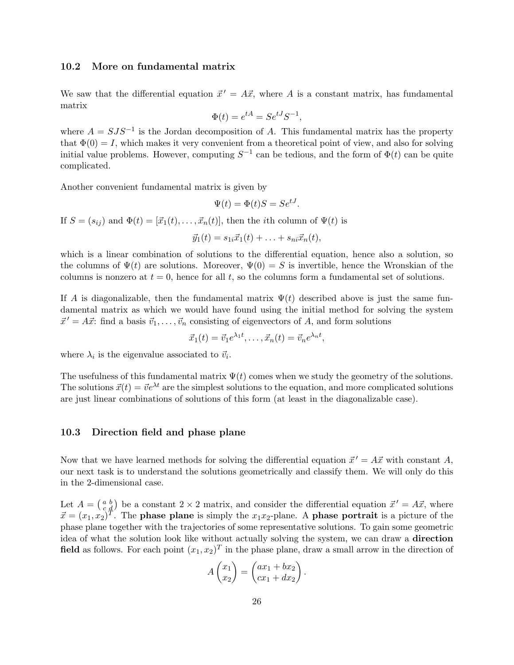### 10.2 More on fundamental matrix

We saw that the differential equation  $\vec{x}' = A\vec{x}$ , where A is a constant matrix, has fundamental matrix

$$
\Phi(t) = e^{tA} = Se^{tJ}S^{-1},
$$

where  $A = SJS^{-1}$  is the Jordan decomposition of A. This fundamental matrix has the property that  $\Phi(0) = I$ , which makes it very convenient from a theoretical point of view, and also for solving initial value problems. However, computing  $S^{-1}$  can be tedious, and the form of  $\Phi(t)$  can be quite complicated.

Another convenient fundamental matrix is given by

$$
\Psi(t) = \Phi(t)S = Se^{tJ}.
$$

If  $S = (s_{ij})$  and  $\Phi(t) = [\vec{x}_1(t), \dots, \vec{x}_n(t)]$ , then the *i*th column of  $\Psi(t)$  is  $\vec{y}_1(t) = s_{1i}\vec{x}_1(t) + \ldots + s_{ni}\vec{x}_n(t),$ 

which is a linear combination of solutions to the differential equation, hence also a solution, so the columns of  $\Psi(t)$  are solutions. Moreover,  $\Psi(0) = S$  is invertible, hence the Wronskian of the columns is nonzero at  $t = 0$ , hence for all t, so the columns form a fundamental set of solutions.

If A is diagonalizable, then the fundamental matrix  $\Psi(t)$  described above is just the same fundamental matrix as which we would have found using the initial method for solving the system  $\vec{x}' = A\vec{x}$ : find a basis  $\vec{v}_1, \ldots, \vec{v}_n$  consisting of eigenvectors of A, and form solutions

$$
\vec{x}_1(t) = \vec{v}_1 e^{\lambda_1 t}, \dots, \vec{x}_n(t) = \vec{v}_n e^{\lambda_n t},
$$

where  $\lambda_i$  is the eigenvalue associated to  $\vec{v}_i$ .

The usefulness of this fundamental matrix  $\Psi(t)$  comes when we study the geometry of the solutions. The solutions  $\vec{x}(t) = \vec{v}e^{\lambda t}$  are the simplest solutions to the equation, and more complicated solutions are just linear combinations of solutions of this form (at least in the diagonalizable case).

#### 10.3 Direction field and phase plane

Now that we have learned methods for solving the differential equation  $\vec{x}' = A\vec{x}$  with constant A, our next task is to understand the solutions geometrically and classify them. We will only do this in the 2-dimensional case.

Let  $A = \begin{pmatrix} a & b \\ c & d \end{pmatrix}$  be a constant  $2 \times 2$  matrix, and consider the differential equation  $\vec{x}' = A\vec{x}$ , where  $\vec{x} = (x_1, x_2)^T$ . The **phase plane** is simply the  $x_1x_2$ -plane. A **phase portrait** is a picture of the phase plane together with the trajectories of some representative solutions. To gain some geometric idea of what the solution look like without actually solving the system, we can draw a direction field as follows. For each point  $(x_1, x_2)^T$  in the phase plane, draw a small arrow in the direction of

$$
A\begin{pmatrix}x_1\\x_2\end{pmatrix} = \begin{pmatrix}ax_1 + bx_2\\cx_1 + dx_2\end{pmatrix}.
$$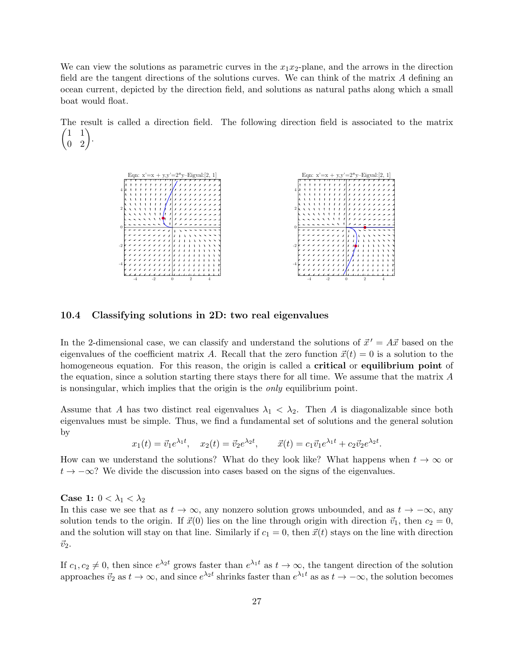We can view the solutions as parametric curves in the  $x_1x_2$ -plane, and the arrows in the direction field are the tangent directions of the solutions curves. We can think of the matrix A defining an ocean current, depicted by the direction field, and solutions as natural paths along which a small boat would float.

The result is called a direction field. The following direction field is associated to the matrix  $\begin{pmatrix} 1 & 1 \\ 0 & 2 \end{pmatrix}$ .

> -4 -2 0 2 4 -4 -2 0 2 4 Eqn:  $x'=x + y, y'=2*y-Eigval:[2, 1]$ -4 -2 0 2 4 -4 -2 0 2 4 Eqn:  $x'=x + y, y'=2*y-Eigval:[2, 1]$

### 10.4 Classifying solutions in 2D: two real eigenvalues

In the 2-dimensional case, we can classify and understand the solutions of  $\vec{x}' = A\vec{x}$  based on the eigenvalues of the coefficient matrix A. Recall that the zero function  $\vec{x}(t) = 0$  is a solution to the homogeneous equation. For this reason, the origin is called a **critical** or **equilibrium point** of the equation, since a solution starting there stays there for all time. We assume that the matrix A is nonsingular, which implies that the origin is the only equilibrium point.

Assume that A has two distinct real eigenvalues  $\lambda_1 < \lambda_2$ . Then A is diagonalizable since both eigenvalues must be simple. Thus, we find a fundamental set of solutions and the general solution by

$$
x_1(t) = \vec{v}_1 e^{\lambda_1 t}
$$
,  $x_2(t) = \vec{v}_2 e^{\lambda_2 t}$ ,  $\vec{x}(t) = c_1 \vec{v}_1 e^{\lambda_1 t} + c_2 \vec{v}_2 e^{\lambda_2 t}$ .

How can we understand the solutions? What do they look like? What happens when  $t \to \infty$  or  $t \to -\infty$ ? We divide the discussion into cases based on the signs of the eigenvalues.

Case 1:  $0 < \lambda_1 < \lambda_2$ 

In this case we see that as  $t \to \infty$ , any nonzero solution grows unbounded, and as  $t \to -\infty$ , any solution tends to the origin. If  $\vec{x}(0)$  lies on the line through origin with direction  $\vec{v}_1$ , then  $c_2 = 0$ , and the solution will stay on that line. Similarly if  $c_1 = 0$ , then  $\vec{x}(t)$  stays on the line with direction  $\vec{v}_2$ .

If  $c_1, c_2 \neq 0$ , then since  $e^{\lambda_2 t}$  grows faster than  $e^{\lambda_1 t}$  as  $t \to \infty$ , the tangent direction of the solution approaches  $\vec{v}_2$  as  $t \to \infty$ , and since  $e^{\lambda_2 t}$  shrinks faster than  $e^{\lambda_1 t}$  as as  $t \to -\infty$ , the solution becomes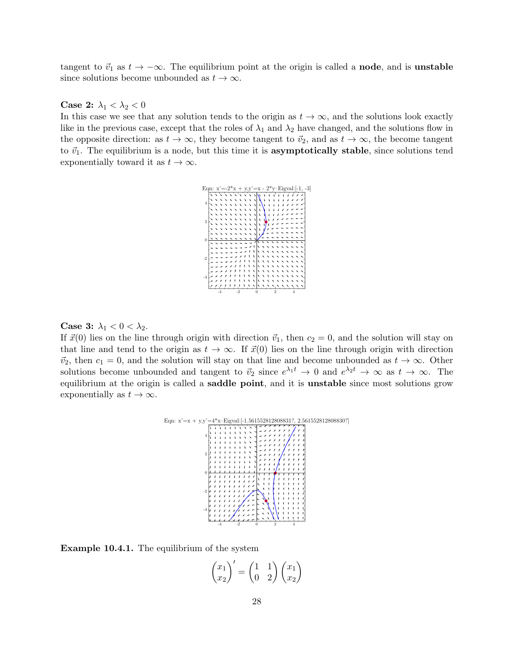tangent to  $\vec{v}_1$  as  $t \to -\infty$ . The equilibrium point at the origin is called a **node**, and is **unstable** since solutions become unbounded as  $t \to \infty$ .

#### Case 2:  $\lambda_1 < \lambda_2 < 0$

In this case we see that any solution tends to the origin as  $t \to \infty$ , and the solutions look exactly like in the previous case, except that the roles of  $\lambda_1$  and  $\lambda_2$  have changed, and the solutions flow in the opposite direction: as  $t \to \infty$ , they become tangent to  $\vec{v}_2$ , and as  $t \to \infty$ , the become tangent to  $\vec{v}_1$ . The equilibrium is a node, but this time it is **asymptotically stable**, since solutions tend exponentially toward it as  $t \to \infty$ .



### Case 3:  $\lambda_1 < 0 < \lambda_2$ .

If  $\vec{x}(0)$  lies on the line through origin with direction  $\vec{v}_1$ , then  $c_2 = 0$ , and the solution will stay on that line and tend to the origin as  $t \to \infty$ . If  $\vec{x}(0)$  lies on the line through origin with direction  $\vec{v}_2$ , then  $c_1 = 0$ , and the solution will stay on that line and become unbounded as  $t \to \infty$ . Other solutions become unbounded and tangent to  $\vec{v}_2$  since  $e^{\lambda_1 t} \to 0$  and  $e^{\lambda_2 t} \to \infty$  as  $t \to \infty$ . The equilibrium at the origin is called a saddle point, and it is unstable since most solutions grow exponentially as  $t \to \infty$ .



Example 10.4.1. The equilibrium of the system

$$
\begin{pmatrix} x_1 \\ x_2 \end{pmatrix}' = \begin{pmatrix} 1 & 1 \\ 0 & 2 \end{pmatrix} \begin{pmatrix} x_1 \\ x_2 \end{pmatrix}
$$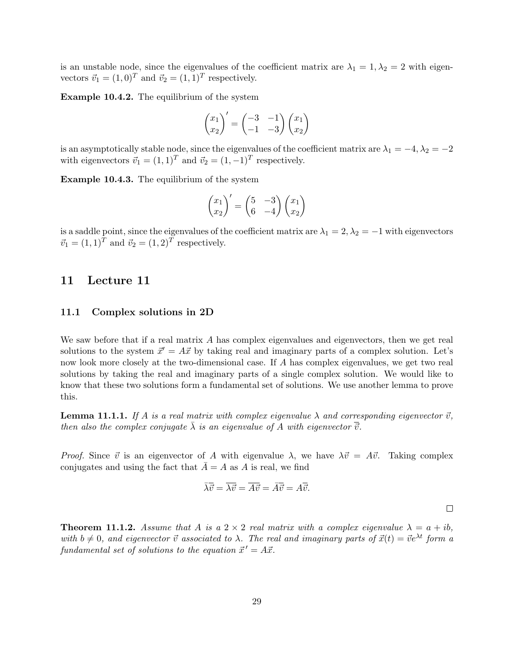is an unstable node, since the eigenvalues of the coefficient matrix are  $\lambda_1 = 1, \lambda_2 = 2$  with eigenvectors  $\vec{v}_1 = (1, 0)^T$  and  $\vec{v}_2 = (1, 1)^T$  respectively.

Example 10.4.2. The equilibrium of the system

$$
\begin{pmatrix} x_1 \\ x_2 \end{pmatrix}' = \begin{pmatrix} -3 & -1 \\ -1 & -3 \end{pmatrix} \begin{pmatrix} x_1 \\ x_2 \end{pmatrix}
$$

is an asymptotically stable node, since the eigenvalues of the coefficient matrix are  $\lambda_1 = -4, \lambda_2 = -2$ with eigenvectors  $\vec{v}_1 = (1, 1)^T$  and  $\vec{v}_2 = (1, -1)^T$  respectively.

Example 10.4.3. The equilibrium of the system

$$
\begin{pmatrix} x_1 \\ x_2 \end{pmatrix}' = \begin{pmatrix} 5 & -3 \\ 6 & -4 \end{pmatrix} \begin{pmatrix} x_1 \\ x_2 \end{pmatrix}
$$

is a saddle point, since the eigenvalues of the coefficient matrix are  $\lambda_1 = 2, \lambda_2 = -1$  with eigenvectors  $\vec{v}_1 = (1, 1)^T$  and  $\vec{v}_2 = (1, 2)^T$  respectively.

# 11 Lecture 11

#### 11.1 Complex solutions in 2D

We saw before that if a real matrix  $A$  has complex eigenvalues and eigenvectors, then we get real solutions to the system  $\vec{x}' = A\vec{x}$  by taking real and imaginary parts of a complex solution. Let's now look more closely at the two-dimensional case. If A has complex eigenvalues, we get two real solutions by taking the real and imaginary parts of a single complex solution. We would like to know that these two solutions form a fundamental set of solutions. We use another lemma to prove this.

**Lemma 11.1.1.** If A is a real matrix with complex eigenvalue  $\lambda$  and corresponding eigenvector  $\vec{v}$ , then also the complex conjugate  $\lambda$  is an eigenvalue of A with eigenvector  $\vec{v}$ .

*Proof.* Since  $\vec{v}$  is an eigenvector of A with eigenvalue  $\lambda$ , we have  $\lambda \vec{v} = A\vec{v}$ . Taking complex conjugates and using the fact that  $\overline{A} = A$  as A is real, we find

$$
\overline{\lambda}\overline{\overline{v}} = \overline{\lambda}\overline{\overline{v}} = \overline{A}\overline{\overline{v}} = \overline{A}\overline{\overline{v}} = A\overline{\overline{v}}.
$$

 $\Box$ 

**Theorem 11.1.2.** Assume that A is a  $2 \times 2$  real matrix with a complex eigenvalue  $\lambda = a + ib$ , with  $b \neq 0$ , and eigenvector  $\vec{v}$  associated to  $\lambda$ . The real and imaginary parts of  $\vec{x}(t) = \vec{v}e^{\lambda t}$  form a fundamental set of solutions to the equation  $\vec{x}' = A\vec{x}$ .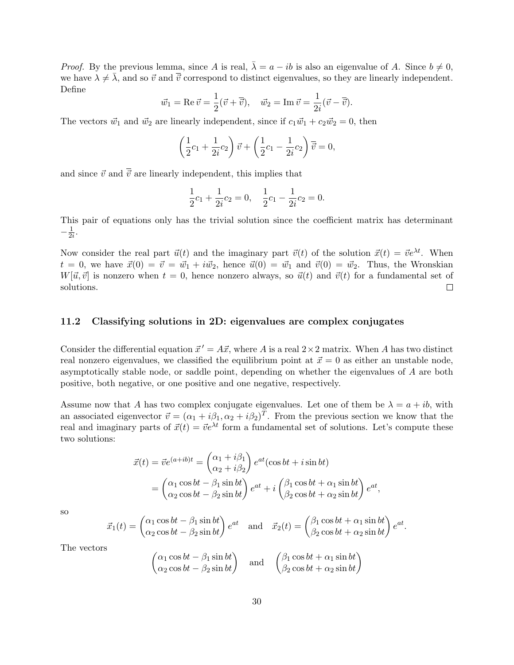*Proof.* By the previous lemma, since A is real,  $\bar{\lambda} = a - ib$  is also an eigenvalue of A. Since  $b \neq 0$ , we have  $\lambda \neq \overline{\lambda}$ , and so  $\overrightarrow{v}$  and  $\overrightarrow{v}$  correspond to distinct eigenvalues, so they are linearly independent. Define

$$
\vec{w}_1 = \text{Re}\,\vec{v} = \frac{1}{2}(\vec{v} + \overline{\vec{v}}), \quad \vec{w}_2 = \text{Im}\,\vec{v} = \frac{1}{2i}(\vec{v} - \overline{\vec{v}}).
$$

The vectors  $\vec{w}_1$  and  $\vec{w}_2$  are linearly independent, since if  $c_1 \vec{w}_1 + c_2 \vec{w}_2 = 0$ , then

$$
\left(\frac{1}{2}c_1 + \frac{1}{2i}c_2\right)\vec{v} + \left(\frac{1}{2}c_1 - \frac{1}{2i}c_2\right)\vec{v} = 0,
$$

and since  $\vec{v}$  and  $\overline{\vec{v}}$  are linearly independent, this implies that

$$
\frac{1}{2}c_1 + \frac{1}{2i}c_2 = 0, \quad \frac{1}{2}c_1 - \frac{1}{2i}c_2 = 0.
$$

This pair of equations only has the trivial solution since the coefficient matrix has determinant  $-\frac{1}{2}$  $\frac{1}{2i}$ .

Now consider the real part  $\vec{u}(t)$  and the imaginary part  $\vec{v}(t)$  of the solution  $\vec{x}(t) = \vec{v}e^{\lambda t}$ . When  $t = 0$ , we have  $\vec{x}(0) = \vec{v} = \vec{w}_1 + i \vec{w}_2$ , hence  $\vec{u}(0) = \vec{w}_1$  and  $\vec{v}(0) = \vec{w}_2$ . Thus, the Wronskian  $W[\vec{u}, \vec{v}]$  is nonzero when  $t = 0$ , hence nonzero always, so  $\vec{u}(t)$  and  $\vec{v}(t)$  for a fundamental set of solutions.  $\Box$ 

### 11.2 Classifying solutions in 2D: eigenvalues are complex conjugates

Consider the differential equation  $\vec{x}' = A\vec{x}$ , where A is a real  $2 \times 2$  matrix. When A has two distinct real nonzero eigenvalues, we classified the equilibrium point at  $\vec{x} = 0$  as either an unstable node, asymptotically stable node, or saddle point, depending on whether the eigenvalues of A are both positive, both negative, or one positive and one negative, respectively.

Assume now that A has two complex conjugate eigenvalues. Let one of them be  $\lambda = a + ib$ , with an associated eigenvector  $\vec{v} = (\alpha_1 + i\beta_1, \alpha_2 + i\beta_2)^T$ . From the previous section we know that the real and imaginary parts of  $\vec{x}(t) = \vec{v}e^{\lambda t}$  form a fundamental set of solutions. Let's compute these two solutions:

$$
\vec{x}(t) = \vec{v}e^{(a+ib)t} = \begin{pmatrix} \alpha_1 + i\beta_1 \\ \alpha_2 + i\beta_2 \end{pmatrix}e^{at}(\cos bt + i\sin bt)
$$

$$
= \begin{pmatrix} \alpha_1\cos bt - \beta_1\sin bt \\ \alpha_2\cos bt - \beta_2\sin bt \end{pmatrix}e^{at} + i\begin{pmatrix} \beta_1\cos bt + \alpha_1\sin bt \\ \beta_2\cos bt + \alpha_2\sin bt \end{pmatrix}e^{at},
$$

so

$$
\vec{x}_1(t) = \begin{pmatrix} \alpha_1 \cos bt - \beta_1 \sin bt \\ \alpha_2 \cos bt - \beta_2 \sin bt \end{pmatrix} e^{at} \text{ and } \vec{x}_2(t) = \begin{pmatrix} \beta_1 \cos bt + \alpha_1 \sin bt \\ \beta_2 \cos bt + \alpha_2 \sin bt \end{pmatrix} e^{at}.
$$

The vectors

$$
\begin{pmatrix}\n\alpha_1 \cos bt - \beta_1 \sin bt \\
\alpha_2 \cos bt - \beta_2 \sin bt\n\end{pmatrix}\n\text{ and }\n\begin{pmatrix}\n\beta_1 \cos bt + \alpha_1 \sin bt \\
\beta_2 \cos bt + \alpha_2 \sin bt\n\end{pmatrix}
$$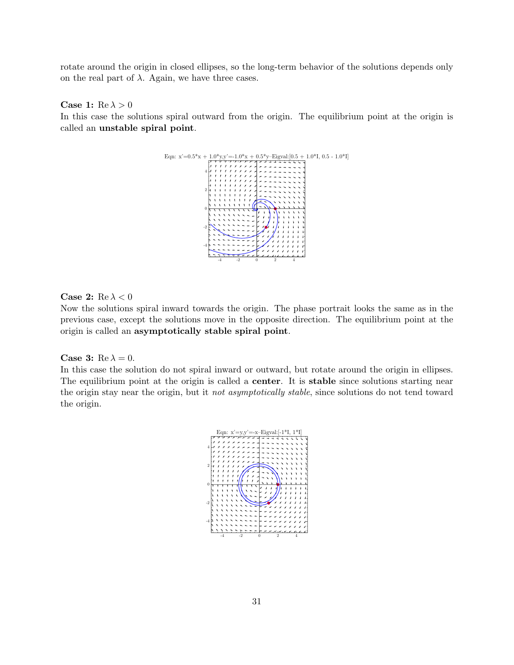rotate around the origin in closed ellipses, so the long-term behavior of the solutions depends only on the real part of  $\lambda$ . Again, we have three cases.

### Case 1:  $Re \lambda > 0$

In this case the solutions spiral outward from the origin. The equilibrium point at the origin is called an unstable spiral point.



#### Case 2: Re  $\lambda < 0$

Now the solutions spiral inward towards the origin. The phase portrait looks the same as in the previous case, except the solutions move in the opposite direction. The equilibrium point at the origin is called an asymptotically stable spiral point.

#### Case 3:  $Re \lambda = 0$ .

In this case the solution do not spiral inward or outward, but rotate around the origin in ellipses. The equilibrium point at the origin is called a **center**. It is **stable** since solutions starting near the origin stay near the origin, but it not asymptotically stable, since solutions do not tend toward the origin.

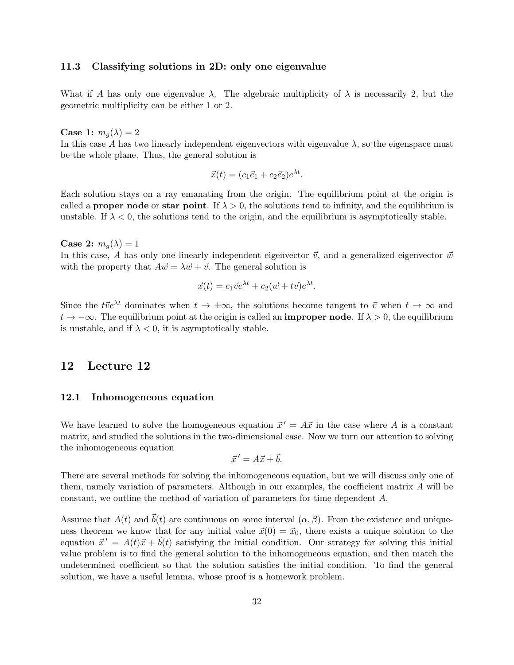### 11.3 Classifying solutions in 2D: only one eigenvalue

What if A has only one eigenvalue  $\lambda$ . The algebraic multiplicity of  $\lambda$  is necessarily 2, but the geometric multiplicity can be either 1 or 2.

Case 1:  $m_q(\lambda) = 2$ 

In this case A has two linearly independent eigenvectors with eigenvalue  $\lambda$ , so the eigenspace must be the whole plane. Thus, the general solution is

 $\vec{x}(t) = (c_1\vec{e}_1 + c_2\vec{e}_2)e^{\lambda t}.$ 

Each solution stays on a ray emanating from the origin. The equilibrium point at the origin is called a **proper node** or **star point**. If  $\lambda > 0$ , the solutions tend to infinity, and the equilibrium is unstable. If  $\lambda < 0$ , the solutions tend to the origin, and the equilibrium is asymptotically stable.

Case 2:  $m_q(\lambda) = 1$ 

In this case, A has only one linearly independent eigenvector  $\vec{v}$ , and a generalized eigenvector  $\vec{w}$ with the property that  $A \vec{w} = \lambda \vec{w} + \vec{v}$ . The general solution is

$$
\vec{x}(t) = c_1 \vec{v} e^{\lambda t} + c_2 (\vec{w} + t \vec{v}) e^{\lambda t}.
$$

Since the t $\vec{v}e^{\lambda t}$  dominates when  $t \to \pm \infty$ , the solutions become tangent to  $\vec{v}$  when  $t \to \infty$  and  $t \to -\infty$ . The equilibrium point at the origin is called an **improper node**. If  $\lambda > 0$ , the equilibrium is unstable, and if  $\lambda < 0$ , it is asymptotically stable.

# 12 Lecture 12

### 12.1 Inhomogeneous equation

We have learned to solve the homogeneous equation  $\vec{x}' = A\vec{x}$  in the case where A is a constant matrix, and studied the solutions in the two-dimensional case. Now we turn our attention to solving the inhomogeneous equation

$$
\vec{x}' = A\vec{x} + \vec{b}.
$$

There are several methods for solving the inhomogeneous equation, but we will discuss only one of them, namely variation of parameters. Although in our examples, the coefficient matrix A will be constant, we outline the method of variation of parameters for time-dependent A.

Assume that  $A(t)$  and  $\vec{b}(t)$  are continuous on some interval  $(\alpha, \beta)$ . From the existence and uniqueness theorem we know that for any initial value  $\vec{x}(0) = \vec{x}_0$ , there exists a unique solution to the equation  $\vec{x}' = A(t)\vec{x} + \vec{b}(t)$  satisfying the initial condition. Our strategy for solving this initial value problem is to find the general solution to the inhomogeneous equation, and then match the undetermined coefficient so that the solution satisfies the initial condition. To find the general solution, we have a useful lemma, whose proof is a homework problem.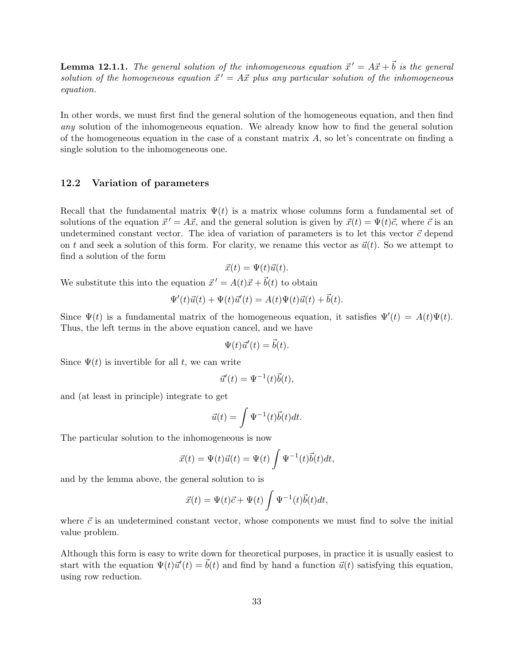**Lemma 12.1.1.** The general solution of the inhomogeneous equation  $\vec{x}' = A\vec{x} + \vec{b}$  is the general solution of the homogeneous equation  $\vec{x}' = A\vec{x}$  plus any particular solution of the inhomogeneous equation.

In other words, we must first find the general solution of the homogeneous equation, and then find any solution of the inhomogeneous equation. We already know how to find the general solution of the homogeneous equation in the case of a constant matrix  $A$ , so let's concentrate on finding a single solution to the inhomogeneous one.

### 12.2 Variation of parameters

Recall that the fundamental matrix  $\Psi(t)$  is a matrix whose columns form a fundamental set of solutions of the equation  $\vec{x}' = A\vec{x}$ , and the general solution is given by  $\vec{x}(t) = \Psi(t)\vec{c}$ , where  $\vec{c}$  is an undetermined constant vector. The idea of variation of parameters is to let this vector  $\vec{c}$  depend on t and seek a solution of this form. For clarity, we rename this vector as  $\vec{u}(t)$ . So we attempt to find a solution of the form

$$
\vec{x}(t) = \Psi(t)\vec{u}(t).
$$

We substitute this into the equation  $\vec{x}' = A(t)\vec{x} + \vec{b}(t)$  to obtain

$$
\Psi'(t)\vec{u}(t) + \Psi(t)\vec{u}'(t) = A(t)\Psi(t)\vec{u}(t) + \vec{b}(t).
$$

Since  $\Psi(t)$  is a fundamental matrix of the homogeneous equation, it satisfies  $\Psi'(t) = A(t)\Psi(t)$ . Thus, the left terms in the above equation cancel, and we have

$$
\Psi(t)\vec{u}'(t) = \vec{b}(t).
$$

Since  $\Psi(t)$  is invertible for all t, we can write

$$
\vec{u}'(t) = \Psi^{-1}(t)\vec{b}(t),
$$

and (at least in principle) integrate to get

$$
\vec{u}(t) = \int \Psi^{-1}(t)\vec{b}(t)dt.
$$

The particular solution to the inhomogeneous is now

$$
\vec{x}(t) = \Psi(t)\vec{u}(t) = \Psi(t)\int \Psi^{-1}(t)\vec{b}(t)dt,
$$

and by the lemma above, the general solution to is

$$
\vec{x}(t) = \Psi(t)\vec{c} + \Psi(t)\int \Psi^{-1}(t)\vec{b}(t)dt,
$$

where  $\vec{c}$  is an undetermined constant vector, whose components we must find to solve the initial value problem.

Although this form is easy to write down for theoretical purposes, in practice it is usually easiest to start with the equation  $\Psi(t)\vec{u}'(t) = \vec{b}(t)$  and find by hand a function  $\vec{u}(t)$  satisfying this equation, using row reduction.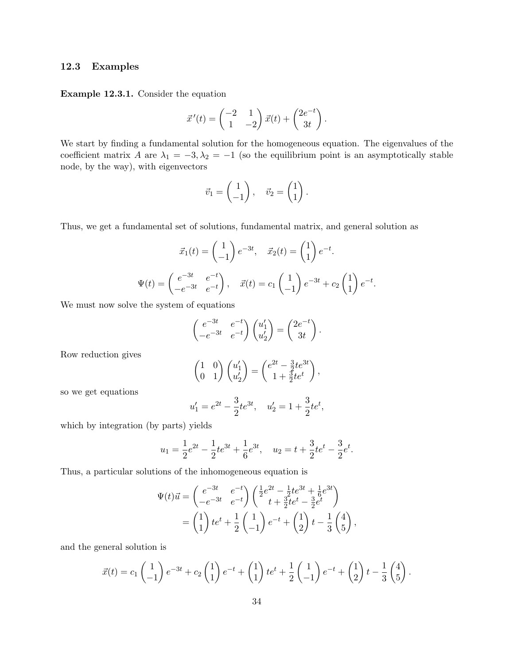## 12.3 Examples

Example 12.3.1. Consider the equation

$$
\vec{x}'(t) = \begin{pmatrix} -2 & 1 \\ 1 & -2 \end{pmatrix} \vec{x}(t) + \begin{pmatrix} 2e^{-t} \\ 3t \end{pmatrix}.
$$

We start by finding a fundamental solution for the homogeneous equation. The eigenvalues of the coefficient matrix A are  $\lambda_1 = -3, \lambda_2 = -1$  (so the equilibrium point is an asymptotically stable node, by the way), with eigenvectors

$$
\vec{v}_1 = \begin{pmatrix} 1 \\ -1 \end{pmatrix}, \quad \vec{v}_2 = \begin{pmatrix} 1 \\ 1 \end{pmatrix}.
$$

Thus, we get a fundamental set of solutions, fundamental matrix, and general solution as

$$
\vec{x}_1(t) = \begin{pmatrix} 1 \\ -1 \end{pmatrix} e^{-3t}, \quad \vec{x}_2(t) = \begin{pmatrix} 1 \\ 1 \end{pmatrix} e^{-t}.
$$

$$
\Psi(t) = \begin{pmatrix} e^{-3t} & e^{-t} \\ -e^{-3t} & e^{-t} \end{pmatrix}, \quad \vec{x}(t) = c_1 \begin{pmatrix} 1 \\ -1 \end{pmatrix} e^{-3t} + c_2 \begin{pmatrix} 1 \\ 1 \end{pmatrix} e^{-t}.
$$

We must now solve the system of equations

$$
\begin{pmatrix} e^{-3t} & e^{-t} \ -e^{-3t} & e^{-t} \end{pmatrix} \begin{pmatrix} u_1' \ u_2' \end{pmatrix} = \begin{pmatrix} 2e^{-t} \ 3t \end{pmatrix}.
$$

Row reduction gives

$$
\begin{pmatrix} 1 & 0 \\ 0 & 1 \end{pmatrix} \begin{pmatrix} u_1' \\ u_2' \end{pmatrix} = \begin{pmatrix} e^{2t} - \frac{3}{2}te^{3t} \\ 1 + \frac{3}{2}te^t \end{pmatrix},
$$

so we get equations

$$
u'_1 = e^{2t} - \frac{3}{2}te^{3t}, \quad u'_2 = 1 + \frac{3}{2}te^t,
$$

which by integration (by parts) yields

$$
u_1 = \frac{1}{2}e^{2t} - \frac{1}{2}te^{3t} + \frac{1}{6}e^{3t}, \quad u_2 = t + \frac{3}{2}te^{t} - \frac{3}{2}e^{t}.
$$

Thus, a particular solutions of the inhomogeneous equation is

$$
\Psi(t)\vec{u} = \begin{pmatrix} e^{-3t} & e^{-t} \\ -e^{-3t} & e^{-t} \end{pmatrix} \begin{pmatrix} \frac{1}{2}e^{2t} - \frac{1}{2}te^{3t} + \frac{1}{6}e^{3t} \\ t + \frac{3}{2}te^{t} - \frac{3}{2}e^{t} \end{pmatrix}
$$

$$
= \begin{pmatrix} 1 \\ 1 \end{pmatrix} te^{t} + \frac{1}{2} \begin{pmatrix} 1 \\ -1 \end{pmatrix} e^{-t} + \begin{pmatrix} 1 \\ 2 \end{pmatrix} t - \frac{1}{3} \begin{pmatrix} 4 \\ 5 \end{pmatrix},
$$

and the general solution is

$$
\vec{x}(t) = c_1 \begin{pmatrix} 1 \\ -1 \end{pmatrix} e^{-3t} + c_2 \begin{pmatrix} 1 \\ 1 \end{pmatrix} e^{-t} + \begin{pmatrix} 1 \\ 1 \end{pmatrix} t e^{t} + \frac{1}{2} \begin{pmatrix} 1 \\ -1 \end{pmatrix} e^{-t} + \begin{pmatrix} 1 \\ 2 \end{pmatrix} t - \frac{1}{3} \begin{pmatrix} 4 \\ 5 \end{pmatrix}.
$$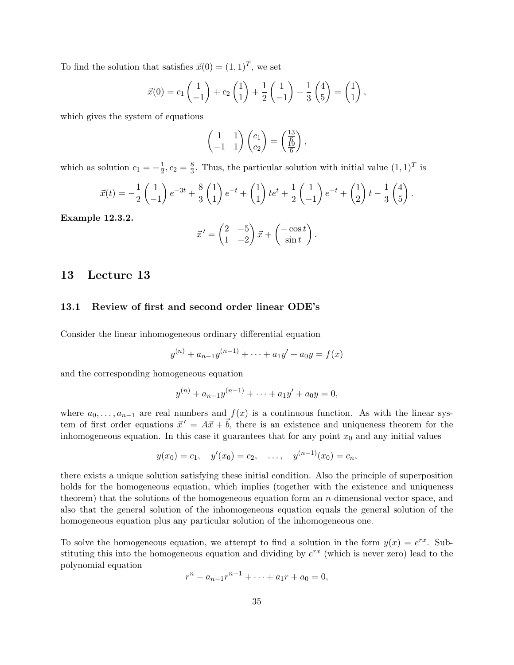To find the solution that satisfies  $\vec{x}(0) = (1, 1)^T$ , we set

$$
\vec{x}(0) = c_1 \begin{pmatrix} 1 \\ -1 \end{pmatrix} + c_2 \begin{pmatrix} 1 \\ 1 \end{pmatrix} + \frac{1}{2} \begin{pmatrix} 1 \\ -1 \end{pmatrix} - \frac{1}{3} \begin{pmatrix} 4 \\ 5 \end{pmatrix} = \begin{pmatrix} 1 \\ 1 \end{pmatrix},
$$

which gives the system of equations

$$
\begin{pmatrix} 1 & 1 \ -1 & 1 \end{pmatrix} \begin{pmatrix} c_1 \ c_2 \end{pmatrix} = \begin{pmatrix} \frac{13}{6} \\ \frac{19}{6} \end{pmatrix},
$$

which as solution  $c_1 = -\frac{1}{2}$  $\frac{1}{2}, c_2 = \frac{8}{3}$  $\frac{8}{3}$ . Thus, the particular solution with initial value  $(1,1)^T$  is

$$
\vec{x}(t) = -\frac{1}{2} \begin{pmatrix} 1 \\ -1 \end{pmatrix} e^{-3t} + \frac{8}{3} \begin{pmatrix} 1 \\ 1 \end{pmatrix} e^{-t} + \begin{pmatrix} 1 \\ 1 \end{pmatrix} t e^{t} + \frac{1}{2} \begin{pmatrix} 1 \\ -1 \end{pmatrix} e^{-t} + \begin{pmatrix} 1 \\ 2 \end{pmatrix} t - \frac{1}{3} \begin{pmatrix} 4 \\ 5 \end{pmatrix}.
$$

Example 12.3.2.

$$
\vec{x}' = \begin{pmatrix} 2 & -5 \\ 1 & -2 \end{pmatrix} \vec{x} + \begin{pmatrix} -\cos t \\ \sin t \end{pmatrix}.
$$

# 13 Lecture 13

### 13.1 Review of first and second order linear ODE's

Consider the linear inhomogeneous ordinary differential equation

$$
y^{(n)} + a_{n-1}y^{(n-1)} + \dots + a_1y' + a_0y = f(x)
$$

and the corresponding homogeneous equation

$$
y^{(n)} + a_{n-1}y^{(n-1)} + \cdots + a_1y' + a_0y = 0,
$$

where  $a_0, \ldots, a_{n-1}$  are real numbers and  $f(x)$  is a continuous function. As with the linear system of first order equations  $\vec{x}' = A\vec{x} + \vec{b}$ , there is an existence and uniqueness theorem for the inhomogeneous equation. In this case it guarantees that for any point  $x_0$  and any initial values

$$
y(x_0) = c_1
$$
,  $y'(x_0) = c_2$ , ...,  $y^{(n-1)}(x_0) = c_n$ ,

there exists a unique solution satisfying these initial condition. Also the principle of superposition holds for the homogeneous equation, which implies (together with the existence and uniqueness theorem) that the solutions of the homogeneous equation form an  $n$ -dimensional vector space, and also that the general solution of the inhomogeneous equation equals the general solution of the homogeneous equation plus any particular solution of the inhomogeneous one.

To solve the homogeneous equation, we attempt to find a solution in the form  $y(x) = e^{rx}$ . Substituting this into the homogeneous equation and dividing by  $e^{rx}$  (which is never zero) lead to the polynomial equation

$$
r^{n} + a_{n-1}r^{n-1} + \cdots + a_{1}r + a_{0} = 0,
$$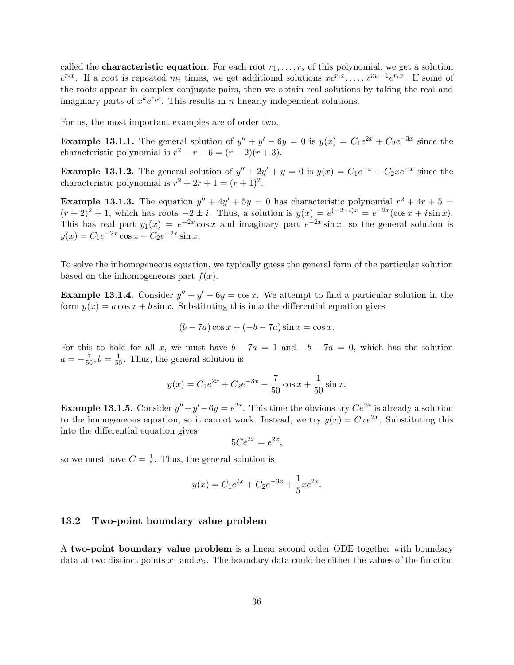called the **characteristic equation**. For each root  $r_1, \ldots, r_s$  of this polynomial, we get a solution  $e^{r_ix}$ . If a root is repeated  $m_i$  times, we get additional solutions  $xe^{r_ix}, \ldots, x^{m_i-1}e^{r_ix}$ . If some of the roots appear in complex conjugate pairs, then we obtain real solutions by taking the real and imaginary parts of  $x^k e^{r_i x}$ . This results in n linearly independent solutions.

For us, the most important examples are of order two.

**Example 13.1.1.** The general solution of  $y'' + y' - 6y = 0$  is  $y(x) = C_1e^{2x} + C_2e^{-3x}$  since the characteristic polynomial is  $r^2 + r - 6 = (r - 2)(r + 3)$ .

**Example 13.1.2.** The general solution of  $y'' + 2y' + y = 0$  is  $y(x) = C_1e^{-x} + C_2xe^{-x}$  since the characteristic polynomial is  $r^2 + 2r + 1 = (r + 1)^2$ .

**Example 13.1.3.** The equation  $y'' + 4y' + 5y = 0$  has characteristic polynomial  $r^2 + 4r + 5 =$  $(r+2)^2+1$ , which has roots  $-2 \pm i$ . Thus, a solution is  $y(x) = e^{(-2+i)x} = e^{-2x}(\cos x + i \sin x)$ . This has real part  $y_1(x) = e^{-2x} \cos x$  and imaginary part  $e^{-2x} \sin x$ , so the general solution is  $y(x) = C_1 e^{-2x} \cos x + C_2 e^{-2x} \sin x.$ 

To solve the inhomogeneous equation, we typically guess the general form of the particular solution based on the inhomogeneous part  $f(x)$ .

**Example 13.1.4.** Consider  $y'' + y' - 6y = \cos x$ . We attempt to find a particular solution in the form  $y(x) = a \cos x + b \sin x$ . Substituting this into the differential equation gives

$$
(b-7a)\cos x + (-b-7a)\sin x = \cos x.
$$

For this to hold for all x, we must have  $b - 7a = 1$  and  $-b - 7a = 0$ , which has the solution  $a = -\frac{7}{50}, b = \frac{1}{50}$ . Thus, the general solution is

$$
y(x) = C_1 e^{2x} + C_2 e^{-3x} - \frac{7}{50} \cos x + \frac{1}{50} \sin x.
$$

**Example 13.1.5.** Consider  $y'' + y' - 6y = e^{2x}$ . This time the obvious try  $Ce^{2x}$  is already a solution to the homogeneous equation, so it cannot work. Instead, we try  $y(x) = Cxe^{2x}$ . Substituting this into the differential equation gives

$$
5Ce^{2x} = e^{2x},
$$

so we must have  $C = \frac{1}{5}$  $\frac{1}{5}$ . Thus, the general solution is

$$
y(x) = C_1 e^{2x} + C_2 e^{-3x} + \frac{1}{5} x e^{2x}.
$$

### 13.2 Two-point boundary value problem

A two-point boundary value problem is a linear second order ODE together with boundary data at two distinct points  $x_1$  and  $x_2$ . The boundary data could be either the values of the function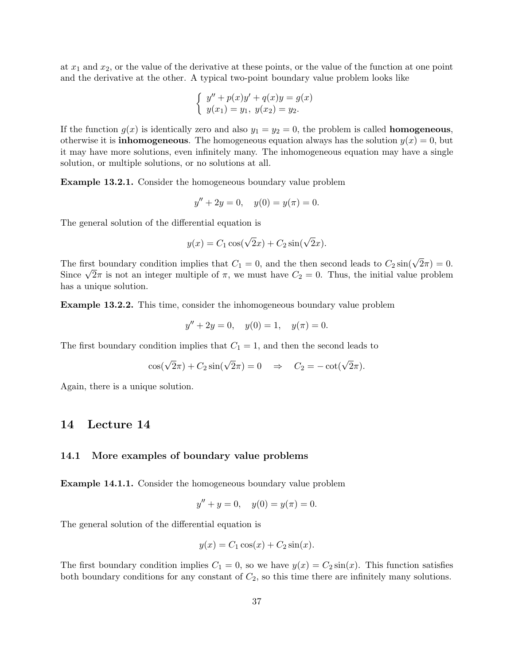at  $x_1$  and  $x_2$ , or the value of the derivative at these points, or the value of the function at one point and the derivative at the other. A typical two-point boundary value problem looks like

$$
\begin{cases}\n y'' + p(x)y' + q(x)y = g(x) \\
 y(x_1) = y_1, \ y(x_2) = y_2.\n\end{cases}
$$

If the function  $g(x)$  is identically zero and also  $y_1 = y_2 = 0$ , the problem is called **homogeneous**, otherwise it is **inhomogeneous**. The homogeneous equation always has the solution  $y(x) = 0$ , but it may have more solutions, even infinitely many. The inhomogeneous equation may have a single solution, or multiple solutions, or no solutions at all.

Example 13.2.1. Consider the homogeneous boundary value problem

$$
y'' + 2y = 0, \quad y(0) = y(\pi) = 0.
$$

The general solution of the differential equation is

$$
y(x) = C_1 \cos(\sqrt{2}x) + C_2 \sin(\sqrt{2}x).
$$

The first boundary condition implies that  $C_1 = 0$ , and the then second leads to  $C_2 \sin(\sqrt{2}\pi) = 0$ . The first boundary condition implies that  $C_1 = 0$ , and the then second leads to  $C_2 \sin(\sqrt{2\pi}) = 0$ .<br>Since  $\sqrt{2\pi}$  is not an integer multiple of  $\pi$ , we must have  $C_2 = 0$ . Thus, the initial value problem has a unique solution.

Example 13.2.2. This time, consider the inhomogeneous boundary value problem

$$
y'' + 2y = 0, \quad y(0) = 1, \quad y(\pi) = 0.
$$

The first boundary condition implies that  $C_1 = 1$ , and then the second leads to

$$
\cos(\sqrt{2}\pi) + C_2 \sin(\sqrt{2}\pi) = 0 \quad \Rightarrow \quad C_2 = -\cot(\sqrt{2}\pi).
$$

Again, there is a unique solution.

# 14 Lecture 14

#### 14.1 More examples of boundary value problems

Example 14.1.1. Consider the homogeneous boundary value problem

$$
y'' + y = 0, \quad y(0) = y(\pi) = 0.
$$

The general solution of the differential equation is

$$
y(x) = C_1 \cos(x) + C_2 \sin(x).
$$

The first boundary condition implies  $C_1 = 0$ , so we have  $y(x) = C_2 \sin(x)$ . This function satisfies both boundary conditions for any constant of  $C_2$ , so this time there are infinitely many solutions.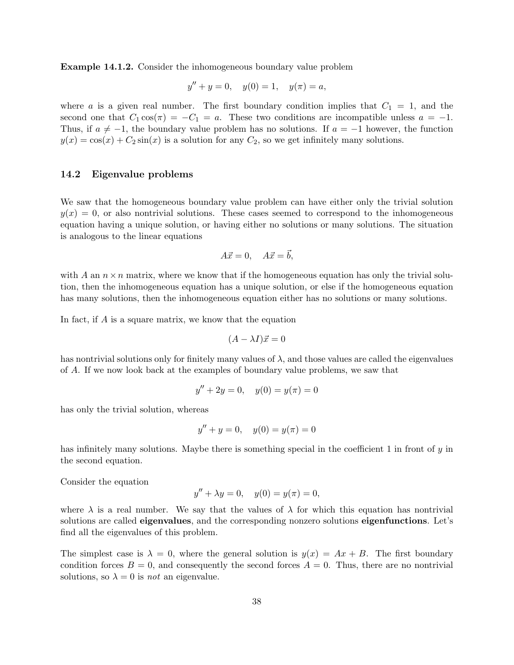Example 14.1.2. Consider the inhomogeneous boundary value problem

$$
y'' + y = 0, \quad y(0) = 1, \quad y(\pi) = a,
$$

where a is a given real number. The first boundary condition implies that  $C_1 = 1$ , and the second one that  $C_1 \cos(\pi) = -C_1 = a$ . These two conditions are incompatible unless  $a = -1$ . Thus, if  $a \neq -1$ , the boundary value problem has no solutions. If  $a = -1$  however, the function  $y(x) = \cos(x) + C_2 \sin(x)$  is a solution for any  $C_2$ , so we get infinitely many solutions.

### 14.2 Eigenvalue problems

We saw that the homogeneous boundary value problem can have either only the trivial solution  $y(x) = 0$ , or also nontrivial solutions. These cases seemed to correspond to the inhomogeneous equation having a unique solution, or having either no solutions or many solutions. The situation is analogous to the linear equations

$$
A\vec{x} = 0, \quad A\vec{x} = \vec{b},
$$

with A an  $n \times n$  matrix, where we know that if the homogeneous equation has only the trivial solution, then the inhomogeneous equation has a unique solution, or else if the homogeneous equation has many solutions, then the inhomogeneous equation either has no solutions or many solutions.

In fact, if A is a square matrix, we know that the equation

$$
(A - \lambda I)\vec{x} = 0
$$

has nontrivial solutions only for finitely many values of  $\lambda$ , and those values are called the eigenvalues of A. If we now look back at the examples of boundary value problems, we saw that

$$
y'' + 2y = 0, \quad y(0) = y(\pi) = 0
$$

has only the trivial solution, whereas

$$
y'' + y = 0, \quad y(0) = y(\pi) = 0
$$

has infinitely many solutions. Maybe there is something special in the coefficient 1 in front of  $\gamma$  in the second equation.

Consider the equation

$$
y'' + \lambda y = 0, \quad y(0) = y(\pi) = 0,
$$

where  $\lambda$  is a real number. We say that the values of  $\lambda$  for which this equation has nontrivial solutions are called **eigenvalues**, and the corresponding nonzero solutions **eigenfunctions**. Let's find all the eigenvalues of this problem.

The simplest case is  $\lambda = 0$ , where the general solution is  $y(x) = Ax + B$ . The first boundary condition forces  $B = 0$ , and consequently the second forces  $A = 0$ . Thus, there are no nontrivial solutions, so  $\lambda = 0$  is *not* an eigenvalue.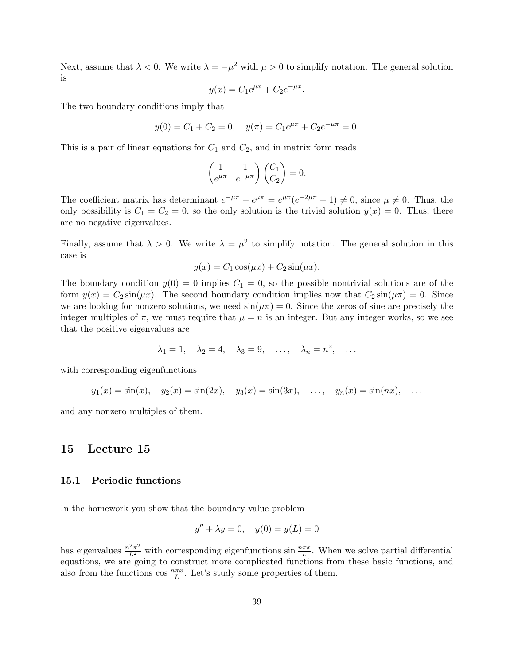Next, assume that  $\lambda < 0$ . We write  $\lambda = -\mu^2$  with  $\mu > 0$  to simplify notation. The general solution is

$$
y(x) = C_1 e^{\mu x} + C_2 e^{-\mu x}.
$$

The two boundary conditions imply that

$$
y(0) = C_1 + C_2 = 0
$$
,  $y(\pi) = C_1 e^{\mu \pi} + C_2 e^{-\mu \pi} = 0$ .

This is a pair of linear equations for  $C_1$  and  $C_2$ , and in matrix form reads

$$
\begin{pmatrix} 1 & 1 \ e^{\mu \pi} & e^{-\mu \pi} \end{pmatrix} \begin{pmatrix} C_1 \\ C_2 \end{pmatrix} = 0.
$$

The coefficient matrix has determinant  $e^{-\mu\pi} - e^{\mu\pi} = e^{\mu\pi}(e^{-2\mu\pi} - 1) \neq 0$ , since  $\mu \neq 0$ . Thus, the only possibility is  $C_1 = C_2 = 0$ , so the only solution is the trivial solution  $y(x) = 0$ . Thus, there are no negative eigenvalues.

Finally, assume that  $\lambda > 0$ . We write  $\lambda = \mu^2$  to simplify notation. The general solution in this case is

$$
y(x) = C_1 \cos(\mu x) + C_2 \sin(\mu x).
$$

The boundary condition  $y(0) = 0$  implies  $C_1 = 0$ , so the possible nontrivial solutions are of the form  $y(x) = C_2 \sin(\mu x)$ . The second boundary condition implies now that  $C_2 \sin(\mu \pi) = 0$ . Since we are looking for nonzero solutions, we need  $\sin(\mu \pi) = 0$ . Since the zeros of sine are precisely the integer multiples of  $\pi$ , we must require that  $\mu = n$  is an integer. But any integer works, so we see that the positive eigenvalues are

$$
\lambda_1 = 1, \quad \lambda_2 = 4, \quad \lambda_3 = 9, \quad \dots, \quad \lambda_n = n^2, \quad \dots
$$

with corresponding eigenfunctions

 $y_1(x) = \sin(x), \quad y_2(x) = \sin(2x), \quad y_3(x) = \sin(3x), \quad \dots, \quad y_n(x) = \sin(nx), \quad \dots$ 

and any nonzero multiples of them.

# 15 Lecture 15

### 15.1 Periodic functions

In the homework you show that the boundary value problem

$$
y'' + \lambda y = 0, \quad y(0) = y(L) = 0
$$

has eigenvalues  $\frac{n^2\pi^2}{L^2}$  with corresponding eigenfunctions sin  $\frac{n\pi x}{L}$ . When we solve partial differential equations, we are going to construct more complicated functions from these basic functions, and also from the functions  $\cos \frac{n\pi x}{L}$ . Let's study some properties of them.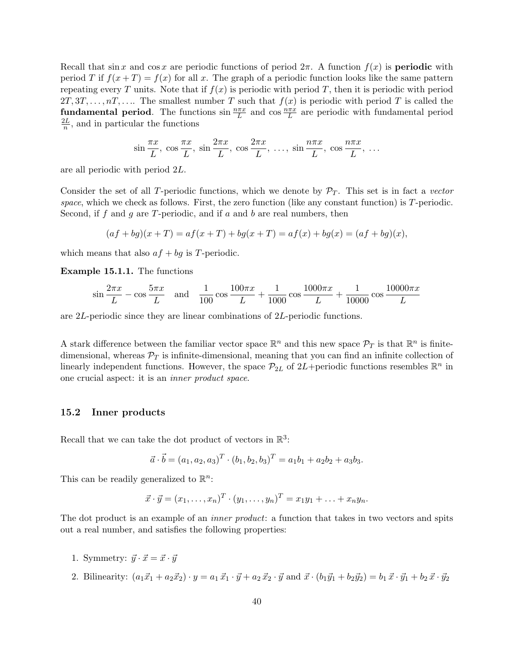Recall that sin x and cos x are periodic functions of period  $2\pi$ . A function  $f(x)$  is **periodic** with period T if  $f(x+T) = f(x)$  for all x. The graph of a periodic function looks like the same pattern repeating every T units. Note that if  $f(x)$  is periodic with period T, then it is periodic with period  $2T, 3T, \ldots, nT, \ldots$  The smallest number T such that  $f(x)$  is periodic with period T is called the **fundamental period.** The functions  $\sin \frac{n\pi x}{L}$  and  $\cos \frac{n\pi x}{L}$  are periodic with fundamental period  $2L$  $\frac{dL}{n}$ , and in particular the functions

$$
\sin\frac{\pi x}{L}, \cos\frac{\pi x}{L}, \sin\frac{2\pi x}{L}, \cos\frac{2\pi x}{L}, \dots, \sin\frac{n\pi x}{L}, \cos\frac{n\pi x}{L}, \dots
$$

are all periodic with period 2L.

Consider the set of all T-periodic functions, which we denote by  $\mathcal{P}_T$ . This set is in fact a vector space, which we check as follows. First, the zero function (like any constant function) is  $T$ -periodic. Second, if f and g are T-periodic, and if  $a$  and  $b$  are real numbers, then

$$
(af + bg)(x + T) = af(x + T) + bg(x + T) = af(x) + bg(x) = (af + bg)(x),
$$

which means that also  $af + bg$  is T-periodic.

Example 15.1.1. The functions

$$
\sin\frac{2\pi x}{L} - \cos\frac{5\pi x}{L} \quad \text{and} \quad \frac{1}{100}\cos\frac{100\pi x}{L} + \frac{1}{1000}\cos\frac{1000\pi x}{L} + \frac{1}{10000}\cos\frac{10000\pi x}{L}
$$

are 2L-periodic since they are linear combinations of 2L-periodic functions.

A stark difference between the familiar vector space  $\mathbb{R}^n$  and this new space  $\mathcal{P}_T$  is that  $\mathbb{R}^n$  is finitedimensional, whereas  $\mathcal{P}_T$  is infinite-dimensional, meaning that you can find an infinite collection of linearly independent functions. However, the space  $\mathcal{P}_{2L}$  of  $2L+$ periodic functions resembles  $\mathbb{R}^n$  in one crucial aspect: it is an inner product space.

### 15.2 Inner products

Recall that we can take the dot product of vectors in  $\mathbb{R}^3$ :

$$
\vec{a} \cdot \vec{b} = (a_1, a_2, a_3)^T \cdot (b_1, b_2, b_3)^T = a_1b_1 + a_2b_2 + a_3b_3.
$$

This can be readily generalized to  $\mathbb{R}^n$ :

$$
\vec{x} \cdot \vec{y} = (x_1, \dots, x_n)^T \cdot (y_1, \dots, y_n)^T = x_1 y_1 + \dots + x_n y_n.
$$

The dot product is an example of an *inner product*: a function that takes in two vectors and spits out a real number, and satisfies the following properties:

- 1. Symmetry:  $\vec{y} \cdot \vec{x} = \vec{x} \cdot \vec{y}$
- 2. Bilinearity:  $(a_1\vec{x}_1 + a_2\vec{x}_2) \cdot y = a_1 \vec{x}_1 \cdot \vec{y} + a_2 \vec{x}_2 \cdot \vec{y}$  and  $\vec{x} \cdot (b_1\vec{y}_1 + b_2\vec{y}_2) = b_1 \vec{x} \cdot \vec{y}_1 + b_2 \vec{x} \cdot \vec{y}_2$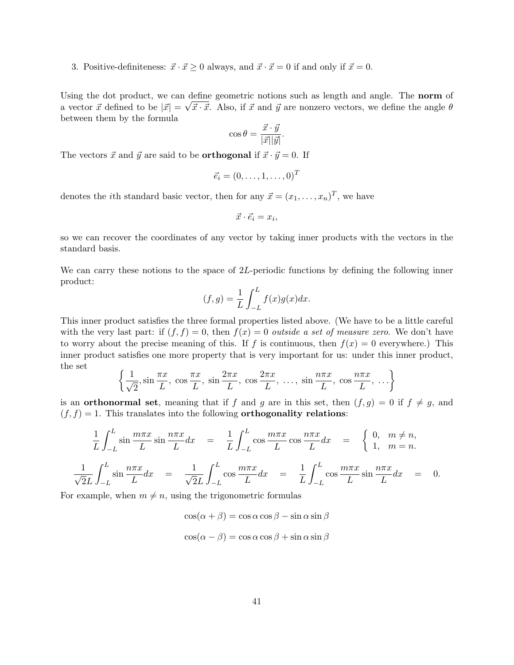3. Positive-definiteness:  $\vec{x} \cdot \vec{x} \ge 0$  always, and  $\vec{x} \cdot \vec{x} = 0$  if and only if  $\vec{x} = 0$ .

Using the dot product, we can define geometric notions such as length and angle. The **norm** of a vector  $\vec{x}$  defined to be  $|\vec{x}| = \sqrt{\vec{x} \cdot \vec{x}}$ . Also, if  $\vec{x}$  and  $\vec{y}$  are nonzero vectors, we define the angle  $\theta$ between them by the formula

$$
\cos \theta = \frac{\vec{x} \cdot \vec{y}}{|\vec{x}||\vec{y}|}.
$$

The vectors  $\vec{x}$  and  $\vec{y}$  are said to be **orthogonal** if  $\vec{x} \cdot \vec{y} = 0$ . If

$$
\vec{e}_i = (0,\ldots,1,\ldots,0)^T
$$

denotes the *i*th standard basic vector, then for any  $\vec{x} = (x_1, \ldots, x_n)^T$ , we have

$$
\vec{x} \cdot \vec{e}_i = x_i,
$$

so we can recover the coordinates of any vector by taking inner products with the vectors in the standard basis.

We can carry these notions to the space of 2L-periodic functions by defining the following inner product:

$$
(f,g) = \frac{1}{L} \int_{-L}^{L} f(x)g(x)dx.
$$

This inner product satisfies the three formal properties listed above. (We have to be a little careful with the very last part: if  $(f, f) = 0$ , then  $f(x) = 0$  *outside a set of measure zero*. We don't have to worry about the precise meaning of this. If f is continuous, then  $f(x) = 0$  everywhere.) This inner product satisfies one more property that is very important for us: under this inner product, the set

$$
\left\{\frac{1}{\sqrt{2}}, \sin\frac{\pi x}{L}, \cos\frac{\pi x}{L}, \sin\frac{2\pi x}{L}, \cos\frac{2\pi x}{L}, \dots, \sin\frac{n\pi x}{L}, \cos\frac{n\pi x}{L}, \dots\right\}
$$

is an **orthonormal set**, meaning that if f and g are in this set, then  $(f, g) = 0$  if  $f \neq g$ , and  $(f, f) = 1$ . This translates into the following **orthogonality relations**:

$$
\frac{1}{L} \int_{-L}^{L} \sin \frac{m\pi x}{L} \sin \frac{n\pi x}{L} dx = \frac{1}{L} \int_{-L}^{L} \cos \frac{m\pi x}{L} \cos \frac{n\pi x}{L} dx = \begin{cases} 0, & m \neq n, \\ 1, & m = n. \end{cases}
$$

$$
\frac{1}{\sqrt{2}L} \int_{-L}^{L} \sin \frac{n\pi x}{L} dx = \frac{1}{\sqrt{2}L} \int_{-L}^{L} \cos \frac{m\pi x}{L} dx = \frac{1}{L} \int_{-L}^{L} \cos \frac{m\pi x}{L} \sin \frac{n\pi x}{L} dx = 0.
$$

For example, when  $m \neq n$ , using the trigonometric formulas

$$
\cos(\alpha + \beta) = \cos \alpha \cos \beta - \sin \alpha \sin \beta
$$

$$
\cos(\alpha - \beta) = \cos \alpha \cos \beta + \sin \alpha \sin \beta
$$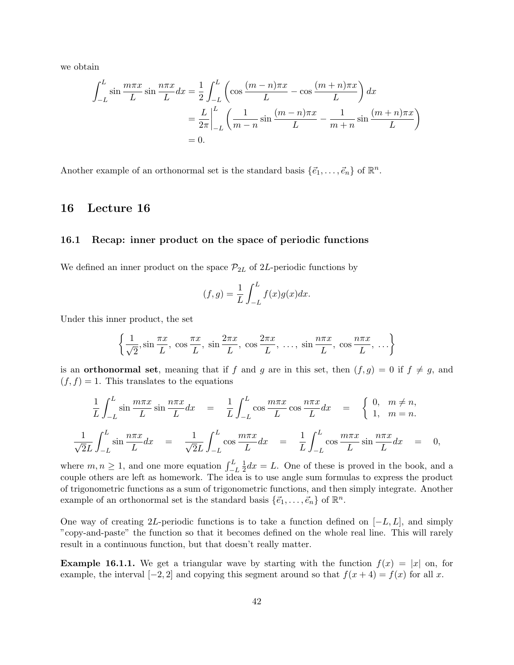we obtain

$$
\int_{-L}^{L} \sin\frac{m\pi x}{L} \sin\frac{n\pi x}{L} dx = \frac{1}{2} \int_{-L}^{L} \left( \cos\frac{(m-n)\pi x}{L} - \cos\frac{(m+n)\pi x}{L} \right) dx
$$

$$
= \frac{L}{2\pi} \Big|_{-L}^{L} \left( \frac{1}{m-n} \sin\frac{(m-n)\pi x}{L} - \frac{1}{m+n} \sin\frac{(m+n)\pi x}{L} \right)
$$

$$
= 0.
$$

Another example of an orthonormal set is the standard basis  $\{\vec{e}_1, \ldots, \vec{e}_n\}$  of  $\mathbb{R}^n$ .

# 16 Lecture 16

### 16.1 Recap: inner product on the space of periodic functions

We defined an inner product on the space  $\mathcal{P}_{2L}$  of 2L-periodic functions by

$$
(f,g) = \frac{1}{L} \int_{-L}^{L} f(x)g(x)dx.
$$

Under this inner product, the set

$$
\left\{\frac{1}{\sqrt{2}}, \sin\frac{\pi x}{L}, \cos\frac{\pi x}{L}, \sin\frac{2\pi x}{L}, \cos\frac{2\pi x}{L}, \dots, \sin\frac{n\pi x}{L}, \cos\frac{n\pi x}{L}, \dots\right\}
$$

is an **orthonormal set**, meaning that if f and g are in this set, then  $(f, g) = 0$  if  $f \neq g$ , and  $(f, f) = 1$ . This translates to the equations

$$
\frac{1}{L} \int_{-L}^{L} \sin \frac{m\pi x}{L} \sin \frac{n\pi x}{L} dx = \frac{1}{L} \int_{-L}^{L} \cos \frac{m\pi x}{L} \cos \frac{n\pi x}{L} dx = \begin{cases} 0, & m \neq n, \\ 1, & m = n. \end{cases}
$$
  

$$
\frac{1}{\sqrt{2}L} \int_{-L}^{L} \sin \frac{n\pi x}{L} dx = \frac{1}{\sqrt{2}L} \int_{-L}^{L} \cos \frac{m\pi x}{L} dx = \frac{1}{L} \int_{-L}^{L} \cos \frac{m\pi x}{L} \sin \frac{n\pi x}{L} dx = 0,
$$

where  $m, n \geq 1$ , and one more equation  $\int_{-L}^{L}$ 1  $\frac{1}{2}dx = L$ . One of these is proved in the book, and a couple others are left as homework. The idea is to use angle sum formulas to express the product of trigonometric functions as a sum of trigonometric functions, and then simply integrate. Another example of an orthonormal set is the standard basis  $\{\vec{e}_1, \ldots, \vec{e}_n\}$  of  $\mathbb{R}^n$ .

One way of creating 2L-periodic functions is to take a function defined on  $[-L, L]$ , and simply "copy-and-paste" the function so that it becomes defined on the whole real line. This will rarely result in a continuous function, but that doesn't really matter.

**Example 16.1.1.** We get a triangular wave by starting with the function  $f(x) = |x|$  on, for example, the interval  $[-2, 2]$  and copying this segment around so that  $f(x + 4) = f(x)$  for all x.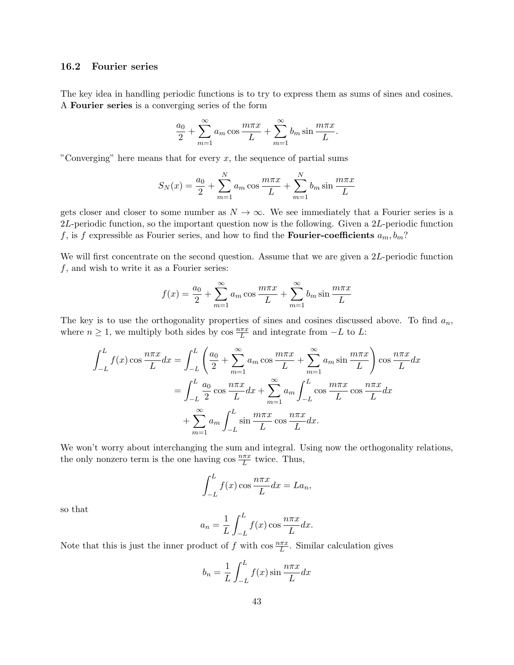### 16.2 Fourier series

The key idea in handling periodic functions is to try to express them as sums of sines and cosines. A Fourier series is a converging series of the form

$$
\frac{a_0}{2} + \sum_{m=1}^{\infty} a_m \cos \frac{m\pi x}{L} + \sum_{m=1}^{\infty} b_m \sin \frac{m\pi x}{L}.
$$

"Converging" here means that for every  $x$ , the sequence of partial sums

$$
S_N(x) = \frac{a_0}{2} + \sum_{m=1}^{N} a_m \cos \frac{m \pi x}{L} + \sum_{m=1}^{N} b_m \sin \frac{m \pi x}{L}
$$

gets closer and closer to some number as  $N \to \infty$ . We see immediately that a Fourier series is a  $2L$ -periodic function, so the important question now is the following. Given a  $2L$ -periodic function f, is f expressible as Fourier series, and how to find the **Fourier-coefficients**  $a_m, b_m$ ?

We will first concentrate on the second question. Assume that we are given a 2L-periodic function  $f$ , and wish to write it as a Fourier series:

$$
f(x) = \frac{a_0}{2} + \sum_{m=1}^{\infty} a_m \cos \frac{m \pi x}{L} + \sum_{m=1}^{\infty} b_m \sin \frac{m \pi x}{L}
$$

The key is to use the orthogonality properties of sines and cosines discussed above. To find  $a_n$ , where  $n \geq 1$ , we multiply both sides by  $\cos \frac{n\pi x}{L}$  and integrate from  $-L$  to L:

$$
\int_{-L}^{L} f(x) \cos \frac{n\pi x}{L} dx = \int_{-L}^{L} \left( \frac{a_0}{2} + \sum_{m=1}^{\infty} a_m \cos \frac{m\pi x}{L} + \sum_{m=1}^{\infty} a_m \sin \frac{m\pi x}{L} \right) \cos \frac{n\pi x}{L} dx
$$

$$
= \int_{-L}^{L} \frac{a_0}{2} \cos \frac{n\pi x}{L} dx + \sum_{m=1}^{\infty} a_m \int_{-L}^{L} \cos \frac{m\pi x}{L} \cos \frac{n\pi x}{L} dx
$$

$$
+ \sum_{m=1}^{\infty} a_m \int_{-L}^{L} \sin \frac{m\pi x}{L} \cos \frac{n\pi x}{L} dx.
$$

We won't worry about interchanging the sum and integral. Using now the orthogonality relations, the only nonzero term is the one having  $\cos \frac{n\pi x}{L}$  twice. Thus,

$$
\int_{-L}^{L} f(x) \cos \frac{n\pi x}{L} dx = La_n,
$$

so that

$$
a_n = \frac{1}{L} \int_{-L}^{L} f(x) \cos \frac{n \pi x}{L} dx.
$$

Note that this is just the inner product of f with  $\cos \frac{n\pi x}{L}$ . Similar calculation gives

$$
b_n = \frac{1}{L} \int_{-L}^{L} f(x) \sin \frac{n \pi x}{L} dx
$$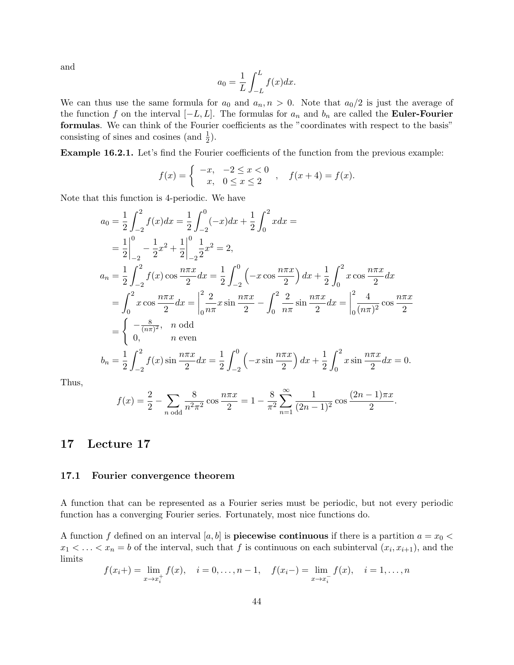and

$$
a_0 = \frac{1}{L} \int_{-L}^{L} f(x) dx.
$$

We can thus use the same formula for  $a_0$  and  $a_n$ ,  $n > 0$ . Note that  $a_0/2$  is just the average of the function f on the interval  $[-L, L]$ . The formulas for  $a_n$  and  $b_n$  are called the **Euler-Fourier** formulas. We can think of the Fourier coefficients as the "coordinates with respect to the basis" consisting of sines and cosines (and  $\frac{1}{2}$ ).

Example 16.2.1. Let's find the Fourier coefficients of the function from the previous example:

$$
f(x) = \begin{cases} -x, & -2 \le x < 0 \\ x, & 0 \le x \le 2 \end{cases}, \quad f(x+4) = f(x).
$$

Note that this function is 4-periodic. We have

$$
a_0 = \frac{1}{2} \int_{-2}^{2} f(x) dx = \frac{1}{2} \int_{-2}^{0} (-x) dx + \frac{1}{2} \int_{0}^{2} x dx =
$$
  
\n
$$
= \frac{1}{2} \Big|_{-2}^{0} - \frac{1}{2} x^{2} + \frac{1}{2} \Big|_{-2}^{0} \frac{1}{2} x^{2} = 2,
$$
  
\n
$$
a_n = \frac{1}{2} \int_{-2}^{2} f(x) \cos \frac{n \pi x}{2} dx = \frac{1}{2} \int_{-2}^{0} \left( -x \cos \frac{n \pi x}{2} \right) dx + \frac{1}{2} \int_{0}^{2} x \cos \frac{n \pi x}{2} dx
$$
  
\n
$$
= \int_{0}^{2} x \cos \frac{n \pi x}{2} dx = \Big|_{0}^{2} \frac{2}{n \pi} x \sin \frac{n \pi x}{2} - \int_{0}^{2} \frac{2}{n \pi} \sin \frac{n \pi x}{2} dx = \Big|_{0}^{2} \frac{4}{(n \pi)^{2}} \cos \frac{n \pi x}{2}
$$
  
\n
$$
= \begin{cases} -\frac{8}{(n \pi)^{2}}, & n \text{ odd} \\ 0, & n \text{ even} \end{cases}
$$
  
\n
$$
b_n = \frac{1}{2} \int_{-2}^{2} f(x) \sin \frac{n \pi x}{2} dx = \frac{1}{2} \int_{-2}^{0} \left( -x \sin \frac{n \pi x}{2} \right) dx + \frac{1}{2} \int_{0}^{2} x \sin \frac{n \pi x}{2} dx = 0.
$$

Thus,

$$
f(x) = \frac{2}{2} - \sum_{n \text{ odd}} \frac{8}{n^2 \pi^2} \cos \frac{n \pi x}{2} = 1 - \frac{8}{\pi^2} \sum_{n=1}^{\infty} \frac{1}{(2n-1)^2} \cos \frac{(2n-1)\pi x}{2}.
$$

# 17 Lecture 17

### 17.1 Fourier convergence theorem

A function that can be represented as a Fourier series must be periodic, but not every periodic function has a converging Fourier series. Fortunately, most nice functions do.

A function f defined on an interval [a, b] is **piecewise continuous** if there is a partition  $a = x_0 <$  $x_1 < \ldots < x_n = b$  of the interval, such that f is continuous on each subinterval  $(x_i, x_{i+1})$ , and the limits

$$
f(x_i+) = \lim_{x \to x_i^+} f(x), \quad i = 0, \dots, n-1, \quad f(x_i-) = \lim_{x \to x_i^-} f(x), \quad i = 1, \dots, n
$$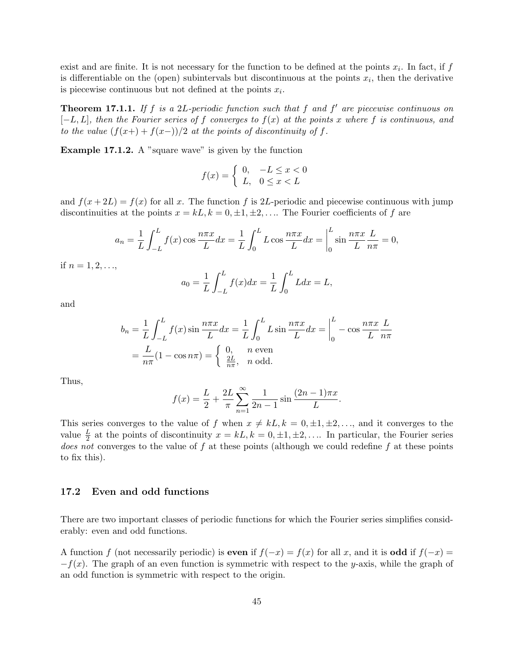exist and are finite. It is not necessary for the function to be defined at the points  $x_i$ . In fact, if f is differentiable on the (open) subintervals but discontinuous at the points  $x_i$ , then the derivative is piecewise continuous but not defined at the points  $x_i$ .

**Theorem 17.1.1.** If f is a 2L-periodic function such that f and f' are piecewise continuous on  $[-L, L]$ , then the Fourier series of f converges to  $f(x)$  at the points x where f is continuous, and to the value  $(f(x+) + f(x-))/2$  at the points of discontinuity of f.

Example 17.1.2. A "square wave" is given by the function

$$
f(x) = \begin{cases} 0, & -L \le x < 0 \\ L, & 0 \le x < L \end{cases}
$$

and  $f(x+2L) = f(x)$  for all x. The function f is 2L-periodic and piecewise continuous with jump discontinuities at the points  $x = kL, k = 0, \pm 1, \pm 2, \ldots$  The Fourier coefficients of f are

$$
a_n = \frac{1}{L} \int_{-L}^{L} f(x) \cos \frac{n\pi x}{L} dx = \frac{1}{L} \int_{0}^{L} L \cos \frac{n\pi x}{L} dx = \Big|_{0}^{L} \sin \frac{n\pi x}{L} \frac{L}{n\pi} = 0,
$$

if  $n = 1, 2, \ldots$ 

$$
a_0 = \frac{1}{L} \int_{-L}^{L} f(x) dx = \frac{1}{L} \int_{0}^{L} L dx = L,
$$

and

$$
b_n = \frac{1}{L} \int_{-L}^{L} f(x) \sin \frac{n\pi x}{L} dx = \frac{1}{L} \int_{0}^{L} L \sin \frac{n\pi x}{L} dx = \Big|_{0}^{L} - \cos \frac{n\pi x}{L} \frac{L}{n\pi}
$$

$$
= \frac{L}{n\pi} (1 - \cos n\pi) = \begin{cases} 0, & n \text{ even} \\ \frac{2L}{n\pi}, & n \text{ odd.} \end{cases}
$$

Thus,

$$
f(x) = \frac{L}{2} + \frac{2L}{\pi} \sum_{n=1}^{\infty} \frac{1}{2n-1} \sin \frac{(2n-1)\pi x}{L}.
$$

This series converges to the value of f when  $x \neq kL, k = 0, \pm 1, \pm 2, \ldots$ , and it converges to the value  $\frac{L}{2}$  at the points of discontinuity  $x = kL, k = 0, \pm 1, \pm 2, \ldots$  In particular, the Fourier series does not converges to the value of  $f$  at these points (although we could redefine  $f$  at these points to fix this).

### 17.2 Even and odd functions

There are two important classes of periodic functions for which the Fourier series simplifies considerably: even and odd functions.

A function f (not necessarily periodic) is even if  $f(-x) = f(x)$  for all x, and it is **odd** if  $f(-x) = f(x)$  $-f(x)$ . The graph of an even function is symmetric with respect to the y-axis, while the graph of an odd function is symmetric with respect to the origin.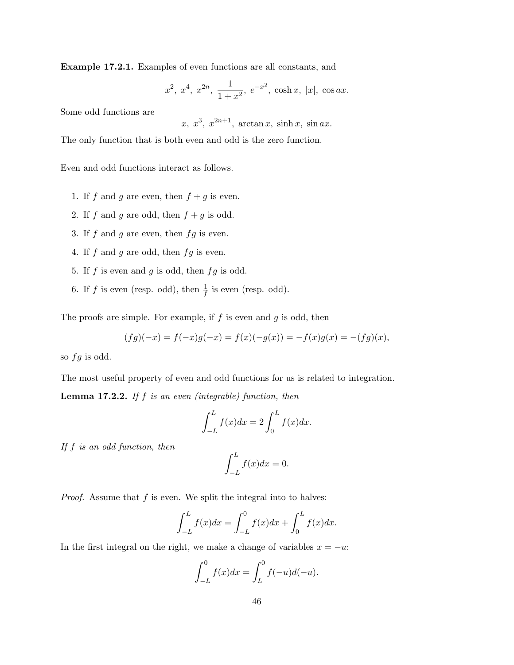Example 17.2.1. Examples of even functions are all constants, and

$$
x^2
$$
,  $x^4$ ,  $x^{2n}$ ,  $\frac{1}{1+x^2}$ ,  $e^{-x^2}$ ,  $\cosh x$ ,  $|x|$ ,  $\cos ax$ .

Some odd functions are

 $x, x^3, x^{2n+1}, \arctan x, \sinh x, \sin ax.$ 

The only function that is both even and odd is the zero function.

Even and odd functions interact as follows.

- 1. If f and g are even, then  $f + g$  is even.
- 2. If  $f$  and  $g$  are odd, then  $f + g$  is odd.
- 3. If  $f$  and  $g$  are even, then  $fg$  is even.
- 4. If  $f$  and  $g$  are odd, then  $fg$  is even.
- 5. If  $f$  is even and  $g$  is odd, then  $fg$  is odd.
- 6. If f is even (resp. odd), then  $\frac{1}{f}$  is even (resp. odd).

The proofs are simple. For example, if  $f$  is even and  $g$  is odd, then

$$
(fg)(-x) = f(-x)g(-x) = f(x)(-g(x)) = -f(x)g(x) = -(fg)(x),
$$

so  $fg$  is odd.

The most useful property of even and odd functions for us is related to integration.

**Lemma 17.2.2.** If  $f$  is an even (integrable) function, then

$$
\int_{-L}^{L} f(x)dx = 2 \int_{0}^{L} f(x)dx.
$$

If f is an odd function, then

$$
\int_{-L}^{L} f(x)dx = 0.
$$

*Proof.* Assume that  $f$  is even. We split the integral into to halves:

$$
\int_{-L}^{L} f(x)dx = \int_{-L}^{0} f(x)dx + \int_{0}^{L} f(x)dx.
$$

In the first integral on the right, we make a change of variables  $x = -u$ :

$$
\int_{-L}^{0} f(x)dx = \int_{L}^{0} f(-u)d(-u).
$$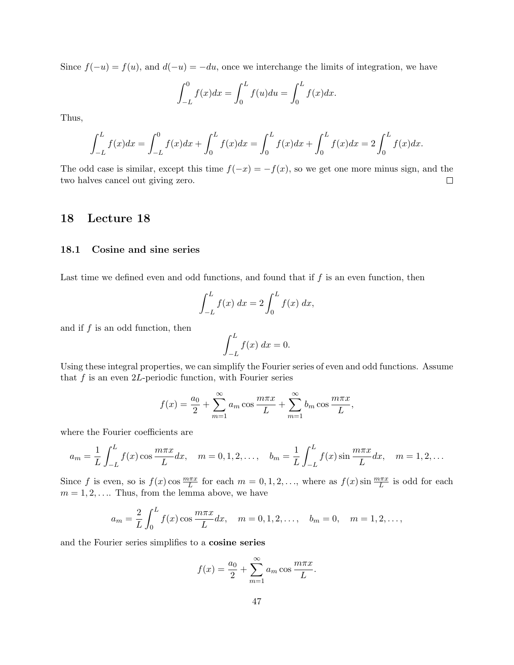Since  $f(-u) = f(u)$ , and  $d(-u) = -du$ , once we interchange the limits of integration, we have

$$
\int_{-L}^{0} f(x)dx = \int_{0}^{L} f(u)du = \int_{0}^{L} f(x)dx.
$$

Thus,

$$
\int_{-L}^{L} f(x)dx = \int_{-L}^{0} f(x)dx + \int_{0}^{L} f(x)dx = \int_{0}^{L} f(x)dx + \int_{0}^{L} f(x)dx = 2\int_{0}^{L} f(x)dx.
$$

The odd case is similar, except this time  $f(-x) = -f(x)$ , so we get one more minus sign, and the two halves cancel out giving zero.  $\Box$ 

# 18 Lecture 18

### 18.1 Cosine and sine series

Last time we defined even and odd functions, and found that if  $f$  is an even function, then

$$
\int_{-L}^{L} f(x) dx = 2 \int_{0}^{L} f(x) dx,
$$

and if  $f$  is an odd function, then

$$
\int_{-L}^{L} f(x) \, dx = 0.
$$

Using these integral properties, we can simplify the Fourier series of even and odd functions. Assume that  $f$  is an even 2L-periodic function, with Fourier series

$$
f(x) = \frac{a_0}{2} + \sum_{m=1}^{\infty} a_m \cos \frac{m \pi x}{L} + \sum_{m=1}^{\infty} b_m \cos \frac{m \pi x}{L},
$$

where the Fourier coefficients are

$$
a_m = \frac{1}{L} \int_{-L}^{L} f(x) \cos \frac{m\pi x}{L} dx, \quad m = 0, 1, 2, \dots, \quad b_m = \frac{1}{L} \int_{-L}^{L} f(x) \sin \frac{m\pi x}{L} dx, \quad m = 1, 2, \dots
$$

Since f is even, so is  $f(x)$  cos  $\frac{m\pi x}{L}$  for each  $m = 0, 1, 2, \ldots$ , where as  $f(x)$  sin  $\frac{m\pi x}{L}$  is odd for each  $m = 1, 2, \ldots$  Thus, from the lemma above, we have

$$
a_m = \frac{2}{L} \int_0^L f(x) \cos \frac{m\pi x}{L} dx, \quad m = 0, 1, 2, \dots, \quad b_m = 0, \quad m = 1, 2, \dots,
$$

and the Fourier series simplifies to a cosine series

$$
f(x) = \frac{a_0}{2} + \sum_{m=1}^{\infty} a_m \cos \frac{m\pi x}{L}.
$$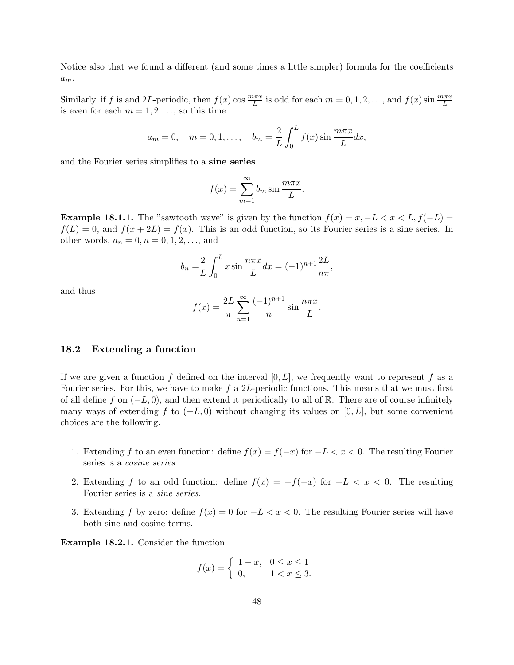Notice also that we found a different (and some times a little simpler) formula for the coefficients  $a_m$ .

Similarly, if f is and 2L-periodic, then  $f(x)$  cos  $\frac{m\pi x}{L}$  is odd for each  $m = 0, 1, 2, \ldots$ , and  $f(x)$  sin  $\frac{m\pi x}{L}$ is even for each  $m = 1, 2, \ldots$ , so this time

$$
a_m = 0
$$
,  $m = 0, 1, ..., b_m = \frac{2}{L} \int_0^L f(x) \sin \frac{m \pi x}{L} dx$ ,

and the Fourier series simplifies to a sine series

$$
f(x) = \sum_{m=1}^{\infty} b_m \sin \frac{m\pi x}{L}.
$$

**Example 18.1.1.** The "sawtooth wave" is given by the function  $f(x) = x, -L < x < L, f(-L) =$  $f(L) = 0$ , and  $f(x + 2L) = f(x)$ . This is an odd function, so its Fourier series is a sine series. In other words,  $a_n = 0, n = 0, 1, 2, ...$ , and

$$
b_n = \frac{2}{L} \int_0^L x \sin \frac{n \pi x}{L} dx = (-1)^{n+1} \frac{2L}{n \pi},
$$

and thus

$$
f(x) = \frac{2L}{\pi} \sum_{n=1}^{\infty} \frac{(-1)^{n+1}}{n} \sin \frac{n\pi x}{L}.
$$

#### 18.2 Extending a function

If we are given a function f defined on the interval  $[0, L]$ , we frequently want to represent f as a Fourier series. For this, we have to make f a 2L-periodic functions. This means that we must first of all define f on  $(-L, 0)$ , and then extend it periodically to all of R. There are of course infinitely many ways of extending f to  $(-L, 0)$  without changing its values on [0, L], but some convenient choices are the following.

- 1. Extending f to an even function: define  $f(x) = f(-x)$  for  $-L < x < 0$ . The resulting Fourier series is a cosine series.
- 2. Extending f to an odd function: define  $f(x) = -f(-x)$  for  $-L < x < 0$ . The resulting Fourier series is a sine series.
- 3. Extending f by zero: define  $f(x) = 0$  for  $-L < x < 0$ . The resulting Fourier series will have both sine and cosine terms.

Example 18.2.1. Consider the function

$$
f(x) = \begin{cases} 1 - x, & 0 \le x \le 1 \\ 0, & 1 < x \le 3. \end{cases}
$$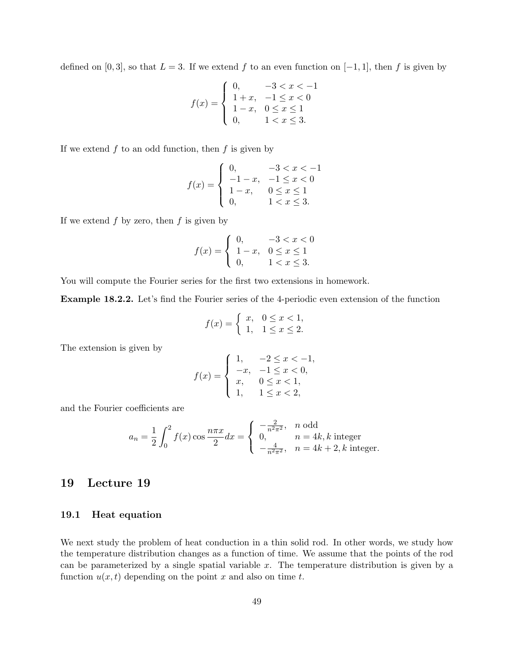defined on [0, 3], so that  $L = 3$ . If we extend f to an even function on [-1, 1], then f is given by

$$
f(x) = \begin{cases} 0, & -3 < x < -1 \\ 1+x, & -1 \le x < 0 \\ 1-x, & 0 \le x \le 1 \\ 0, & 1 < x \le 3. \end{cases}
$$

If we extend  $f$  to an odd function, then  $f$  is given by

$$
f(x) = \begin{cases} 0, & -3 < x < -1 \\ -1 - x, & -1 \le x < 0 \\ 1 - x, & 0 \le x \le 1 \\ 0, & 1 < x \le 3. \end{cases}
$$

If we extend  $f$  by zero, then  $f$  is given by

$$
f(x) = \begin{cases} 0, & -3 < x < 0 \\ 1-x, & 0 \le x \le 1 \\ 0, & 1 < x \le 3. \end{cases}
$$

You will compute the Fourier series for the first two extensions in homework.

Example 18.2.2. Let's find the Fourier series of the 4-periodic even extension of the function

$$
f(x) = \begin{cases} x, & 0 \le x < 1, \\ 1, & 1 \le x \le 2. \end{cases}
$$

The extension is given by

$$
f(x) = \begin{cases} 1, & -2 \le x < -1, \\ -x, & -1 \le x < 0, \\ x, & 0 \le x < 1, \\ 1, & 1 \le x < 2, \end{cases}
$$

and the Fourier coefficients are

$$
a_n = \frac{1}{2} \int_0^2 f(x) \cos \frac{n\pi x}{2} dx = \begin{cases} -\frac{2}{n^2 \pi^2}, & n \text{ odd} \\ 0, & n = 4k, k \text{ integer} \\ -\frac{4}{n^2 \pi^2}, & n = 4k + 2, k \text{ integer.} \end{cases}
$$

# 19 Lecture 19

### 19.1 Heat equation

We next study the problem of heat conduction in a thin solid rod. In other words, we study how the temperature distribution changes as a function of time. We assume that the points of the rod can be parameterized by a single spatial variable  $x$ . The temperature distribution is given by a function  $u(x, t)$  depending on the point x and also on time t.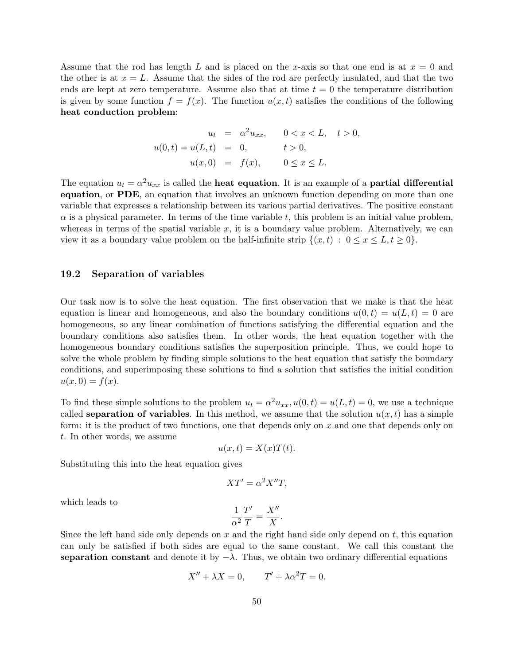Assume that the rod has length L and is placed on the x-axis so that one end is at  $x = 0$  and the other is at  $x = L$ . Assume that the sides of the rod are perfectly insulated, and that the two ends are kept at zero temperature. Assume also that at time  $t = 0$  the temperature distribution is given by some function  $f = f(x)$ . The function  $u(x, t)$  satisfies the conditions of the following heat conduction problem:

$$
u_t = \alpha^2 u_{xx}, \qquad 0 < x < L, \quad t > 0,
$$
\n
$$
u(0, t) = u(L, t) = 0, \qquad t > 0,
$$
\n
$$
u(x, 0) = f(x), \qquad 0 \le x \le L.
$$

The equation  $u_t = \alpha^2 u_{xx}$  is called the **heat equation**. It is an example of a **partial differential** equation, or PDE, an equation that involves an unknown function depending on more than one variable that expresses a relationship between its various partial derivatives. The positive constant  $\alpha$  is a physical parameter. In terms of the time variable t, this problem is an initial value problem, whereas in terms of the spatial variable  $x$ , it is a boundary value problem. Alternatively, we can view it as a boundary value problem on the half-infinite strip  $\{(x, t) : 0 \le x \le L, t \ge 0\}$ .

### 19.2 Separation of variables

Our task now is to solve the heat equation. The first observation that we make is that the heat equation is linear and homogeneous, and also the boundary conditions  $u(0,t) = u(L,t) = 0$  are homogeneous, so any linear combination of functions satisfying the differential equation and the boundary conditions also satisfies them. In other words, the heat equation together with the homogeneous boundary conditions satisfies the superposition principle. Thus, we could hope to solve the whole problem by finding simple solutions to the heat equation that satisfy the boundary conditions, and superimposing these solutions to find a solution that satisfies the initial condition  $u(x, 0) = f(x)$ .

To find these simple solutions to the problem  $u_t = \alpha^2 u_{xx}$ ,  $u(0,t) = u(L,t) = 0$ , we use a technique called **separation of variables**. In this method, we assume that the solution  $u(x, t)$  has a simple form: it is the product of two functions, one that depends only on x and one that depends only on t. In other words, we assume

$$
u(x,t) = X(x)T(t).
$$

Substituting this into the heat equation gives

$$
XT' = \alpha^2 X''T,
$$

which leads to

$$
\frac{1}{\alpha^2} \frac{T'}{T} = \frac{X''}{X}.
$$

Since the left hand side only depends on x and the right hand side only depend on  $t$ , this equation can only be satisfied if both sides are equal to the same constant. We call this constant the separation constant and denote it by  $-\lambda$ . Thus, we obtain two ordinary differential equations

$$
X'' + \lambda X = 0, \qquad T' + \lambda \alpha^2 T = 0.
$$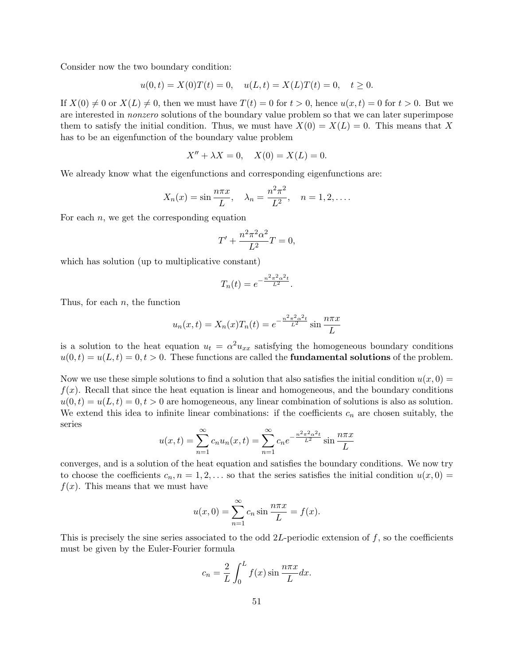Consider now the two boundary condition:

$$
u(0,t) = X(0)T(t) = 0, \quad u(L,t) = X(L)T(t) = 0, \quad t \ge 0.
$$

If  $X(0) \neq 0$  or  $X(L) \neq 0$ , then we must have  $T(t) = 0$  for  $t > 0$ , hence  $u(x, t) = 0$  for  $t > 0$ . But we are interested in nonzero solutions of the boundary value problem so that we can later superimpose them to satisfy the initial condition. Thus, we must have  $X(0) = X(L) = 0$ . This means that X has to be an eigenfunction of the boundary value problem

$$
X'' + \lambda X = 0, \quad X(0) = X(L) = 0.
$$

We already know what the eigenfunctions and corresponding eigenfunctions are:

$$
X_n(x) = \sin \frac{n\pi x}{L}, \quad \lambda_n = \frac{n^2 \pi^2}{L^2}, \quad n = 1, 2, ....
$$

For each  $n$ , we get the corresponding equation

$$
T' + \frac{n^2 \pi^2 \alpha^2}{L^2} T = 0,
$$

which has solution (up to multiplicative constant)

$$
T_n(t) = e^{-\frac{n^2 \pi^2 \alpha^2 t}{L^2}}.
$$

Thus, for each  $n$ , the function

$$
u_n(x,t) = X_n(x)T_n(t) = e^{-\frac{n^2\pi^2\alpha^2t}{L^2}}\sin\frac{n\pi x}{L}
$$

is a solution to the heat equation  $u_t = \alpha^2 u_{xx}$  satisfying the homogeneous boundary conditions  $u(0,t) = u(L,t) = 0, t > 0.$  These functions are called the **fundamental solutions** of the problem.

Now we use these simple solutions to find a solution that also satisfies the initial condition  $u(x, 0) =$  $f(x)$ . Recall that since the heat equation is linear and homogeneous, and the boundary conditions  $u(0, t) = u(L, t) = 0, t > 0$  are homogeneous, any linear combination of solutions is also as solution. We extend this idea to infinite linear combinations: if the coefficients  $c_n$  are chosen suitably, the series

$$
u(x,t) = \sum_{n=1}^{\infty} c_n u_n(x,t) = \sum_{n=1}^{\infty} c_n e^{-\frac{n^2 \pi^2 \alpha^2 t}{L^2}} \sin \frac{n \pi x}{L}
$$

converges, and is a solution of the heat equation and satisfies the boundary conditions. We now try to choose the coefficients  $c_n, n = 1, 2, \ldots$  so that the series satisfies the initial condition  $u(x, 0) =$  $f(x)$ . This means that we must have

$$
u(x, 0) = \sum_{n=1}^{\infty} c_n \sin \frac{n\pi x}{L} = f(x).
$$

This is precisely the sine series associated to the odd  $2L$ -periodic extension of f, so the coefficients must be given by the Euler-Fourier formula

$$
c_n = \frac{2}{L} \int_0^L f(x) \sin \frac{n \pi x}{L} dx.
$$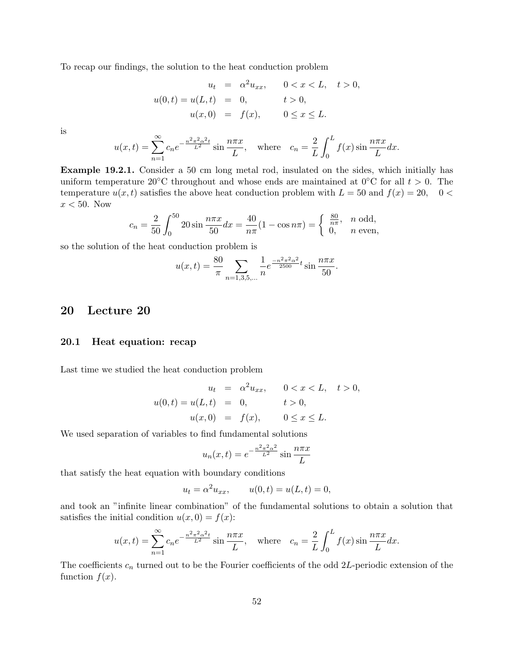To recap our findings, the solution to the heat conduction problem

$$
u_t = \alpha^2 u_{xx}, \quad 0 < x < L, \quad t > 0,
$$
  

$$
u(0, t) = u(L, t) = 0, \quad t > 0,
$$
  

$$
u(x, 0) = f(x), \quad 0 \le x \le L.
$$

is

$$
u(x,t) = \sum_{n=1}^{\infty} c_n e^{-\frac{n^2 \pi^2 \alpha^2 t}{L^2}} \sin \frac{n \pi x}{L}, \quad \text{where} \quad c_n = \frac{2}{L} \int_0^L f(x) \sin \frac{n \pi x}{L} dx.
$$

Example 19.2.1. Consider a 50 cm long metal rod, insulated on the sides, which initially has uniform temperature 20°C throughout and whose ends are maintained at  $0^{\circ}$ C for all  $t > 0$ . The temperature  $u(x, t)$  satisfies the above heat conduction problem with  $L = 50$  and  $f(x) = 20$ ,  $0 <$  $x < 50$ . Now

$$
c_n = \frac{2}{50} \int_0^{50} 20 \sin \frac{n \pi x}{50} dx = \frac{40}{n \pi} (1 - \cos n \pi) = \begin{cases} \frac{80}{n \pi}, & n \text{ odd,} \\ 0, & n \text{ even,} \end{cases}
$$

so the solution of the heat conduction problem is

$$
u(x,t) = \frac{80}{\pi} \sum_{n=1,3,5,\dots} \frac{1}{n} e^{\frac{-n^2 \pi^2 \alpha^2}{2500} t} \sin \frac{n \pi x}{50}.
$$

# 20 Lecture 20

### 20.1 Heat equation: recap

Last time we studied the heat conduction problem

$$
u_t = \alpha^2 u_{xx}, \quad 0 < x < L, \quad t > 0,
$$
  

$$
u(0, t) = u(L, t) = 0, \quad t > 0,
$$
  

$$
u(x, 0) = f(x), \quad 0 \le x \le L.
$$

We used separation of variables to find fundamental solutions

$$
u_n(x,t) = e^{-\frac{n^2 \pi^2 \alpha^2}{L^2}} \sin \frac{n \pi x}{L}
$$

that satisfy the heat equation with boundary conditions

$$
u_t = \alpha^2 u_{xx},
$$
  $u(0,t) = u(L,t) = 0,$ 

and took an "infinite linear combination" of the fundamental solutions to obtain a solution that satisfies the initial condition  $u(x, 0) = f(x)$ :

$$
u(x,t) = \sum_{n=1}^{\infty} c_n e^{-\frac{n^2 \pi^2 \alpha^2 t}{L^2}} \sin \frac{n \pi x}{L}, \quad \text{where} \quad c_n = \frac{2}{L} \int_0^L f(x) \sin \frac{n \pi x}{L} dx.
$$

The coefficients  $c_n$  turned out to be the Fourier coefficients of the odd 2L-periodic extension of the function  $f(x)$ .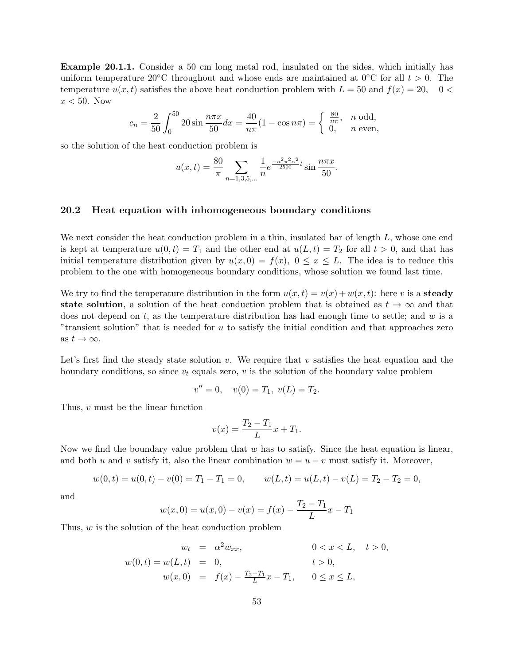Example 20.1.1. Consider a 50 cm long metal rod, insulated on the sides, which initially has uniform temperature 20°C throughout and whose ends are maintained at 0°C for all  $t > 0$ . The temperature  $u(x, t)$  satisfies the above heat conduction problem with  $L = 50$  and  $f(x) = 20$ ,  $0 <$  $x < 50$ . Now

$$
c_n = \frac{2}{50} \int_0^{50} 20 \sin \frac{n\pi x}{50} dx = \frac{40}{n\pi} (1 - \cos n\pi) = \begin{cases} \frac{80}{n\pi}, & n \text{ odd,} \\ 0, & n \text{ even,} \end{cases}
$$

so the solution of the heat conduction problem is

$$
u(x,t) = \frac{80}{\pi} \sum_{n=1,3,5,\dots} \frac{1}{n} e^{\frac{-n^2 \pi^2 \alpha^2}{2500} t} \sin \frac{n \pi x}{50}.
$$

### 20.2 Heat equation with inhomogeneous boundary conditions

We next consider the heat conduction problem in a thin, insulated bar of length  $L$ , whose one end is kept at temperature  $u(0, t) = T_1$  and the other end at  $u(L, t) = T_2$  for all  $t > 0$ , and that has initial temperature distribution given by  $u(x, 0) = f(x), 0 \le x \le L$ . The idea is to reduce this problem to the one with homogeneous boundary conditions, whose solution we found last time.

We try to find the temperature distribution in the form  $u(x,t) = v(x) + w(x,t)$ : here v is a steady state solution, a solution of the heat conduction problem that is obtained as  $t \to \infty$  and that does not depend on  $t$ , as the temperature distribution has had enough time to settle; and  $w$  is a "transient solution" that is needed for  $u$  to satisfy the initial condition and that approaches zero as  $t \to \infty$ .

Let's first find the steady state solution v. We require that v satisfies the heat equation and the boundary conditions, so since  $v_t$  equals zero, v is the solution of the boundary value problem

$$
v'' = 0, \quad v(0) = T_1, \ v(L) = T_2.
$$

Thus, v must be the linear function

$$
v(x) = \frac{T_2 - T_1}{L}x + T_1.
$$

Now we find the boundary value problem that  $w$  has to satisfy. Since the heat equation is linear, and both u and v satisfy it, also the linear combination  $w = u - v$  must satisfy it. Moreover,

$$
w(0,t) = u(0,t) - v(0) = T_1 - T_1 = 0, \qquad w(L,t) = u(L,t) - v(L) = T_2 - T_2 = 0,
$$

and

$$
w(x, 0) = u(x, 0) - v(x) = f(x) - \frac{T_2 - T_1}{L}x - T_1
$$

Thus, w is the solution of the heat conduction problem

$$
w_t = \alpha^2 w_{xx}, \qquad 0 < x < L, \quad t > 0,
$$
  

$$
w(0, t) = w(L, t) = 0, \qquad t > 0,
$$
  

$$
w(x, 0) = f(x) - \frac{T_2 - T_1}{L}x - T_1, \qquad 0 \le x \le L,
$$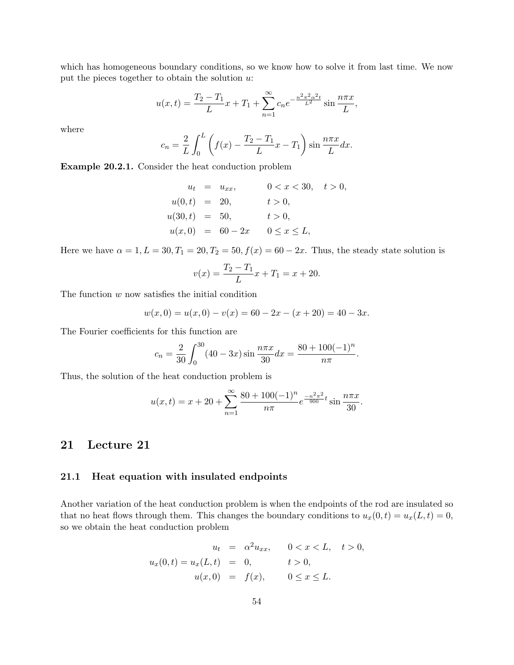which has homogeneous boundary conditions, so we know how to solve it from last time. We now put the pieces together to obtain the solution  $u$ :

$$
u(x,t) = \frac{T_2 - T_1}{L}x + T_1 + \sum_{n=1}^{\infty} c_n e^{-\frac{n^2 \pi^2 \alpha^2 t}{L^2}} \sin \frac{n \pi x}{L},
$$

where

$$
c_n = \frac{2}{L} \int_0^L \left( f(x) - \frac{T_2 - T_1}{L} x - T_1 \right) \sin \frac{n \pi x}{L} dx.
$$

Example 20.2.1. Consider the heat conduction problem

$$
u_t = u_{xx}, \t 0 < x < 30, \t t > 0,
$$
  
\n
$$
u(0, t) = 20, \t t > 0,
$$
  
\n
$$
u(30, t) = 50, \t t > 0,
$$
  
\n
$$
u(x, 0) = 60 - 2x \t 0 \le x \le L,
$$

Here we have  $\alpha = 1, L = 30, T_1 = 20, T_2 = 50, f(x) = 60 - 2x$ . Thus, the steady state solution is

$$
v(x) = \frac{T_2 - T_1}{L}x + T_1 = x + 20.
$$

The function  $w$  now satisfies the initial condition

$$
w(x, 0) = u(x, 0) - v(x) = 60 - 2x - (x + 20) = 40 - 3x.
$$

The Fourier coefficients for this function are

$$
c_n = \frac{2}{30} \int_0^{30} (40 - 3x) \sin \frac{n \pi x}{30} dx = \frac{80 + 100(-1)^n}{n \pi}.
$$

Thus, the solution of the heat conduction problem is

$$
u(x,t) = x + 20 + \sum_{n=1}^{\infty} \frac{80 + 100(-1)^n}{n\pi} e^{\frac{-n^2\pi^2}{900}t} \sin\frac{n\pi x}{30}.
$$

# 21 Lecture 21

### 21.1 Heat equation with insulated endpoints

Another variation of the heat conduction problem is when the endpoints of the rod are insulated so that no heat flows through them. This changes the boundary conditions to  $u_x(0, t) = u_x(L, t) = 0$ , so we obtain the heat conduction problem

$$
u_t = \alpha^2 u_{xx}, \quad 0 < x < L, \quad t > 0,
$$
  

$$
u_x(0, t) = u_x(L, t) = 0, \quad t > 0,
$$
  

$$
u(x, 0) = f(x), \quad 0 \le x \le L.
$$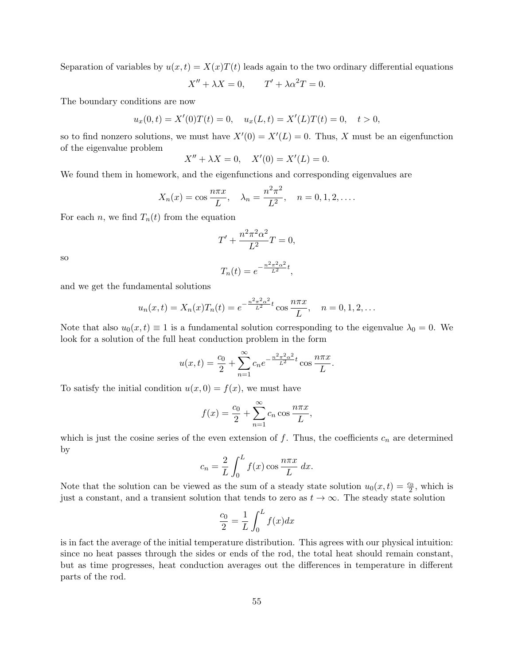Separation of variables by  $u(x,t) = X(x)T(t)$  leads again to the two ordinary differential equations

$$
X'' + \lambda X = 0, \qquad T' + \lambda \alpha^2 T = 0.
$$

The boundary conditions are now

$$
u_x(0,t) = X'(0)T(t) = 0
$$
,  $u_x(L,t) = X'(L)T(t) = 0$ ,  $t > 0$ ,

so to find nonzero solutions, we must have  $X'(0) = X'(L) = 0$ . Thus, X must be an eigenfunction of the eigenvalue problem

$$
X'' + \lambda X = 0, \quad X'(0) = X'(L) = 0.
$$

We found them in homework, and the eigenfunctions and corresponding eigenvalues are

$$
X_n(x) = \cos \frac{n\pi x}{L}, \quad \lambda_n = \frac{n^2 \pi^2}{L^2}, \quad n = 0, 1, 2, ....
$$

For each *n*, we find  $T_n(t)$  from the equation

$$
T' + \frac{n^2 \pi^2 \alpha^2}{L^2} T = 0,
$$

so

$$
T_n(t) = e^{-\frac{n^2 \pi^2 \alpha^2}{L^2}t},
$$

and we get the fundamental solutions

$$
u_n(x,t) = X_n(x)T_n(t) = e^{-\frac{n^2\pi^2\alpha^2}{L^2}t}\cos\frac{n\pi x}{L}, \quad n = 0, 1, 2, \dots
$$

Note that also  $u_0(x, t) \equiv 1$  is a fundamental solution corresponding to the eigenvalue  $\lambda_0 = 0$ . We look for a solution of the full heat conduction problem in the form

$$
u(x,t) = \frac{c_0}{2} + \sum_{n=1}^{\infty} c_n e^{-\frac{n^2 \pi^2 \alpha^2}{L^2} t} \cos \frac{n \pi x}{L}.
$$

To satisfy the initial condition  $u(x, 0) = f(x)$ , we must have

$$
f(x) = \frac{c_0}{2} + \sum_{n=1}^{\infty} c_n \cos \frac{n\pi x}{L},
$$

which is just the cosine series of the even extension of  $f$ . Thus, the coefficients  $c_n$  are determined by

$$
c_n = \frac{2}{L} \int_0^L f(x) \cos \frac{n \pi x}{L} dx.
$$

Note that the solution can be viewed as the sum of a steady state solution  $u_0(x,t) = \frac{c_0}{2}$ , which is just a constant, and a transient solution that tends to zero as  $t \to \infty$ . The steady state solution

$$
\frac{c_0}{2} = \frac{1}{L} \int_0^L f(x) dx
$$

is in fact the average of the initial temperature distribution. This agrees with our physical intuition: since no heat passes through the sides or ends of the rod, the total heat should remain constant, but as time progresses, heat conduction averages out the differences in temperature in different parts of the rod.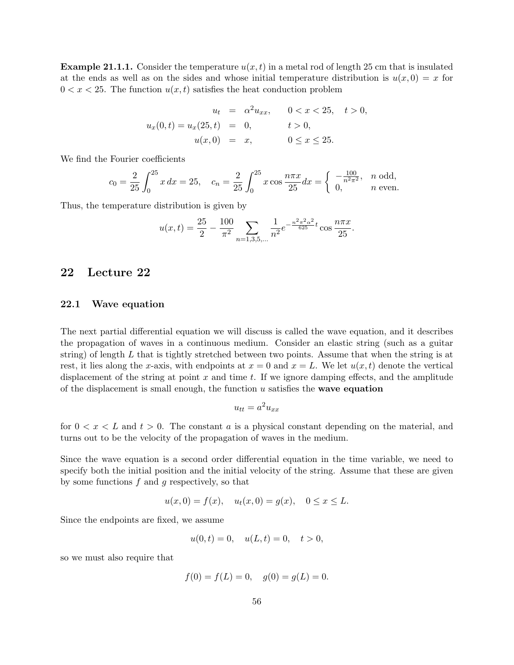**Example 21.1.1.** Consider the temperature  $u(x, t)$  in a metal rod of length 25 cm that is insulated at the ends as well as on the sides and whose initial temperature distribution is  $u(x, 0) = x$  for  $0 < x < 25$ . The function  $u(x, t)$  satisfies the heat conduction problem

$$
u_t = \alpha^2 u_{xx}, \qquad 0 < x < 25, \quad t > 0,
$$
\n
$$
u_x(0, t) = u_x(25, t) = 0, \qquad t > 0,
$$
\n
$$
u(x, 0) = x, \qquad 0 \le x \le 25.
$$

We find the Fourier coefficients

$$
c_0 = \frac{2}{25} \int_0^{25} x \, dx = 25, \quad c_n = \frac{2}{25} \int_0^{25} x \cos \frac{n \pi x}{25} dx = \begin{cases} -\frac{100}{n^2 \pi^2}, & n \text{ odd,} \\ 0, & n \text{ even.} \end{cases}
$$

Thus, the temperature distribution is given by

$$
u(x,t) = \frac{25}{2} - \frac{100}{\pi^2} \sum_{n=1,3,5,\dots} \frac{1}{n^2} e^{-\frac{n^2 \pi^2 \alpha^2}{625} t} \cos \frac{n \pi x}{25}.
$$

# 22 Lecture 22

## 22.1 Wave equation

The next partial differential equation we will discuss is called the wave equation, and it describes the propagation of waves in a continuous medium. Consider an elastic string (such as a guitar string) of length  $L$  that is tightly stretched between two points. Assume that when the string is at rest, it lies along the x-axis, with endpoints at  $x = 0$  and  $x = L$ . We let  $u(x, t)$  denote the vertical displacement of the string at point  $x$  and time  $t$ . If we ignore damping effects, and the amplitude of the displacement is small enough, the function  $u$  satisfies the **wave equation** 

$$
u_{tt} = a^2 u_{xx}
$$

for  $0 < x < L$  and  $t > 0$ . The constant a is a physical constant depending on the material, and turns out to be the velocity of the propagation of waves in the medium.

Since the wave equation is a second order differential equation in the time variable, we need to specify both the initial position and the initial velocity of the string. Assume that these are given by some functions  $f$  and  $g$  respectively, so that

$$
u(x, 0) = f(x),
$$
  $u_t(x, 0) = g(x),$   $0 \le x \le L.$ 

Since the endpoints are fixed, we assume

$$
u(0,t) = 0, \quad u(L,t) = 0, \quad t > 0,
$$

so we must also require that

$$
f(0) = f(L) = 0, \quad g(0) = g(L) = 0.
$$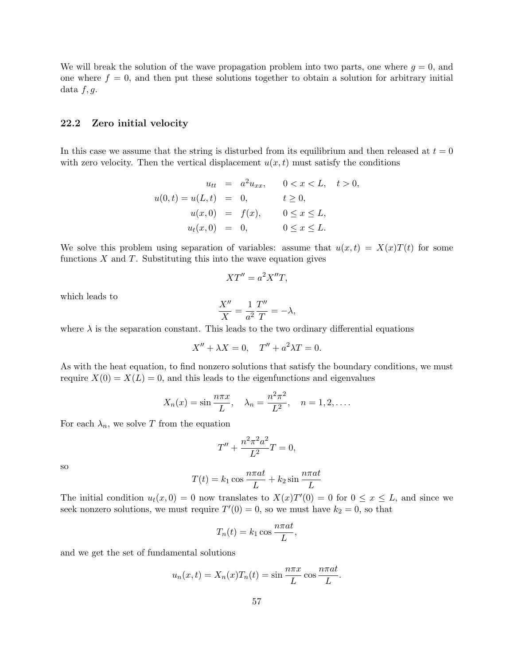We will break the solution of the wave propagation problem into two parts, one where  $g = 0$ , and one where  $f = 0$ , and then put these solutions together to obtain a solution for arbitrary initial data  $f, g$ .

#### 22.2 Zero initial velocity

In this case we assume that the string is disturbed from its equilibrium and then released at  $t = 0$ with zero velocity. Then the vertical displacement  $u(x, t)$  must satisfy the conditions

$$
u_{tt} = a^2 u_{xx}, \t 0 < x < L, \t t > 0,
$$
  

$$
u(0, t) = u(L, t) = 0, \t t \ge 0,
$$
  

$$
u(x, 0) = f(x), \t 0 \le x \le L,
$$
  

$$
u_t(x, 0) = 0, \t 0 \le x \le L.
$$

We solve this problem using separation of variables: assume that  $u(x,t) = X(x)T(t)$  for some functions  $X$  and  $T$ . Substituting this into the wave equation gives

$$
XT'' = a^2X''T,
$$

which leads to

$$
\frac{X''}{X} = \frac{1}{a^2} \frac{T''}{T} = -\lambda,
$$

where  $\lambda$  is the separation constant. This leads to the two ordinary differential equations

$$
X'' + \lambda X = 0, \quad T'' + a^2 \lambda T = 0.
$$

As with the heat equation, to find nonzero solutions that satisfy the boundary conditions, we must require  $X(0) = X(L) = 0$ , and this leads to the eigenfunctions and eigenvalues

$$
X_n(x) = \sin \frac{n\pi x}{L}, \quad \lambda_n = \frac{n^2 \pi^2}{L^2}, \quad n = 1, 2, ....
$$

For each  $\lambda_n$ , we solve T from the equation

$$
T'' + \frac{n^2 \pi^2 a^2}{L^2} T = 0,
$$

so

$$
T(t) = k_1 \cos \frac{n \pi a t}{L} + k_2 \sin \frac{n \pi a t}{L}
$$

The initial condition  $u_t(x,0) = 0$  now translates to  $X(x)T'(0) = 0$  for  $0 \le x \le L$ , and since we seek nonzero solutions, we must require  $T'(0) = 0$ , so we must have  $k_2 = 0$ , so that

$$
T_n(t) = k_1 \cos \frac{n \pi a t}{L},
$$

and we get the set of fundamental solutions

$$
u_n(x,t) = X_n(x)T_n(t) = \sin\frac{n\pi x}{L}\cos\frac{n\pi at}{L}.
$$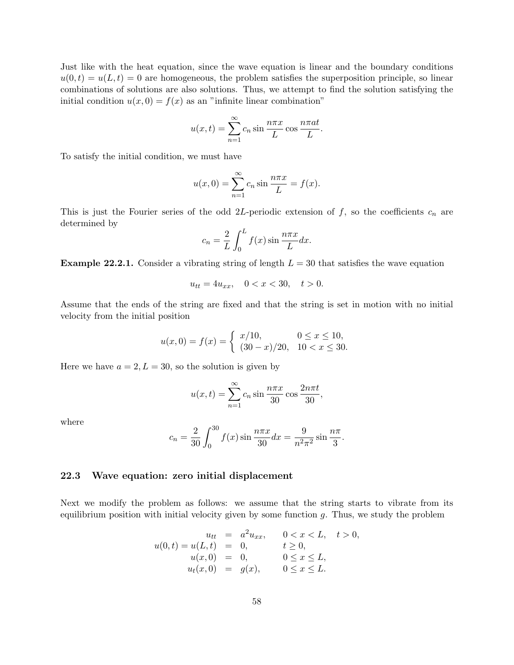Just like with the heat equation, since the wave equation is linear and the boundary conditions  $u(0,t) = u(L,t) = 0$  are homogeneous, the problem satisfies the superposition principle, so linear combinations of solutions are also solutions. Thus, we attempt to find the solution satisfying the initial condition  $u(x, 0) = f(x)$  as an "infinite linear combination"

$$
u(x,t) = \sum_{n=1}^{\infty} c_n \sin \frac{n\pi x}{L} \cos \frac{n\pi at}{L}.
$$

To satisfy the initial condition, we must have

$$
u(x, 0) = \sum_{n=1}^{\infty} c_n \sin \frac{n\pi x}{L} = f(x).
$$

This is just the Fourier series of the odd 2L-periodic extension of f, so the coefficients  $c_n$  are determined by

$$
c_n = \frac{2}{L} \int_0^L f(x) \sin \frac{n \pi x}{L} dx.
$$

**Example 22.2.1.** Consider a vibrating string of length  $L = 30$  that satisfies the wave equation

 $u_{tt} = 4u_{xx}, \quad 0 < x < 30, \quad t > 0.$ 

Assume that the ends of the string are fixed and that the string is set in motion with no initial velocity from the initial position

$$
u(x,0) = f(x) = \begin{cases} x/10, & 0 \le x \le 10, \\ (30-x)/20, & 10 < x \le 30. \end{cases}
$$

Here we have  $a = 2, L = 30$ , so the solution is given by

$$
u(x,t) = \sum_{n=1}^{\infty} c_n \sin \frac{n\pi x}{30} \cos \frac{2n\pi t}{30},
$$

where

$$
c_n = \frac{2}{30} \int_0^{30} f(x) \sin \frac{n \pi x}{30} dx = \frac{9}{n^2 \pi^2} \sin \frac{n \pi}{3}.
$$

### 22.3 Wave equation: zero initial displacement

Next we modify the problem as follows: we assume that the string starts to vibrate from its equilibrium position with initial velocity given by some function  $g$ . Thus, we study the problem

$$
u_{tt} = a^2 u_{xx}, \t 0 < x < L, \t t > 0,
$$
  
\n
$$
u(0, t) = u(L, t) = 0, \t t \ge 0,
$$
  
\n
$$
u(x, 0) = 0, \t 0 \le x \le L,
$$
  
\n
$$
u_t(x, 0) = g(x), \t 0 \le x \le L.
$$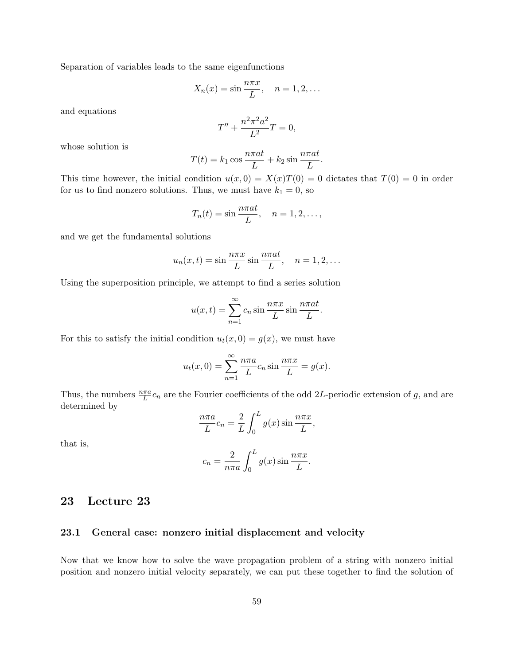Separation of variables leads to the same eigenfunctions

$$
X_n(x) = \sin \frac{n\pi x}{L}, \quad n = 1, 2, \dots
$$

and equations

$$
T'' + \frac{n^2 \pi^2 a^2}{L^2} T = 0,
$$

whose solution is

$$
T(t) = k_1 \cos \frac{n \pi a t}{L} + k_2 \sin \frac{n \pi a t}{L}.
$$

This time however, the initial condition  $u(x, 0) = X(x)T(0) = 0$  dictates that  $T(0) = 0$  in order for us to find nonzero solutions. Thus, we must have  $k_1 = 0$ , so

$$
T_n(t) = \sin \frac{n\pi a t}{L}, \quad n = 1, 2, \dots,
$$

and we get the fundamental solutions

$$
u_n(x,t) = \sin \frac{n\pi x}{L} \sin \frac{n\pi a t}{L}, \quad n = 1, 2, \dots
$$

Using the superposition principle, we attempt to find a series solution

$$
u(x,t) = \sum_{n=1}^{\infty} c_n \sin \frac{n\pi x}{L} \sin \frac{n\pi at}{L}.
$$

For this to satisfy the initial condition  $u_t(x, 0) = g(x)$ , we must have

$$
u_t(x,0) = \sum_{n=1}^{\infty} \frac{n\pi a}{L} c_n \sin \frac{n\pi x}{L} = g(x).
$$

Thus, the numbers  $\frac{n\pi a}{L}c_n$  are the Fourier coefficients of the odd 2L-periodic extension of g, and are determined by

$$
\frac{n\pi a}{L}c_n = \frac{2}{L}\int_0^L g(x)\sin\frac{n\pi x}{L},
$$

that is,

$$
c_n = \frac{2}{n\pi a} \int_0^L g(x) \sin \frac{n\pi x}{L}.
$$

# 23 Lecture 23

### 23.1 General case: nonzero initial displacement and velocity

Now that we know how to solve the wave propagation problem of a string with nonzero initial position and nonzero initial velocity separately, we can put these together to find the solution of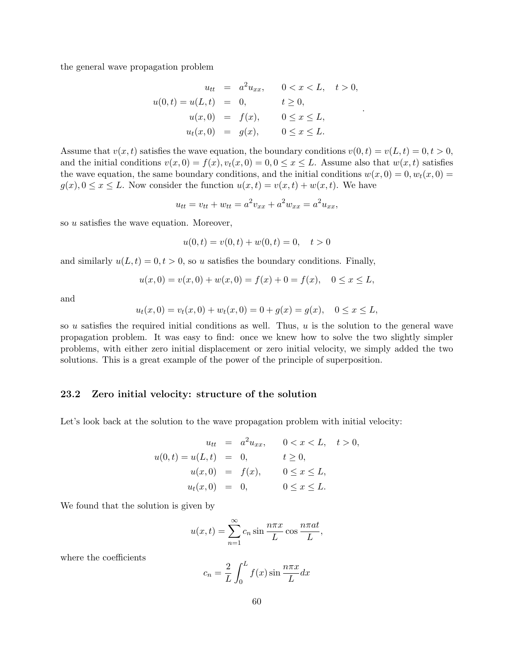the general wave propagation problem

$$
u_{tt} = a^2 u_{xx}, \t 0 < x < L, \t t > 0,
$$
  

$$
u(0,t) = u(L,t) = 0, \t t \ge 0,
$$
  

$$
u(x,0) = f(x), \t 0 \le x \le L,
$$
  

$$
u_t(x,0) = g(x), \t 0 \le x \le L.
$$

.

Assume that  $v(x, t)$  satisfies the wave equation, the boundary conditions  $v(0, t) = v(L, t) = 0, t > 0$ , and the initial conditions  $v(x, 0) = f(x), v_t(x, 0) = 0, 0 \le x \le L$ . Assume also that  $w(x, t)$  satisfies the wave equation, the same boundary conditions, and the initial conditions  $w(x, 0) = 0, w_t(x, 0) = 0$  $g(x), 0 \le x \le L$ . Now consider the function  $u(x,t) = v(x,t) + w(x,t)$ . We have

$$
u_{tt} = v_{tt} + w_{tt} = a^2 v_{xx} + a^2 w_{xx} = a^2 u_{xx},
$$

so u satisfies the wave equation. Moreover,

$$
u(0,t) = v(0,t) + w(0,t) = 0, \quad t > 0
$$

and similarly  $u(L, t) = 0, t > 0$ , so u satisfies the boundary conditions. Finally,

$$
u(x, 0) = v(x, 0) + w(x, 0) = f(x) + 0 = f(x), \quad 0 \le x \le L,
$$

and

$$
u_t(x,0) = v_t(x,0) + w_t(x,0) = 0 + g(x) = g(x), \quad 0 \le x \le L,
$$

so u satisfies the required initial conditions as well. Thus, u is the solution to the general wave propagation problem. It was easy to find: once we knew how to solve the two slightly simpler problems, with either zero initial displacement or zero initial velocity, we simply added the two solutions. This is a great example of the power of the principle of superposition.

## 23.2 Zero initial velocity: structure of the solution

Let's look back at the solution to the wave propagation problem with initial velocity:

$$
u_{tt} = a^2 u_{xx}, \t 0 < x < L, \t t > 0,
$$
  

$$
u(0,t) = u(L,t) = 0, \t t \ge 0,
$$
  

$$
u(x,0) = f(x), \t 0 \le x \le L,
$$
  

$$
u_t(x,0) = 0, \t 0 \le x \le L.
$$

We found that the solution is given by

$$
u(x,t) = \sum_{n=1}^{\infty} c_n \sin \frac{n\pi x}{L} \cos \frac{n\pi at}{L},
$$

where the coefficients

$$
c_n = \frac{2}{L} \int_0^L f(x) \sin \frac{n \pi x}{L} dx
$$